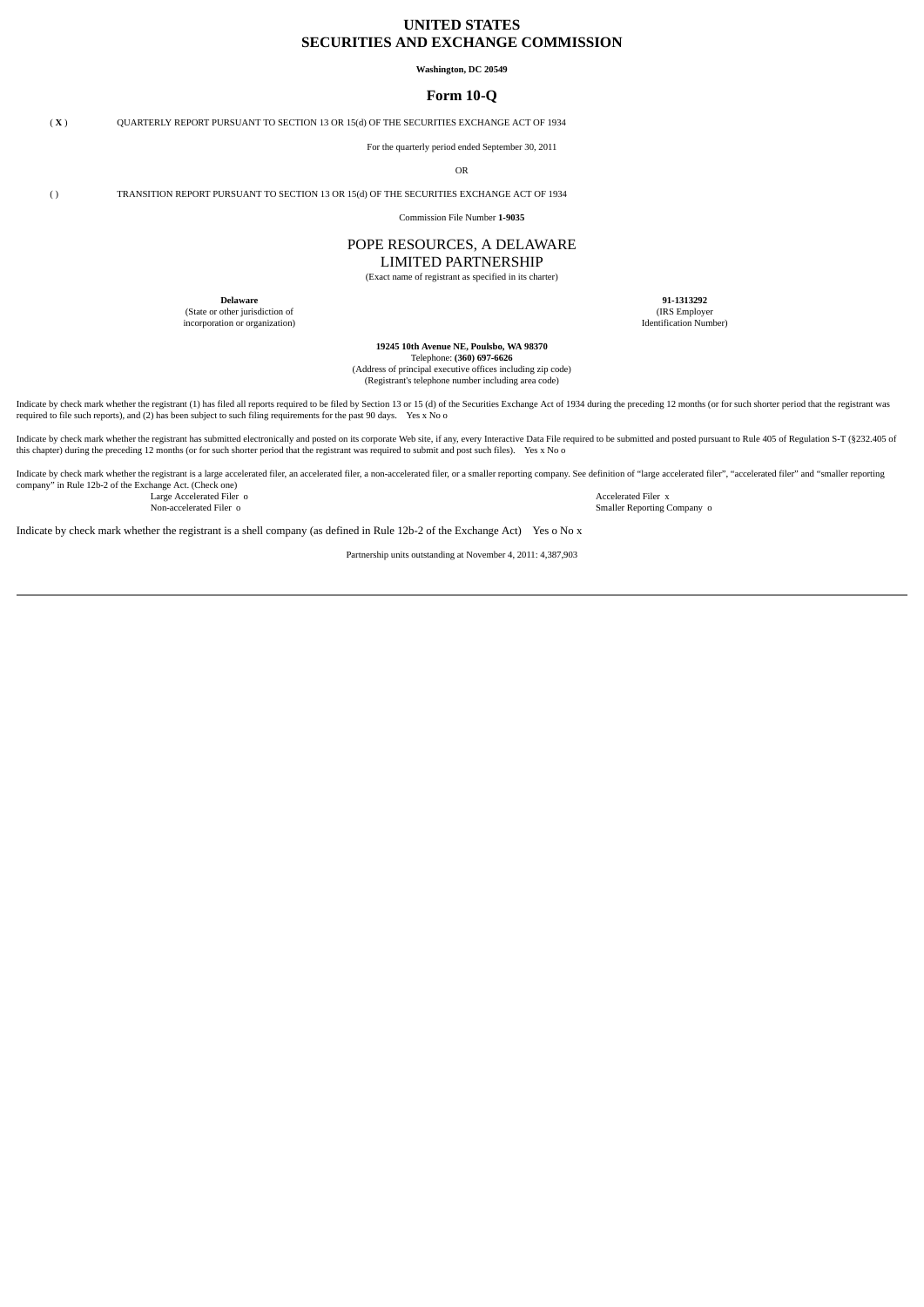# **UNITED STATES SECURITIES AND EXCHANGE COMMISSION**

**Washington, DC 20549**

# **Form 10-Q**

# ( **X** ) QUARTERLY REPORT PURSUANT TO SECTION 13 OR 15(d) OF THE SECURITIES EXCHANGE ACT OF 1934

For the quarterly period ended September 30, 2011

OR

( ) TRANSITION REPORT PURSUANT TO SECTION 13 OR 15(d) OF THE SECURITIES EXCHANGE ACT OF 1934

Commission File Number **1-9035**

# POPE RESOURCES, A DELAWARE

LIMITED PARTNERSHIP (Exact name of registrant as specified in its charter)

incorporation or organization)

**Delaware 91-1313292** (State or other jurisdiction of **IRS Employer** (IRS Employer **Intervalse of the IRS Employer** incorporation or organization)

**19245 10th Avenue NE, Poulsbo, WA 98370** Telephone: **(360) 697-6626**

(Address of principal executive offices including zip code)

(Registrant's telephone number including area code)

Indicate by check mark whether the registrant (1) has filed all reports required to be filed by Section 13 or 15 (d) of the Securities Exchange Act of 1934 during the preceding 12 months (or for such shorter period that th required to file such reports), and (2) has been subject to such filing requirements for the past 90 days. Yes x No o

Indicate by check mark whether the registrant has submitted electronically and posted on its corporate Web site, if any, every Interactive Data File required to be submitted and posted pursuant to Rule 405 of Regulation S-

Indicate by check mark whether the registrant is a large accelerated filer, an accelerated filer, a non-accelerated filer, or a smaller reporting company. See definition of "large accelerated filer", "accelerated filer" an company" in Rule 12b-2 of the Exchange Act. (Check one)<br>Large Accelerated Filer o Accelerated Filer o Accelerated Filer o

Non-accelerated Filer o Smaller Reporting Company o

Indicate by check mark whether the registrant is a shell company (as defined in Rule 12b-2 of the Exchange Act) Yes o No x

Partnership units outstanding at November 4, 2011: 4,387,903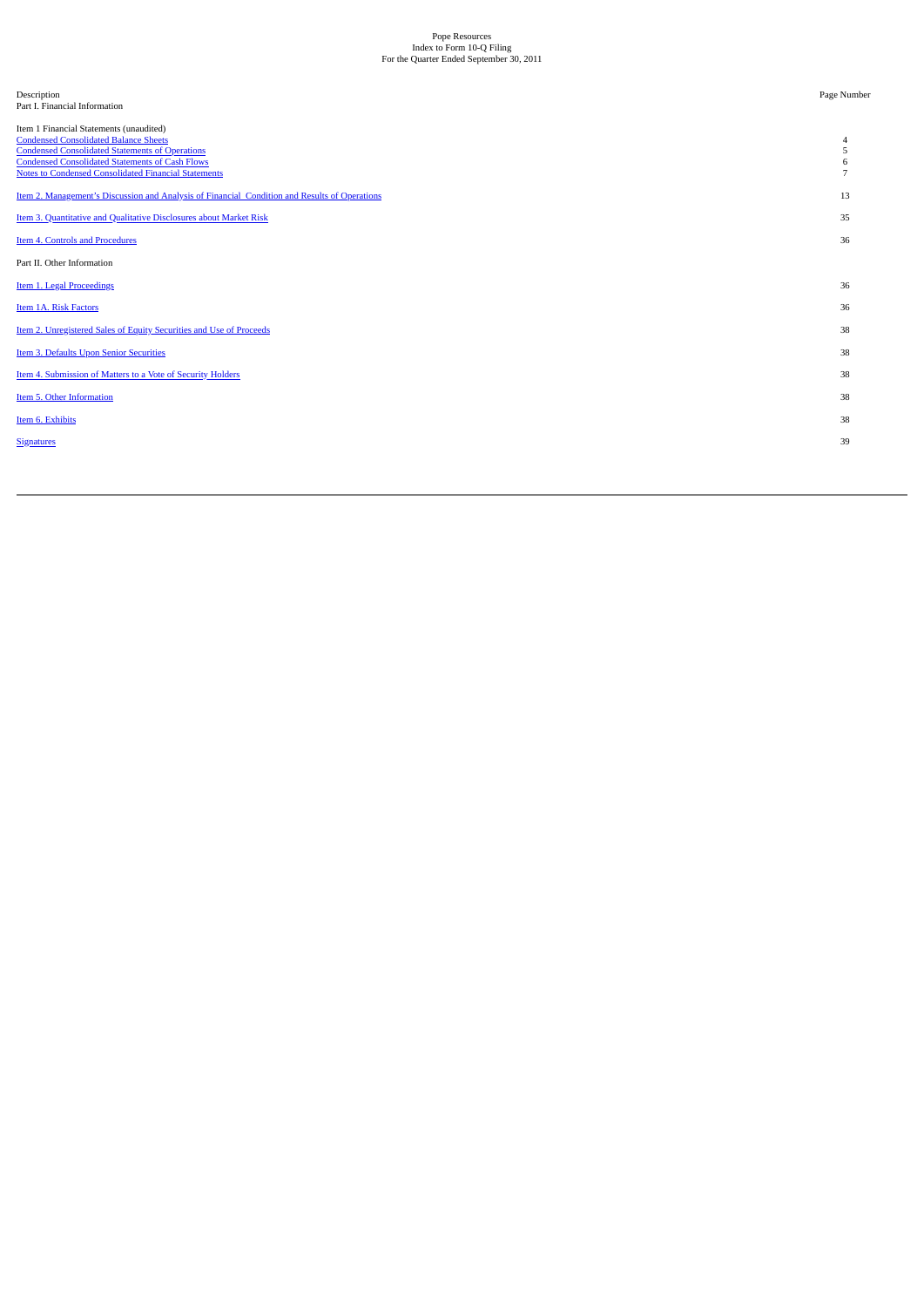# Pope Resources Index to Form 10-Q Filing For the Quarter Ended September 30, 2011

| Description<br>Part I. Financial Information                                                                                                                                                                                                                               | Page Number |
|----------------------------------------------------------------------------------------------------------------------------------------------------------------------------------------------------------------------------------------------------------------------------|-------------|
| Item 1 Financial Statements (unaudited)<br><b>Condensed Consolidated Balance Sheets</b><br><b>Condensed Consolidated Statements of Operations</b><br><b>Condensed Consolidated Statements of Cash Flows</b><br><b>Notes to Condensed Consolidated Financial Statements</b> | 5           |
| Item 2. Management's Discussion and Analysis of Financial Condition and Results of Operations                                                                                                                                                                              | 13          |
| Item 3. Quantitative and Qualitative Disclosures about Market Risk                                                                                                                                                                                                         | 35          |
| Item 4. Controls and Procedures                                                                                                                                                                                                                                            | 36          |
| Part II. Other Information                                                                                                                                                                                                                                                 |             |
| Item 1. Legal Proceedings                                                                                                                                                                                                                                                  | 36          |
| <b>Item 1A. Risk Factors</b>                                                                                                                                                                                                                                               | 36          |
| Item 2. Unregistered Sales of Equity Securities and Use of Proceeds                                                                                                                                                                                                        | 38          |
| Item 3. Defaults Upon Senior Securities                                                                                                                                                                                                                                    | 38          |
| Item 4. Submission of Matters to a Vote of Security Holders                                                                                                                                                                                                                | 38          |
| Item 5. Other Information                                                                                                                                                                                                                                                  | 38          |
| Item 6. Exhibits                                                                                                                                                                                                                                                           | 38          |
| <b>Signatures</b>                                                                                                                                                                                                                                                          | 39          |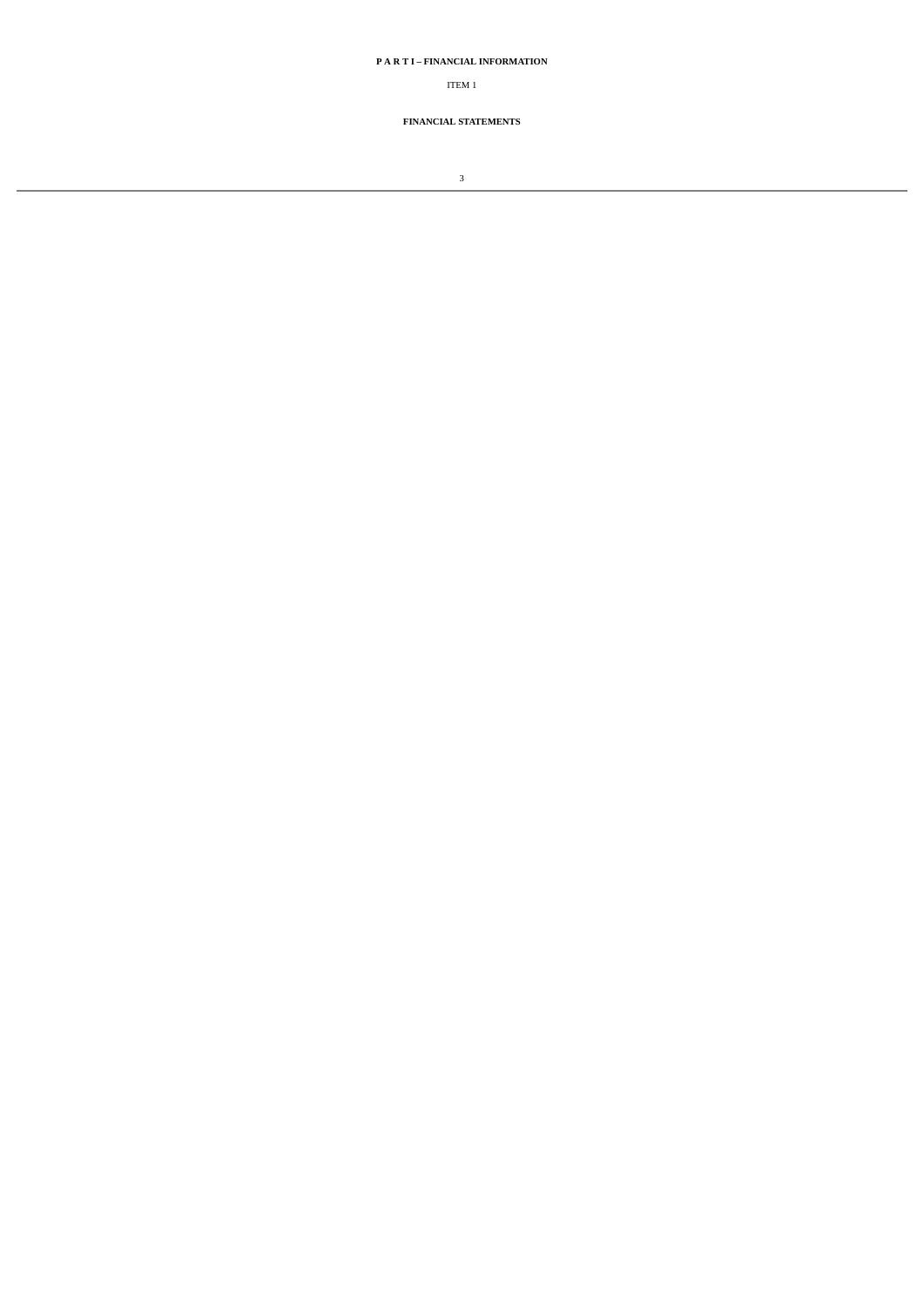# **P A R T I – FINANCIAL INFORMATION**

# ITEM 1

# **FINANCIAL STATEMENTS**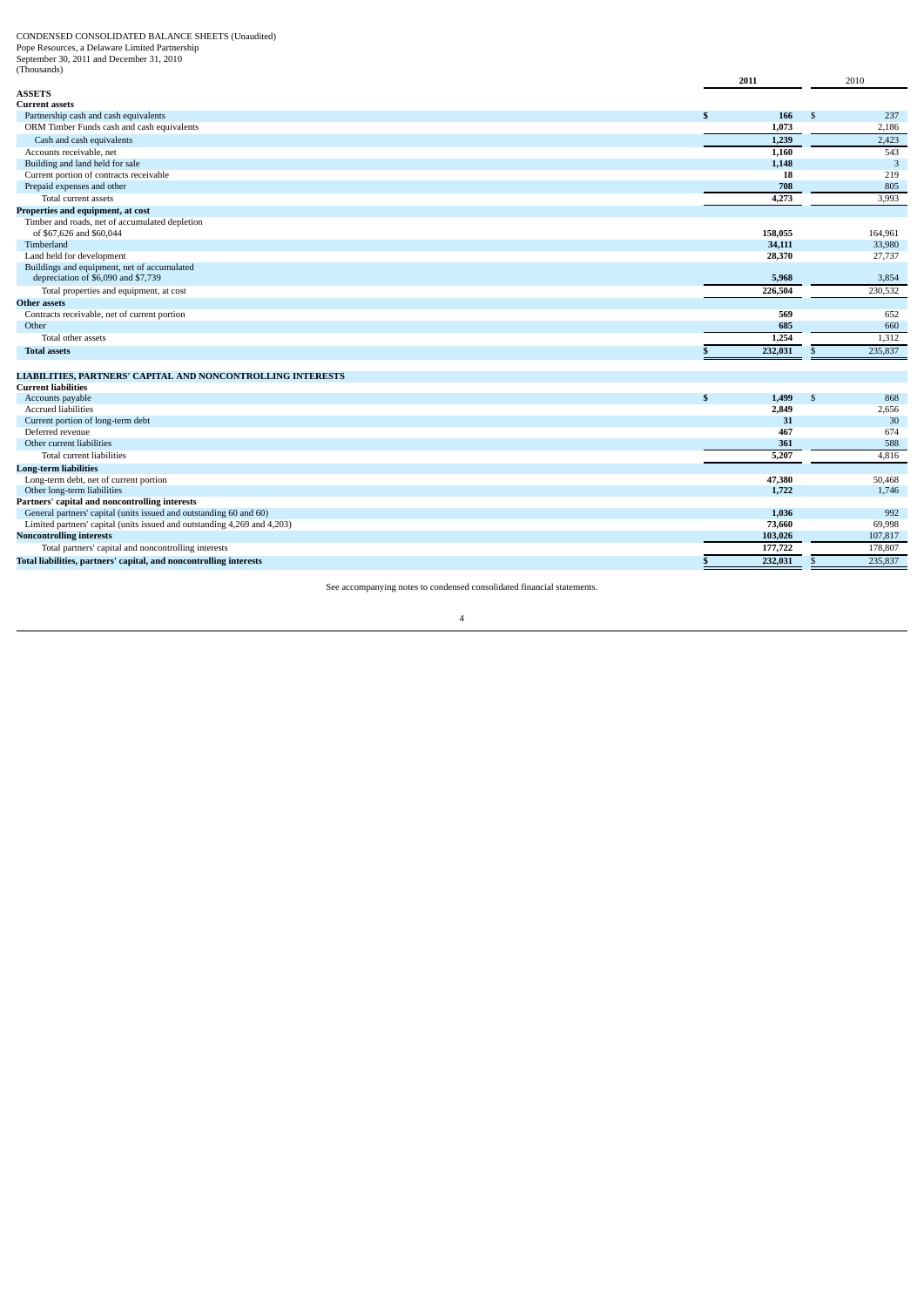<span id="page-3-0"></span>CONDENSED CONSOLIDATED BALANCE SHEETS (Unaudited) Pope Resources, a Delaware Limited Partnership September 30, 2011 and December 31, 2010 (Thousands)

| (Thousands)                                                                         |              |             | 2010                    |
|-------------------------------------------------------------------------------------|--------------|-------------|-------------------------|
| <b>ASSETS</b>                                                                       | 2011         |             |                         |
|                                                                                     |              |             |                         |
| <b>Current assets</b>                                                               | \$           | 166         | \$<br>237               |
| Partnership cash and cash equivalents<br>ORM Timber Funds cash and cash equivalents |              | 1,073       | 2,186                   |
|                                                                                     |              | 1,239       | 2,423                   |
| Cash and cash equivalents<br>Accounts receivable, net                               |              |             | 543                     |
|                                                                                     |              | 1,160       |                         |
| Building and land held for sale                                                     |              | 1,148<br>18 | 3<br>219                |
| Current portion of contracts receivable<br>Prepaid expenses and other               |              | 708         | 805                     |
|                                                                                     |              |             |                         |
| Total current assets                                                                |              | 4,273       | 3,993                   |
| Properties and equipment, at cost                                                   |              |             |                         |
| Timber and roads, net of accumulated depletion<br>of \$67,626 and \$60,044          |              | 158,055     | 164,961                 |
| Timberland                                                                          |              | 34,111      | 33,980                  |
| Land held for development                                                           |              | 28,370      | 27,737                  |
| Buildings and equipment, net of accumulated                                         |              |             |                         |
| depreciation of \$6,090 and \$7,739                                                 |              | 5,968       | 3,854                   |
| Total properties and equipment, at cost                                             |              | 226,504     | 230,532                 |
| <b>Other assets</b>                                                                 |              |             |                         |
| Contracts receivable, net of current portion                                        |              | 569         | 652                     |
| Other                                                                               |              | 685         | 660                     |
| Total other assets                                                                  |              | 1,254       | 1,312                   |
| <b>Total assets</b>                                                                 |              | 232,031     | 235,837                 |
| LIABILITIES, PARTNERS' CAPITAL AND NONCONTROLLING INTERESTS                         |              |             |                         |
| <b>Current liabilities</b>                                                          |              |             |                         |
| Accounts payable                                                                    | $\mathbf{s}$ | 1,499       | \$<br>868               |
| Accrued liabilities                                                                 |              | 2,849       | 2,656                   |
| Current portion of long-term debt                                                   |              | 31          | 30                      |
| Deferred revenue                                                                    |              | 467         | 674                     |
| Other current liabilities                                                           |              | 361         | 588                     |
| Total current liabilities                                                           |              | 5.207       | 4,816                   |
| <b>Long-term liabilities</b>                                                        |              |             |                         |
| Long-term debt, net of current portion                                              |              | 47,380      | 50,468                  |
| Other long-term liabilities                                                         |              | 1,722       | 1,746                   |
| Partners' capital and noncontrolling interests                                      |              |             |                         |
| General partners' capital (units issued and outstanding 60 and 60)                  |              | 1,036       | 992                     |
| Limited partners' capital (units issued and outstanding 4,269 and 4,203)            |              | 73,660      | 69.998                  |
| <b>Noncontrolling interests</b>                                                     |              | 103,026     | 107,817                 |
| Total partners' capital and noncontrolling interests                                |              | 177,722     | 178,807                 |
| Total liabilities, partners' capital, and noncontrolling interests                  |              | 232,031     | 235,837<br>$\mathbb{S}$ |

See accompanying notes to condensed consolidated financial statements.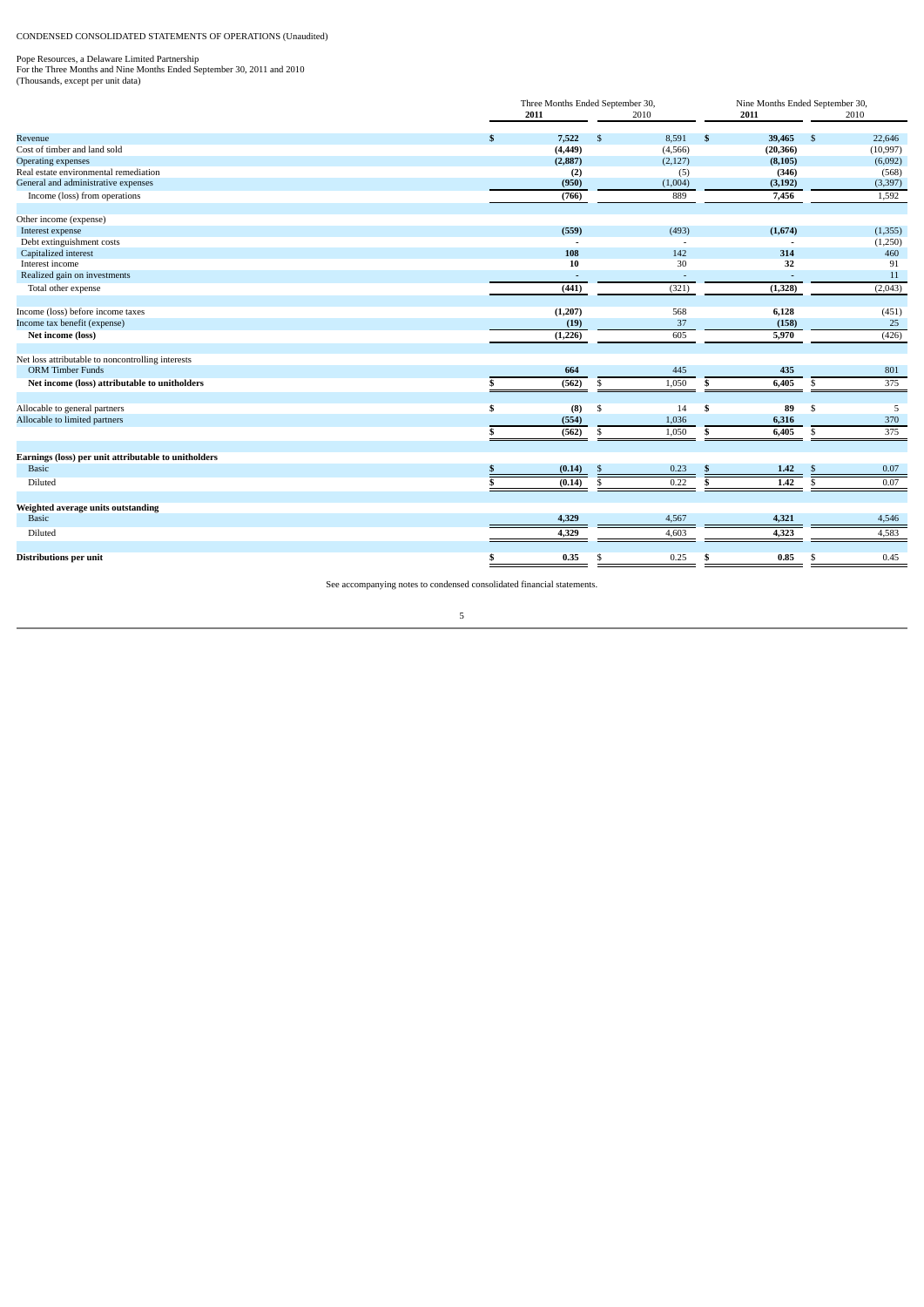<span id="page-4-0"></span>CONDENSED CONSOLIDATED STATEMENTS OF OPERATIONS (Unaudited)

Pope Resources, a Delaware Limited Partnership For the Three Months and Nine Months Ended September 30, 2011 and 2010 (Thousands, except per unit data)

|                                                      |    | Three Months Ended September 30,<br>2011 |    | 2010     |    | Nine Months Ended September 30,<br>2011 |               | 2010      |
|------------------------------------------------------|----|------------------------------------------|----|----------|----|-----------------------------------------|---------------|-----------|
| Revenue                                              | ÷. | 7,522                                    | \$ | 8,591    | -S | 39,465                                  | -S            | 22,646    |
| Cost of timber and land sold                         |    | (4, 449)                                 |    | (4, 566) |    | (20, 366)                               |               | (10, 997) |
| Operating expenses                                   |    | (2, 887)                                 |    | (2,127)  |    | (8, 105)                                |               | (6,092)   |
| Real estate environmental remediation                |    | (2)                                      |    | (5)      |    | (346)                                   |               | (568)     |
| General and administrative expenses                  |    | (950)                                    |    | (1,004)  |    | (3, 192)                                |               | (3, 397)  |
| Income (loss) from operations                        |    | (766)                                    |    | 889      |    | 7,456                                   |               | 1,592     |
| Other income (expense)                               |    |                                          |    |          |    |                                         |               |           |
| Interest expense                                     |    | (559)                                    |    | (493)    |    | (1,674)                                 |               | (1, 355)  |
| Debt extinguishment costs                            |    |                                          |    |          |    |                                         |               | (1,250)   |
| Capitalized interest                                 |    | 108                                      |    | 142      |    | 314                                     |               | 460       |
| Interest income                                      |    | 10                                       |    | 30       |    | 32                                      |               | 91        |
| Realized gain on investments                         |    |                                          |    | $\sim$   |    |                                         |               | 11        |
| Total other expense                                  |    | (441)                                    |    | (321)    |    | (1, 328)                                |               | (2,043)   |
| Income (loss) before income taxes                    |    | (1, 207)                                 |    | 568      |    | 6,128                                   |               | (451)     |
| Income tax benefit (expense)                         |    | (19)                                     |    | 37       |    | (158)                                   |               | 25        |
| Net income (loss)                                    |    | (1,226)                                  |    | 605      |    | 5,970                                   |               | (426)     |
| Net loss attributable to noncontrolling interests    |    |                                          |    |          |    |                                         |               |           |
| <b>ORM</b> Timber Funds                              |    | 664                                      |    | 445      |    | 435                                     |               | 801       |
| Net income (loss) attributable to unitholders        |    | (562)                                    | \$ | 1,050    | \$ | 6,405                                   |               | 375       |
| Allocable to general partners                        | S  | (8)                                      | \$ | 14       | \$ | 89                                      | S             | 5         |
| Allocable to limited partners                        |    | (554)                                    |    | 1,036    |    | 6,316                                   |               | 370       |
|                                                      |    | (562)                                    | \$ | 1,050    | S  | 6,405                                   | \$            | 375       |
| Earnings (loss) per unit attributable to unitholders |    |                                          |    |          |    |                                         |               |           |
| Basic                                                |    | (0.14)                                   | .S | 0.23     | S. | 1.42                                    | $\mathcal{S}$ | 0.07      |
| Diluted                                              |    | (0.14)                                   | S  | 0.22     | £. | 1.42                                    | .S            | 0.07      |
| Weighted average units outstanding                   |    |                                          |    |          |    |                                         |               |           |
| Basic                                                |    | 4,329                                    |    | 4,567    |    | 4,321                                   |               | 4,546     |
| Diluted                                              |    | 4,329                                    |    | 4,603    |    | 4,323                                   |               | 4,583     |
| <b>Distributions per unit</b>                        | S  | 0.35                                     | \$ | 0.25     | \$ | 0.85                                    | S             | 0.45      |

See accompanying notes to condensed consolidated financial statements.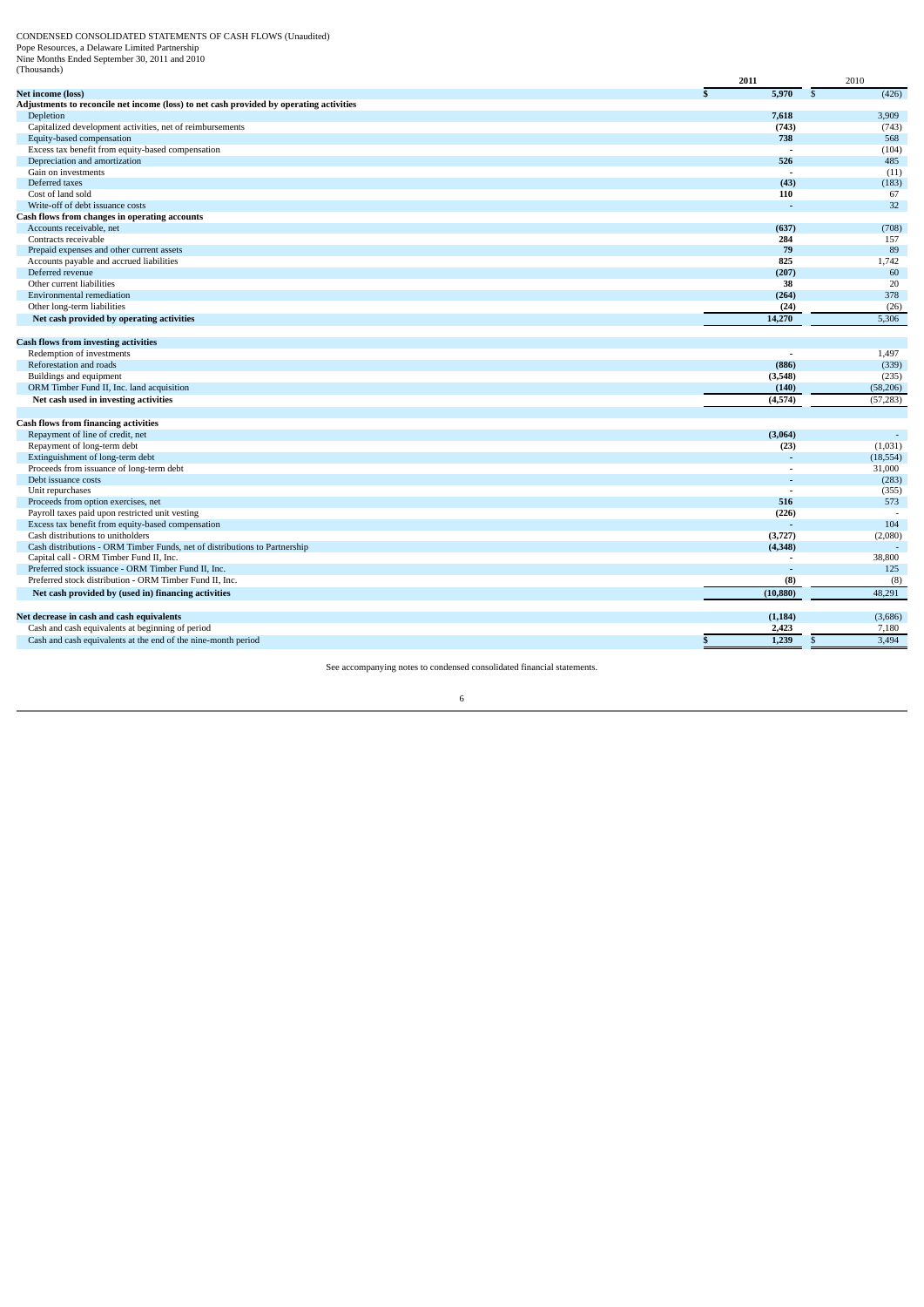<span id="page-5-0"></span>CONDENSED CONSOLIDATED STATEMENTS OF CASH FLOWS (Unaudited) Pope Resources, a Delaware Limited Partnership Nine Months Ended September 30, 2011 and 2010 (Thousands)

| [Thousands]                                                                             | 2011           | 2010                     |
|-----------------------------------------------------------------------------------------|----------------|--------------------------|
| Net income (loss)                                                                       | 5.970          | (426)<br>$\mathbf{s}$    |
| Adjustments to reconcile net income (loss) to net cash provided by operating activities |                |                          |
| Depletion                                                                               | 7.618          | 3,909                    |
| Capitalized development activities, net of reimbursements                               | (743)          | (743)                    |
| Equity-based compensation                                                               | 738            | 568                      |
| Excess tax benefit from equity-based compensation                                       | Ĭ.             | (104)                    |
| Depreciation and amortization                                                           | 526            | 485                      |
| Gain on investments                                                                     |                | (11)                     |
| Deferred taxes                                                                          | (43)           | (183)                    |
| Cost of land sold                                                                       | 110            | 67                       |
| Write-off of debt issuance costs                                                        |                | 32                       |
| Cash flows from changes in operating accounts                                           |                |                          |
| Accounts receivable, net                                                                | (637)          | (708)                    |
| Contracts receivable                                                                    | 284            | 157                      |
| Prepaid expenses and other current assets                                               | 79             | 89                       |
| Accounts payable and accrued liabilities                                                | 825            | 1,742                    |
| Deferred revenue                                                                        | (207)          | 60                       |
| Other current liabilities                                                               | 38             | 20                       |
| <b>Environmental remediation</b>                                                        | (264)          | 378                      |
| Other long-term liabilities                                                             | (24)           | (26)                     |
| Net cash provided by operating activities                                               | 14,270         | 5,306                    |
|                                                                                         |                |                          |
| Cash flows from investing activities                                                    |                |                          |
| Redemption of investments                                                               | $\overline{a}$ | 1,497                    |
| Reforestation and roads                                                                 | (886)          | (339)                    |
| Buildings and equipment                                                                 | (3,548)        | (235)                    |
| ORM Timber Fund II, Inc. land acquisition                                               | (140)          | (58, 206)                |
| Net cash used in investing activities                                                   | (4,574)        | (57, 283)                |
|                                                                                         |                |                          |
| <b>Cash flows from financing activities</b>                                             |                |                          |
| Repayment of line of credit, net                                                        | (3,064)        |                          |
| Repayment of long-term debt                                                             | (23)           | (1,031)                  |
| Extinguishment of long-term debt                                                        | ÷,             | (18, 554)                |
| Proceeds from issuance of long-term debt                                                | ٠              | 31,000                   |
| Debt issuance costs                                                                     |                | (283)                    |
| Unit repurchases                                                                        | J.             | (355)                    |
| Proceeds from option exercises, net                                                     | 516            | 573                      |
| Payroll taxes paid upon restricted unit vesting                                         | (226)          | $\overline{\phantom{a}}$ |
| Excess tax benefit from equity-based compensation                                       |                | 104                      |
| Cash distributions to unitholders                                                       | (3,727)        | (2,080)                  |
| Cash distributions - ORM Timber Funds, net of distributions to Partnership              | (4, 348)       |                          |
| Capital call - ORM Timber Fund II, Inc.                                                 |                | 38,800                   |
| Preferred stock issuance - ORM Timber Fund II, Inc.                                     |                | 125                      |
| Preferred stock distribution - ORM Timber Fund II. Inc.                                 | (8)            | (8)                      |
| Net cash provided by (used in) financing activities                                     | (10, 880)      | 48,291                   |
|                                                                                         |                |                          |
| Net decrease in cash and cash equivalents                                               | (1, 184)       | (3,686)                  |
| Cash and cash equivalents at beginning of period                                        | 2,423          | 7,180                    |
| Cash and cash equivalents at the end of the nine-month period                           | 1.239          | 3.494                    |
|                                                                                         |                |                          |

See accompanying notes to condensed consolidated financial statements.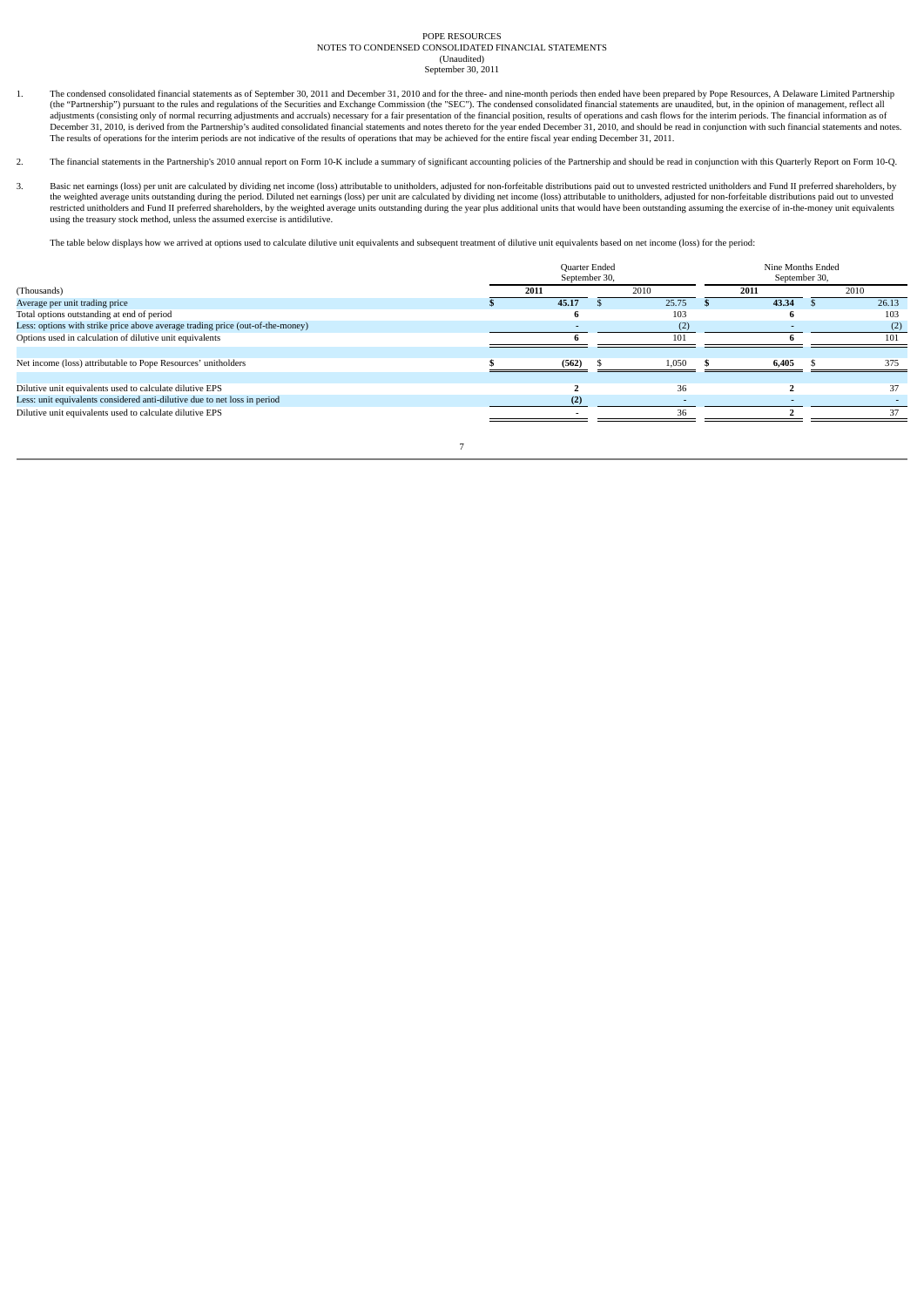#### <span id="page-6-0"></span>POPE RESOURCES NOTES TO CONDENSED CONSOLIDATED FINANCIAL STATEMENTS (Unaudited) September 30, 2011

- 1. The condensed consolidated financial statements as of September 30, 2011 and December 31, 2010 and for the three- and nine-month periods then ended have been prepared by Pope Resources, A Delaware Limited Partnership (t The results of operations for the interim periods are not indicative of the results of operations that may be achieved for the entire fiscal year ending December 31, 2011.
- 2. The financial statements in the Partnership's 2010 annual report on Form 10-K include a summary of significant accounting policies of the Partnership and should be read in conjunction with this Quarterly Report on Form
- 3. Basic net earnings (loss) per unit are calculated by dividing net income (loss) attributable to unitholders, adjusted for non-forfeitable distributions paid out to unvested restricted unitholders and Fund II preferred s restricted unitholders and Fund II preferred shareholders, by the weighted average units outstanding during the year plus additional units that would have been outstanding assuming the exercise of in-the-money unit equival using the treasury stock method, unless the assumed exercise is antidilutive.

The table below displays how we arrived at options used to calculate dilutive unit equivalents and subsequent treatment of dilutive unit equivalents based on net income (loss) for the period:

|                                                                                | Quarter Ended<br>September 30, | Nine Months Ended<br>September 30, |  |       |  |       |
|--------------------------------------------------------------------------------|--------------------------------|------------------------------------|--|-------|--|-------|
| (Thousands)                                                                    | 2011                           | 2010                               |  | 2011  |  | 2010  |
| Average per unit trading price                                                 | 45.17                          | 25.75                              |  | 43.34 |  | 26.13 |
| Total options outstanding at end of period                                     |                                | 103                                |  |       |  | 103   |
| Less: options with strike price above average trading price (out-of-the-money) |                                | (2)                                |  |       |  | (2)   |
| Options used in calculation of dilutive unit equivalents                       |                                | 101                                |  |       |  | 101   |
|                                                                                |                                |                                    |  |       |  |       |
| Net income (loss) attributable to Pope Resources' unitholders                  | (562)                          | 1.050                              |  | 6.405 |  | 375   |
|                                                                                |                                |                                    |  |       |  |       |
| Dilutive unit equivalents used to calculate dilutive EPS                       |                                | 36                                 |  |       |  |       |
| Less: unit equivalents considered anti-dilutive due to net loss in period      | (2)                            |                                    |  |       |  |       |
| Dilutive unit equivalents used to calculate dilutive EPS                       |                                | 36                                 |  |       |  |       |
|                                                                                |                                |                                    |  |       |  |       |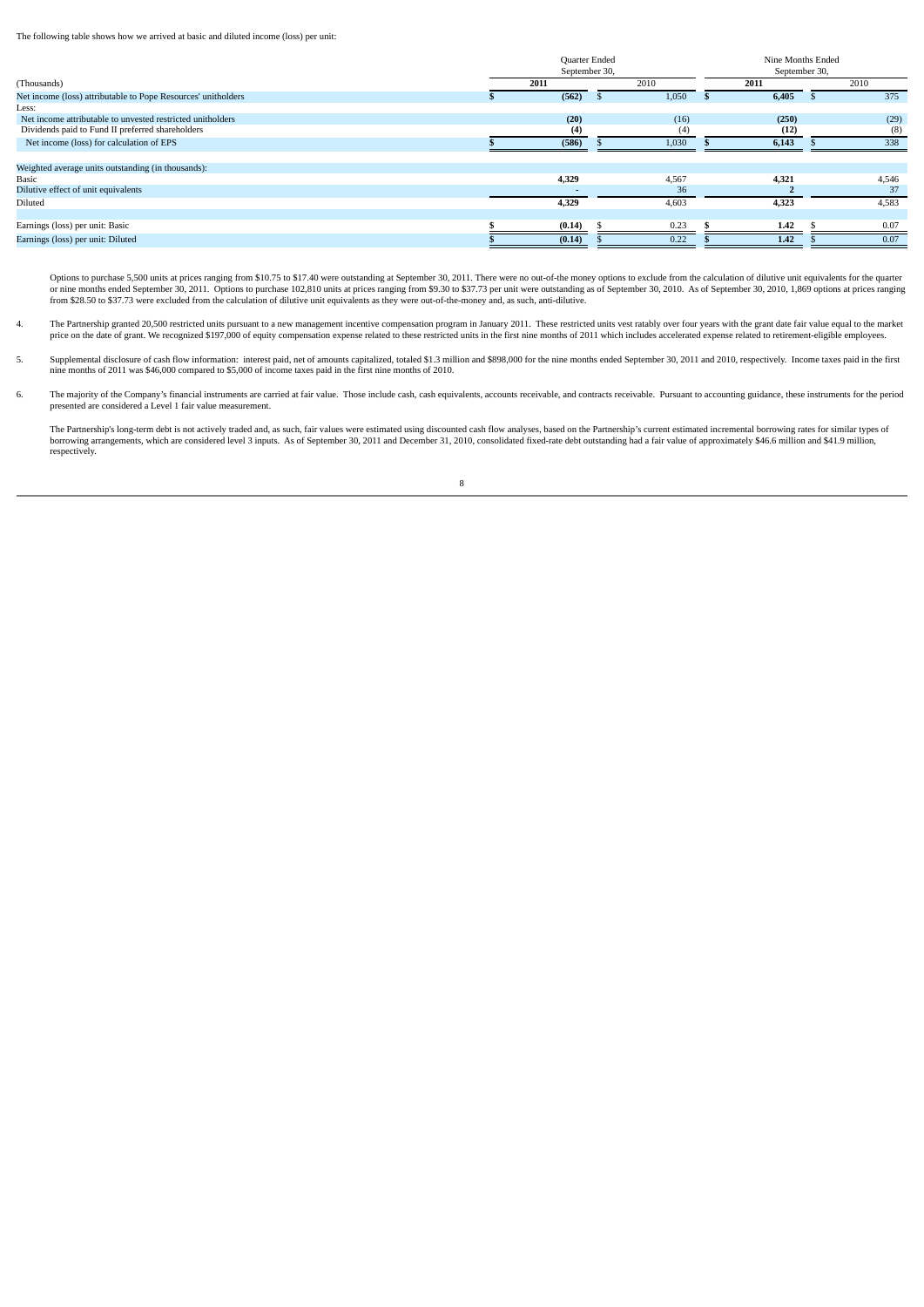The following table shows how we arrived at basic and diluted income (loss) per unit:

|                                                               | Quarter Ended<br>September 30, |  | Nine Months Ended<br>September 30, |       |  |       |
|---------------------------------------------------------------|--------------------------------|--|------------------------------------|-------|--|-------|
| (Thousands)                                                   | 2011                           |  | 2010                               | 2011  |  | 2010  |
| Net income (loss) attributable to Pope Resources' unitholders | (562)                          |  | 1,050                              | 6,405 |  | 375   |
| Less:                                                         |                                |  |                                    |       |  |       |
| Net income attributable to unvested restricted unitholders    | (20)                           |  | (16)                               | (250) |  | (29)  |
| Dividends paid to Fund II preferred shareholders              | (4)                            |  | (4)                                | (12)  |  | (8)   |
| Net income (loss) for calculation of EPS                      | (586)                          |  | 1,030                              | 6,143 |  | 338   |
|                                                               |                                |  |                                    |       |  |       |
| Weighted average units outstanding (in thousands):            |                                |  |                                    |       |  |       |
| <b>Basic</b>                                                  | 4,329                          |  | 4,567                              | 4,321 |  | 4,546 |
| Dilutive effect of unit equivalents                           |                                |  | 36                                 |       |  | 37    |
| Diluted                                                       | 4,329                          |  | 4,603                              | 4,323 |  | 4,583 |
|                                                               |                                |  |                                    |       |  |       |
| Earnings (loss) per unit: Basic                               | (0.14)                         |  | 0.23                               | 1.42  |  | 0.07  |
| Earnings (loss) per unit: Diluted                             | (0.14)                         |  | 0.22                               | 1.42  |  | 0.07  |

Options to purchase 5,500 units at prices ranging from \$10.75 to \$17.40 were outstanding at September 30, 2011. There were no out-of-the money options to exclude from the calculation of dilutive unit equivalents for the qu

- 4. The Partnership granted 20,500 restricted units pursuant to a new management incentive compensation program in January 2011. These restricted units vest ratably over four years with the grant date fair value equal to th
- 5. Supplemental disclosure of cash flow information: interest paid, net of amounts capitalized, totaled \$1.3 million and \$898,000 for the nine months ended September 30, 2011 and 2010, respectively. Income taxes paid in th nine months of 2011 was \$46,000 compared to \$5,000 of income taxes paid in the first nine months of 2010.
- 6. The majority of the Company's financial instruments are carried at fair value. Those include cash, cash equivalents, accounts receivable, and contracts receivable. Pursuant to accounting guidance, these instruments for

The Partnership's long-term debt is not actively traded and, as such, fair values were estimated using discounted cash flow analyses, based on the Partnership's current estimated incremental borrowing rates for similar typ respectively.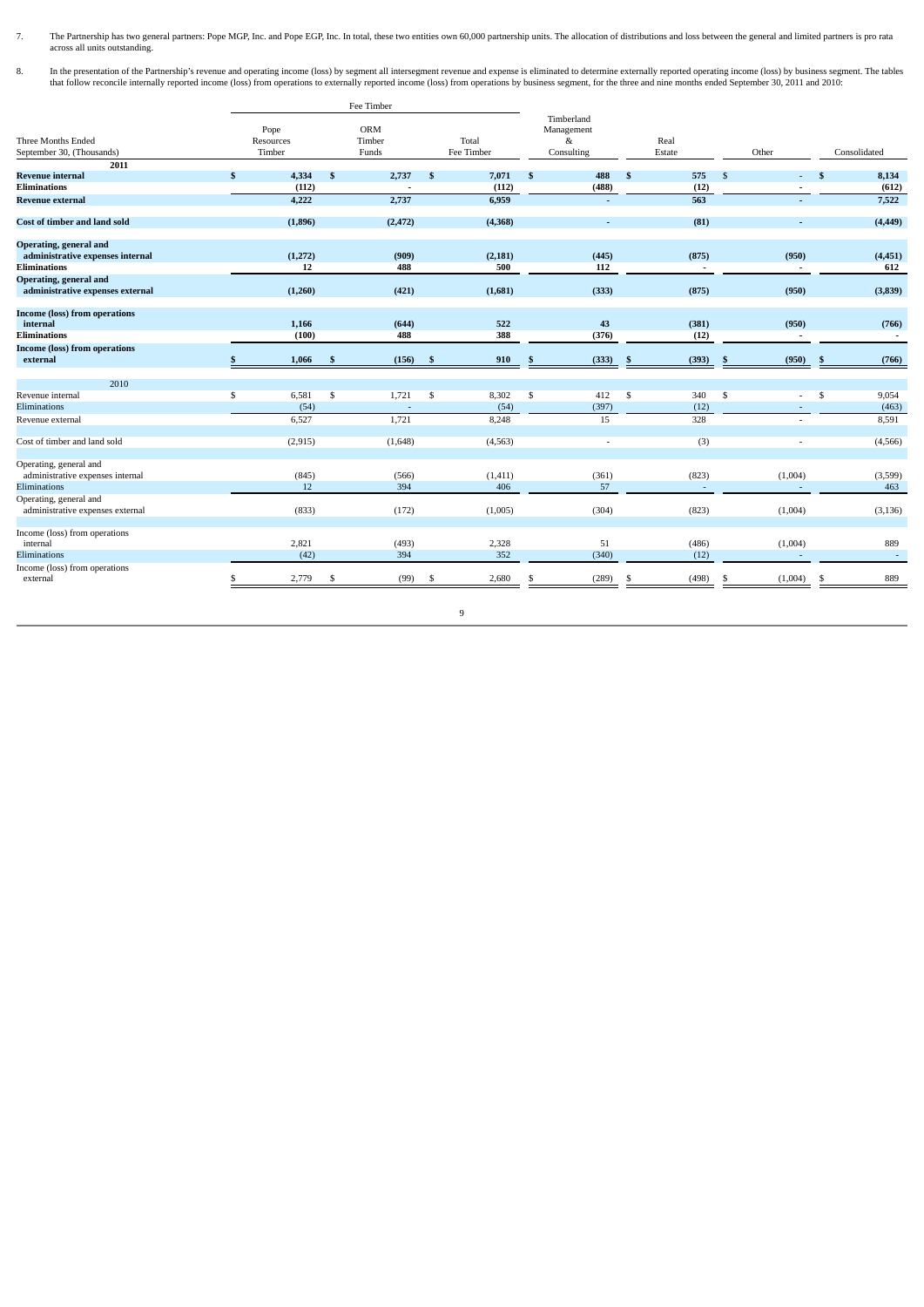7. The Partnership has two general partners: Pope MGP, Inc. and Pope EGP, Inc. In total, these two entities own 60,000 partnership units. The allocation of distributions and loss between the general and limited partners is

8. In the presentation of the Partnership's revenue and operating income (loss) by segment all intersegment revenue and expense is eliminated to determine externally reported operating income (loss) by business segment. Th

|                                                            |              |                             |              | Fee Timber                    |          |                     |    |                                             |              |                |              |                   |                |
|------------------------------------------------------------|--------------|-----------------------------|--------------|-------------------------------|----------|---------------------|----|---------------------------------------------|--------------|----------------|--------------|-------------------|----------------|
| <b>Three Months Ended</b><br>September 30, (Thousands)     |              | Pope<br>Resources<br>Timber |              | <b>ORM</b><br>Timber<br>Funds |          | Total<br>Fee Timber |    | Timberland<br>Management<br>&<br>Consulting |              | Real<br>Estate |              | Other             | Consolidated   |
| 2011                                                       |              |                             |              |                               |          |                     |    |                                             |              |                |              |                   |                |
| <b>Revenue internal</b>                                    | $\mathbf{s}$ | 4,334                       | $\mathbf{s}$ | 2,737                         | <b>S</b> | 7,071               | \$ | 488                                         | $\mathbf{s}$ | 575            | $\mathbb{S}$ | $\sim$            | \$<br>8,134    |
| <b>Eliminations</b>                                        |              | (112)                       |              |                               |          | (112)               |    | (488)                                       |              | (12)           |              |                   | (612)          |
| <b>Revenue external</b>                                    |              | 4,222                       |              | 2,737                         |          | 6,959               |    | ÷                                           |              | 563            |              | $\sim$            | 7,522          |
| <b>Cost of timber and land sold</b>                        |              | (1,896)                     |              | (2, 472)                      |          | (4,368)             |    |                                             |              | (81)           |              |                   | (4, 449)       |
| Operating, general and<br>administrative expenses internal |              | (1,272)                     |              | (909)                         |          | (2, 181)            |    | (445)                                       |              | (875)          |              | (950)             | (4, 451)       |
| <b>Eliminations</b>                                        |              | 12                          |              | 488                           |          | 500                 |    | 112                                         |              |                |              |                   | 612            |
| Operating, general and<br>administrative expenses external |              | (1,260)                     |              | (421)                         |          | (1,681)             |    | (333)                                       |              | (875)          |              | (950)             | (3,839)        |
| <b>Income (loss) from operations</b><br>internal           |              | 1,166                       |              | (644)                         |          | 522                 |    | 43                                          |              | (381)          |              | (950)             | (766)          |
| <b>Eliminations</b>                                        |              | (100)                       |              | 488                           |          | 388                 |    | (376)                                       |              | (12)           |              | $\sim$            | $\sim$         |
| <b>Income (loss) from operations</b>                       |              |                             |              |                               |          |                     |    |                                             |              |                |              |                   |                |
| external                                                   |              | 1,066                       | S.           | (156)                         | - \$     | 910                 |    | (333)                                       | Æ            | (393)          | -6           | (950)             | (766)          |
|                                                            |              |                             |              |                               |          |                     |    |                                             |              |                |              |                   |                |
| 2010                                                       |              |                             |              |                               |          |                     |    |                                             |              |                |              |                   |                |
| Revenue internal<br>Eliminations                           | \$           | 6,581                       | \$           | 1,721                         | -S       | 8,302               | \$ | 412                                         | \$           | 340            | \$           | $\sim$            | \$<br>9,054    |
| Revenue external                                           |              | (54)<br>6,527               |              | 1,721                         |          | (54)<br>8,248       |    | (397)<br>15                                 |              | (12)<br>328    |              |                   | (463)<br>8,591 |
|                                                            |              |                             |              |                               |          |                     |    |                                             |              |                |              |                   |                |
| Cost of timber and land sold                               |              | (2, 915)                    |              | (1,648)                       |          | (4, 563)            |    |                                             |              | (3)            |              |                   | (4,566)        |
| Operating, general and<br>administrative expenses internal |              | (845)                       |              | (566)                         |          | (1, 411)            |    | (361)                                       |              | (823)          |              | (1,004)           | (3,599)        |
| Eliminations                                               |              | 12                          |              | 394                           |          | 406                 |    | 57                                          |              | $\sim$         |              | $\sim$            | 463            |
| Operating, general and<br>administrative expenses external |              | (833)                       |              | (172)                         |          | (1,005)             |    | (304)                                       |              | (823)          |              | (1,004)           | (3, 136)       |
| Income (loss) from operations<br>internal<br>Eliminations  |              | 2,821<br>(42)               |              | (493)<br>394                  |          | 2,328<br>352        |    | 51<br>(340)                                 |              | (486)<br>(12)  |              | (1,004)<br>$\sim$ | 889<br>$\sim$  |
| Income (loss) from operations<br>external                  |              | 2,779                       | \$           | (99)                          | \$       | 2,680               | S  | (289)                                       | S            | (498)          | -S           | (1,004)           | \$<br>889      |
|                                                            |              |                             |              |                               |          |                     |    |                                             |              |                |              |                   |                |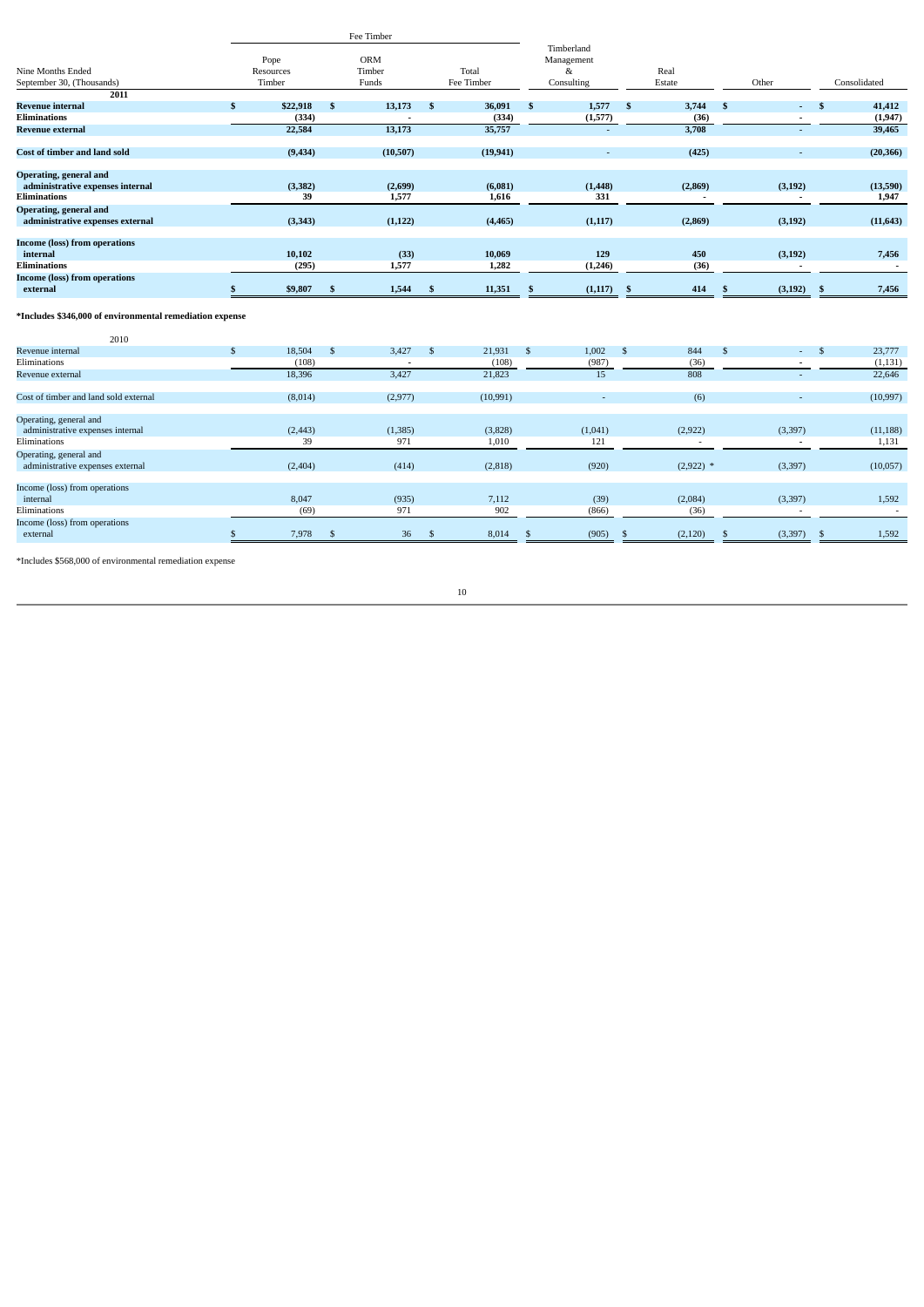|                                                            |    |                             | Fee Timber     |                               |              |                     |              |                                                          |                |                          |               |                   |               |                    |
|------------------------------------------------------------|----|-----------------------------|----------------|-------------------------------|--------------|---------------------|--------------|----------------------------------------------------------|----------------|--------------------------|---------------|-------------------|---------------|--------------------|
| Nine Months Ended<br>September 30, (Thousands)             |    | Pope<br>Resources<br>Timber |                | <b>ORM</b><br>Timber<br>Funds |              | Total<br>Fee Timber |              | Timberland<br>Management<br>8 <sub>x</sub><br>Consulting |                | Real<br>Estate           |               | Other             |               | Consolidated       |
| 2011                                                       |    |                             |                |                               |              |                     |              |                                                          |                |                          |               |                   |               |                    |
| <b>Revenue internal</b>                                    | \$ | \$22,918<br>(334)           | $\mathbf{s}$   | 13,173                        | <b>S</b>     | 36,091              | $\mathbf{s}$ | 1,577                                                    | \$             | 3,744                    | \$            | $\sim 100$        | -S            | 41,412             |
| <b>Eliminations</b>                                        |    | 22,584                      |                | 13,173                        |              | (334)               |              | (1,577)                                                  |                | (36)<br>3,708            |               |                   |               | (1, 947)<br>39,465 |
| <b>Revenue external</b>                                    |    |                             |                |                               |              | 35,757              |              | L,                                                       |                |                          |               |                   |               |                    |
| <b>Cost of timber and land sold</b>                        |    | (9, 434)                    |                | (10,507)                      |              | (19, 941)           |              | ÷,                                                       |                | (425)                    |               |                   |               | (20, 366)          |
| Operating, general and                                     |    |                             |                |                               |              |                     |              |                                                          |                |                          |               |                   |               |                    |
| administrative expenses internal                           |    | (3, 382)                    |                | (2,699)                       |              | (6,081)             |              | (1, 448)                                                 |                | (2,869)                  |               | (3, 192)          |               | (13,590)           |
| <b>Eliminations</b>                                        |    | 39                          |                | 1,577                         |              | 1,616               |              | 331                                                      |                |                          |               |                   |               | 1,947              |
| Operating, general and<br>administrative expenses external |    | (3, 343)                    |                | (1, 122)                      |              | (4, 465)            |              | (1, 117)                                                 |                | (2,869)                  |               | (3, 192)          |               | (11, 643)          |
| <b>Income (loss) from operations</b><br>internal           |    | 10,102                      |                | (33)                          |              | 10,069              |              | 129                                                      |                | 450                      |               | (3, 192)          |               | 7,456              |
| <b>Eliminations</b>                                        |    | (295)                       |                | 1,577                         |              | 1,282               |              | (1,246)                                                  |                | (36)                     |               |                   |               |                    |
| <b>Income (loss) from operations</b>                       |    |                             |                |                               |              |                     |              |                                                          |                |                          |               |                   |               |                    |
| external                                                   |    | \$9,807                     | \$             | 1,544                         | \$           | 11,351              | \$           | (1, 117)                                                 | -\$            | 414                      | £             | (3, 192)          | \$            | 7,456              |
| *Includes \$346,000 of environmental remediation expense   |    |                             |                |                               |              |                     |              |                                                          |                |                          |               |                   |               |                    |
| 2010                                                       |    |                             |                |                               |              |                     |              |                                                          |                |                          |               |                   |               |                    |
| Revenue internal                                           | \$ | 18,504                      | $\mathfrak{s}$ | 3,427                         | \$           | 21,931              | $\mathbb{S}$ | 1,002                                                    | -\$            | 844                      | $\mathbf{s}$  | $\Delta \sim 100$ | - \$          | 23,777             |
| Eliminations                                               |    | (108)                       |                |                               |              | (108)               |              | (987)                                                    |                | (36)                     |               |                   |               | (1, 131)           |
| Revenue external                                           |    | 18,396                      |                | 3,427                         |              | 21,823              |              | 15                                                       |                | 808                      |               |                   |               | 22,646             |
| Cost of timber and land sold external                      |    | (8,014)                     |                | (2,977)                       |              | (10, 991)           |              | $\sim$                                                   |                | (6)                      |               |                   |               | (10, 997)          |
| Operating, general and                                     |    |                             |                |                               |              |                     |              |                                                          |                |                          |               |                   |               |                    |
| administrative expenses internal                           |    | (2, 443)                    |                | (1, 385)                      |              | (3,828)             |              | (1,041)                                                  |                | (2,922)                  |               | (3, 397)          |               | (11, 188)          |
| Eliminations                                               |    | 39                          |                | 971                           |              | 1,010               |              | 121                                                      |                | $\overline{\phantom{a}}$ |               |                   |               | 1,131              |
| Operating, general and                                     |    |                             |                |                               |              |                     |              |                                                          |                |                          |               |                   |               |                    |
| administrative expenses external                           |    | (2, 404)                    |                | (414)                         |              | (2,818)             |              | (920)                                                    |                | $(2,922)$ *              |               | (3, 397)          |               | (10,057)           |
| Income (loss) from operations<br>internal                  |    | 8,047                       |                | (935)                         |              | 7,112               |              | (39)                                                     |                | (2,084)                  |               | (3, 397)          |               | 1,592              |
| Eliminations                                               |    | (69)                        |                | 971                           |              | 902                 |              | (866)                                                    |                | (36)                     |               |                   |               |                    |
| Income (loss) from operations                              |    |                             |                |                               |              |                     |              |                                                          |                |                          |               |                   |               |                    |
| external                                                   | S  | 7,978                       | $\mathcal{S}$  | 36                            | $\mathbb{S}$ | 8,014               | -S           | (905)                                                    | $\mathfrak{s}$ | (2, 120)                 | <sup>\$</sup> | (3, 397)          | <sup>\$</sup> | 1,592              |

\*Includes \$568,000 of environmental remediation expense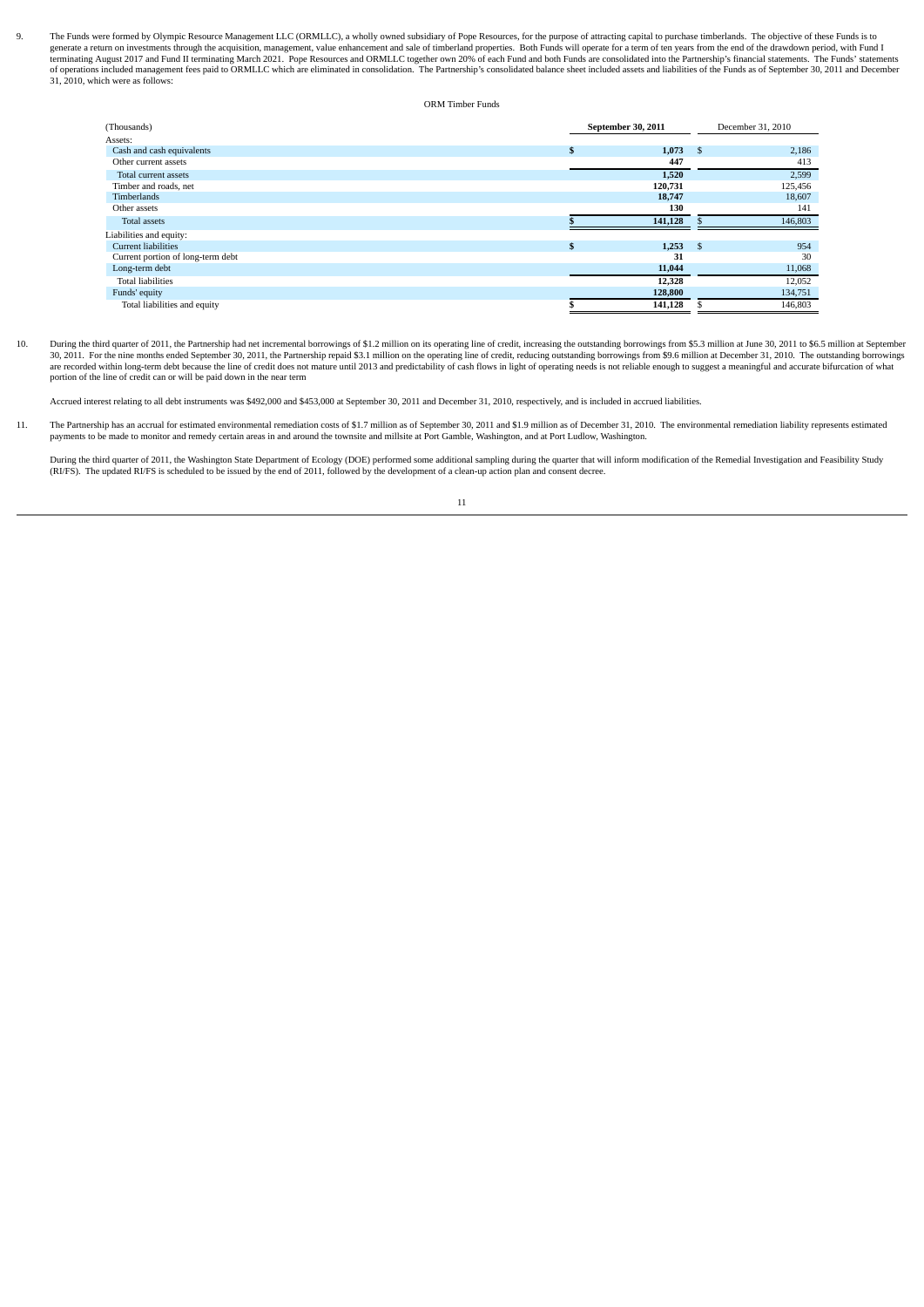9. The Funds were formed by Olympic Resource Management LLC (ORMLLC), a wholly owned subsidiary of Pope Resources, for the purpose of attracting capital to purchase timberlands. The objective of these Funds is to generate a return on investments through the acquisition, management, value enhancement and sale of timberland properties. Both Funds will operate for a term of ten years from the end of the drawdown period, with Fund I wi 31, 2010, which were as follows:

ORM Timber Funds

| (Thousands)                       |   | September 30, 2011 |              | December 31, 2010 |
|-----------------------------------|---|--------------------|--------------|-------------------|
| Assets:                           |   |                    |              |                   |
| Cash and cash equivalents         | s | 1,073              | -S           | 2,186             |
| Other current assets              |   | 447                |              | 413               |
| Total current assets              |   | 1,520              |              | 2,599             |
| Timber and roads, net             |   | 120,731            |              | 125,456           |
| <b>Timberlands</b>                |   | 18,747             |              | 18,607            |
| Other assets                      |   | 130                |              | 141               |
| <b>Total assets</b>               |   | 141,128            |              | 146,803           |
| Liabilities and equity:           |   |                    |              |                   |
| Current liabilities               | ж | 1,253              | $\mathbf{s}$ | 954               |
| Current portion of long-term debt |   | 31                 |              | 30                |
| Long-term debt                    |   | 11,044             |              | 11,068            |
| <b>Total liabilities</b>          |   | 12,328             |              | 12,052            |
| Funds' equity                     |   | 128,800            |              | 134,751           |
| Total liabilities and equity      |   | 141,128            |              | 146,803           |
|                                   |   |                    |              |                   |

10. During the third quarter of 2011, the Partnership had net incremental borrowings of \$1.2 million on its operating line of credit, increasing the outstanding borrowings from \$5.3 million at June 30, 2011 to \$6.5 million 30, 2011. For the nine months ended September 30, 2011, the Partnership repaid \$3.1 million on the operating line of credit, reducing outstanding borrowings from \$9.6 million at December 31, 2010. The outstanding borrowing portion of the line of credit can or will be paid down in the near term

Accrued interest relating to all debt instruments was \$492,000 and \$453,000 at September 30, 2011 and December 31, 2010, respectively, and is included in accrued liabilities.

11. The Partnership has an accrual for estimated environmental remediation costs of \$1.7 million as of September 30, 2011 and \$1.9 million as of December 31, 2010. The environmental remediation liability represents estimat

During the third quarter of 2011, the Washington State Department of Ecology (DOE) performed some additional sampling during the quarter that will inform modification of the Remedial Investigation and Feasibility Study<br>(RI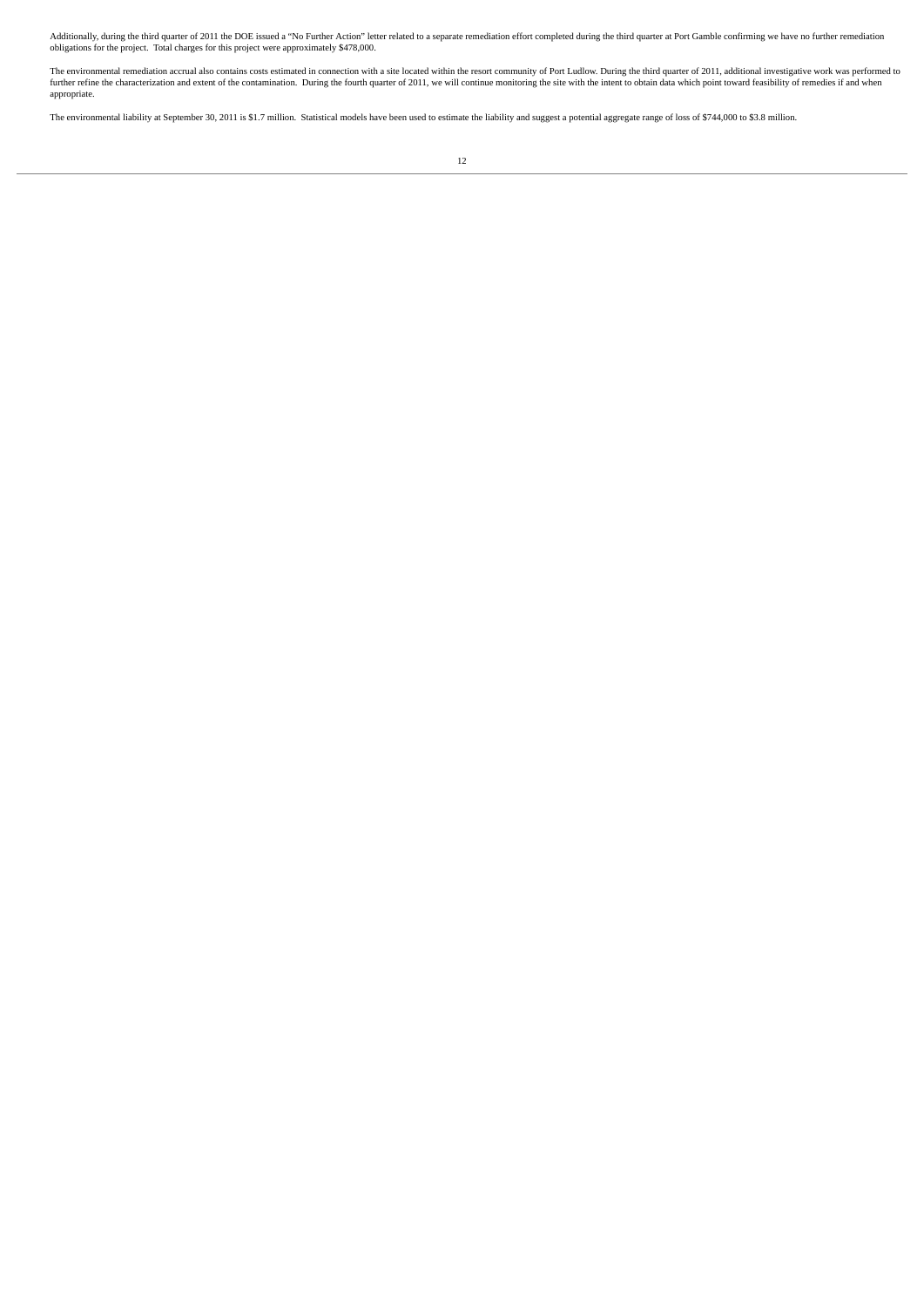Additionally, during the third quarter of 2011 the DOE issued a "No Further Action" letter related to a separate remediation effort completed during the third quarter at Port Gamble confirming we have no further remediatio obligations for the project. Total charges for this project were approximately \$478,000.

The environmental remediation accrual also contains costs estimated in connection with a site located within the resort community of Port Ludlow. During the third quarter of 2011, additional investigative work was performe appropriate.

The environmental liability at September 30, 2011 is \$1.7 million. Statistical models have been used to estimate the liability and suggest a potential aggregate range of loss of \$744,000 to \$3.8 million.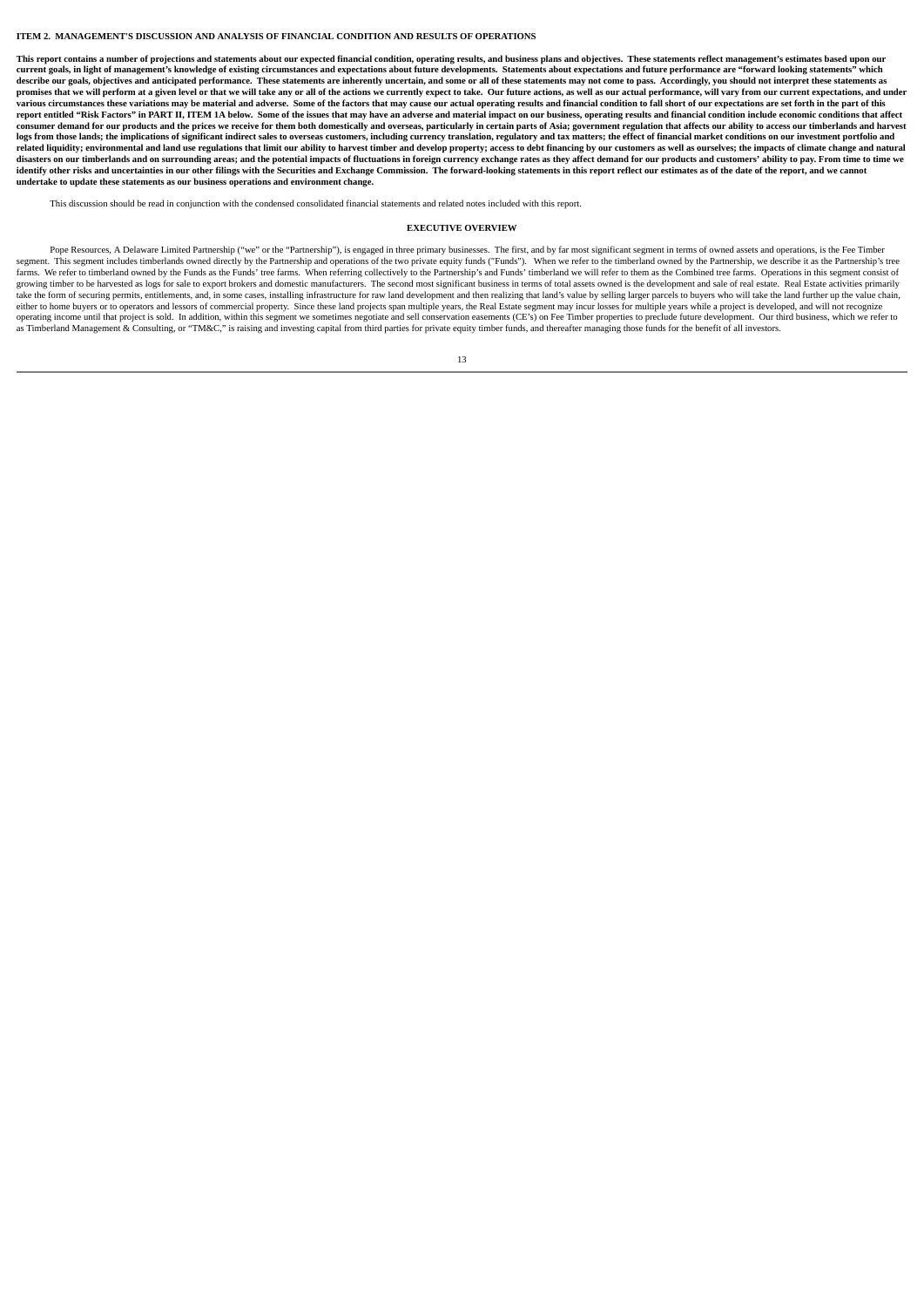#### <span id="page-12-0"></span>**ITEM 2.MANAGEMENT'S DISCUSSION AND ANALYSIS OF FINANCIAL CONDITION AND RESULTS OF OPERATIONS**

This report contains a number of projections and statements about our expected financial condition, operating results, and business plans and objectives. These statements reflect management's estimates based upon our current goals, in light of management's knowledge of existing circumstances and expectations about future developments. Statements about expectations and future performance are "forward looking statements" which<br>describe o exercit on guaranteed produced by the members of the angle of the actions we currently expect to take. Our future actions, as well as our actual performance, will vary from our current expectations, and under promises that various circumstances these variations may be material and adverse. Some of the factors that may cause our actual operating results and financial condition to fall short of our expectations are set forth in the part of thi consumer demand for our products and the prices we receive for them both domestically and overseas, particularly in certain parts of Asia; government regulation that affects our ability to access our timberlands and harves related liquidity; environmental and land use regulations that limit our ability to harvest timber and develop property; access to debt financing by our customers as well as ourselves; the impacts of climate change and nat disasters on our timberlands and on surrounding areas; and the potential impacts of fluctuations in foreign currency exchange rates as they affect demand for our products and customers' ability to pay. From time to time we **undertake to update these statements as our business operations and environment change.**

This discussion should be read in conjunction with the condensed consolidated financial statements and related notes included with this report.

#### **EXECUTIVE OVERVIEW**

Pope Resources, A Delaware Limited Partnership ("we" or the "Partnership"), is engaged in three primary businesses. The first, and by far most significant segment in terms of owned assets and operations, is the Fee Timber take the form of securing permits, entitlements, and, in some cases, installing infrastructure for raw land development and then realizing that land's value by selling larger parcels to buyers who will take the land furthe operating income until that project is sold. In addition, within this segment we sometimes negotiate and sell conservation easements (CE's) on Fee Timber properties to preclude future development. Our third business, which as Timberland Management & Consulting, or "TM&C," is raising and investing capital from third parties for private equity timber funds, and thereafter managing those funds for the benefit of all investors.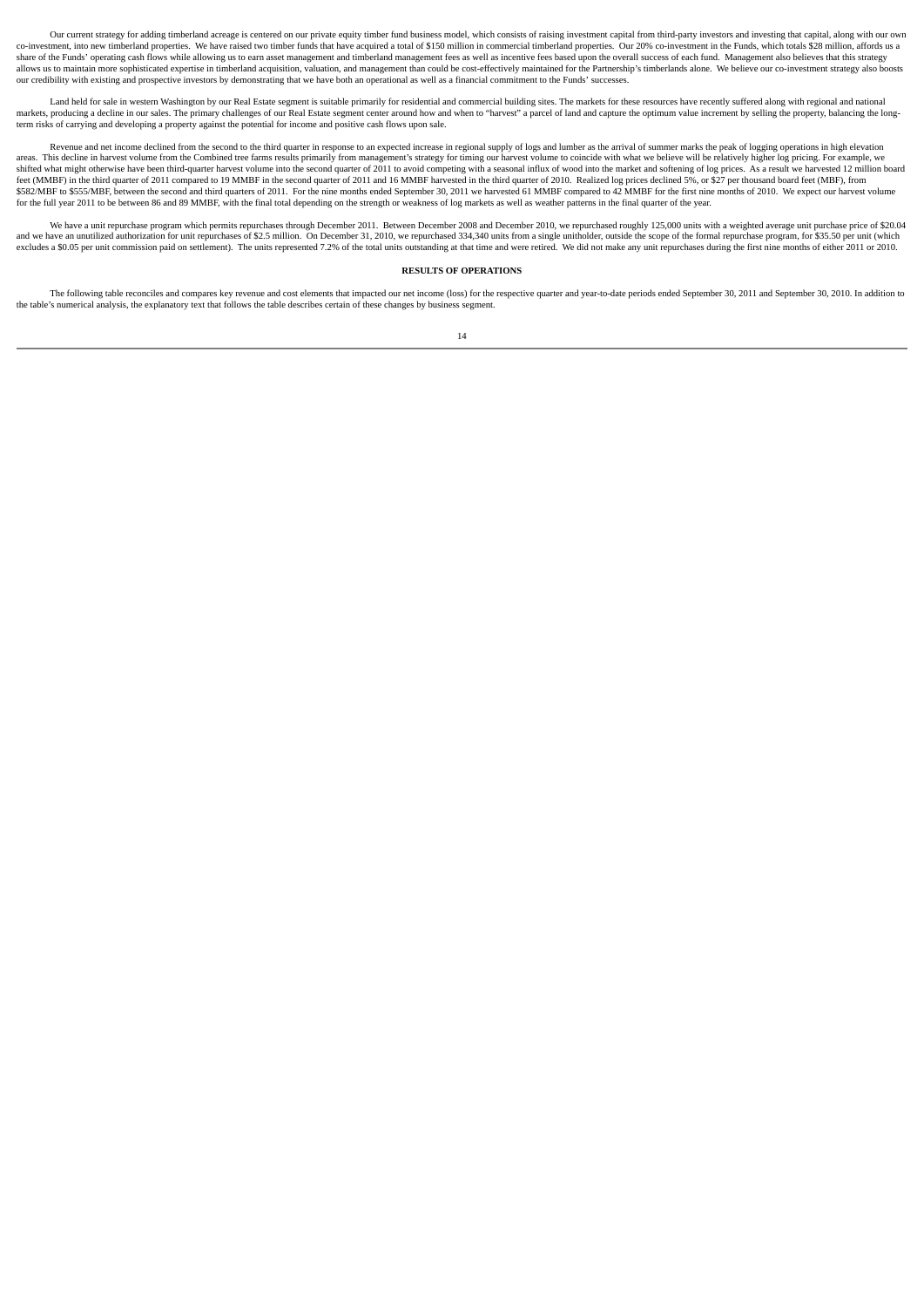Our current strategy for adding timberland acreage is centered on our private equity timber fund business model, which consists of raising investment capital from third-party investors and investing that capital, along wit co-investment, into new timberland properties. We have raised two timber funds that have acquired a total of \$150 million in commercial timberland properties. Our 20% co-investment in the Funds, which totals \$28 million, allows us to maintain more sophisticated expertise in timberland acquisition, valuation, and management than could be cost-effectively maintained for the Partnership's timberlands alone. We believe our co-investment strate

Land held for sale in western Washington by our Real Estate segment is suitable primarily for residential and commercial building sites. The markets for these resources have recently suffered along with regional and national markets, producing a decline in our sales. The primary challenges of our Real Estate segment center around how and when to "harvest" a parcel of land capture the optimum value increment by selling the property, balancing t term risks of carrying and developing a property against the potential for income and positive cash flows upon sale.

Revenue and net income declined from the second to the third quarter in response to an expected increase in regional supply of logs and lumber as the arrival of summer marks the peak of logging operations in high elevation shifted what might otherwise have been third-quarter harvest volume into the second quarter of 2011 to avoid competing with a seasonal influx of wood into the market and softening of log prices. As a result we harvested 12 feet (MMBF) in the third quarter of 2011 compared to 19 MMBF in the second quarter of 2011 and 16 MMBF harvested in the third quarter of 2010. Realized log prices declined 5%, or \$27 per thousand board feet (MBF), from<br>\$58 for the full year 2011 to be between 86 and 89 MMBF, with the final total depending on the strength or weakness of log markets as well as weather patterns in the final quarter of the year.

We have a unit repurchase program which permits repurchases through December 2011. Between December 2008 and December 2010, we repurchased roughly 125,000 units with a weighted average unit purchase price of \$20.04 and we have an unutilized authorization for unit repurchases of \$2.5 million. On December 31, 2010, we repurchased 334,340 units from a single unitholder, outside the scope of the formal repurchase program, for \$35.50 per

#### **RESULTS OF OPERATIONS**

The following table reconciles and compares key revenue and cost elements that impacted our net income (loss) for the respective quarter and year-to-date periods ended September 30, 2011 and September 30, 2010. In addition the table's numerical analysis, the explanatory text that follows the table describes certain of these changes by business segment.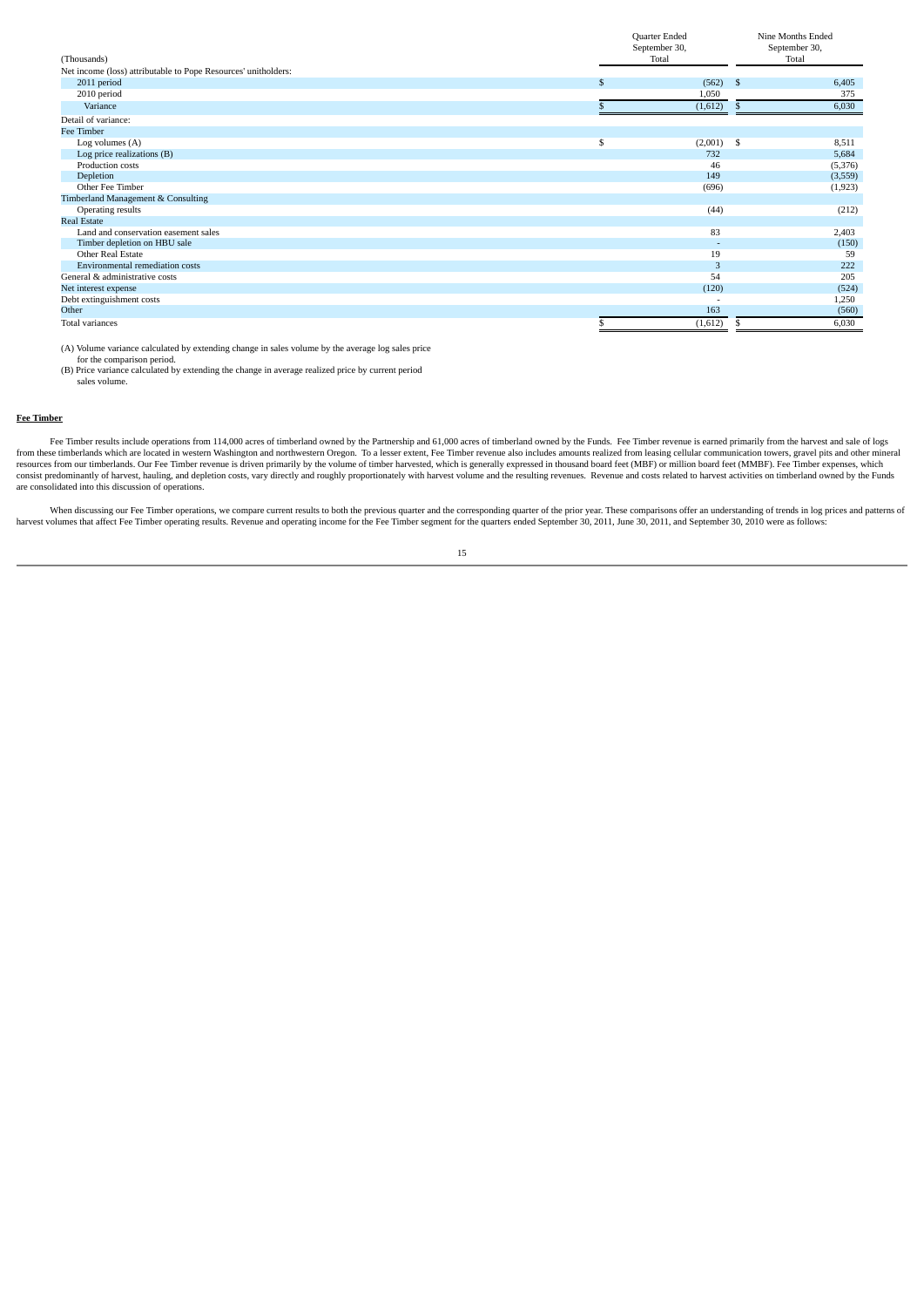| (Thousands)                                                    |   | Quarter Ended<br>September 30,<br>Total | Nine Months Ended<br>September 30,<br>Total |
|----------------------------------------------------------------|---|-----------------------------------------|---------------------------------------------|
| Net income (loss) attributable to Pope Resources' unitholders: |   |                                         |                                             |
| 2011 period                                                    |   | (562)                                   | 6,405<br>\$                                 |
| 2010 period                                                    |   | 1,050                                   | 375                                         |
| Variance                                                       |   | (1,612)                                 | 6,030<br>\$                                 |
| Detail of variance:                                            |   |                                         |                                             |
| Fee Timber                                                     |   |                                         |                                             |
| Log volumes $(A)$                                              | S | (2,001)                                 | \$<br>8,511                                 |
| Log price realizations (B)                                     |   | 732                                     | 5,684                                       |
| Production costs                                               |   | 46                                      | (5,376)                                     |
| Depletion                                                      |   | 149                                     | (3,559)                                     |
| Other Fee Timber                                               |   | (696)                                   | (1,923)                                     |
| Timberland Management & Consulting                             |   |                                         |                                             |
| Operating results                                              |   | (44)                                    | (212)                                       |
| <b>Real Estate</b>                                             |   |                                         |                                             |
| Land and conservation easement sales                           |   | 83                                      | 2,403                                       |
| Timber depletion on HBU sale                                   |   |                                         | (150)                                       |
| <b>Other Real Estate</b>                                       |   | 19                                      | 59                                          |
| Environmental remediation costs                                |   | 3                                       | 222                                         |
| General & administrative costs                                 |   | 54                                      | 205                                         |
| Net interest expense                                           |   | (120)                                   | (524)                                       |
| Debt extinguishment costs                                      |   |                                         | 1,250                                       |
| Other                                                          |   | 163                                     | (560)                                       |
| <b>Total variances</b>                                         |   | (1,612)                                 | 6,030<br>\$                                 |

(A) Volume variance calculated by extending change in sales volume by the average log sales price

for the comparison period. (B) Price variance calculated by extending the change in average realized price by current period

sales volume.

# **Fee Timber**

Fee Timber results include operations from 114,000 acres of timberland owned by the Partnership and 61,000 acres of timberland owned by the Funds. Fee Timber revenue is earned primarily from the harvest and sale of logs readed in western Washington and northwestern Oregon. To a lesser extent, Fee Timber revenue also includes amounts realized from leasing cellular communication towers, gravel pits and other mineral or the communication tow resources from our timberlands. Our Fee Timber revenue is driven primarily by the volume of timber harvested, which is generally expressed in thousand board feet (MBF) or million board feet (MMBF). Fee Timber expenses, whi are consolidated into this discussion of operations.

When discussing our Fee Timber operations, we compare current results to both the previous quarter and the corresponding quarter of the prior year. These comparisons offer an understanding of trends in log prices and patte harvest volumes that affect Fee Timber operating results. Revenue and operating income for the Fee Timber segment for the quarters ended September 30, 2011, June 30, 2011, and September 30, 2011, and September 30, 2011, an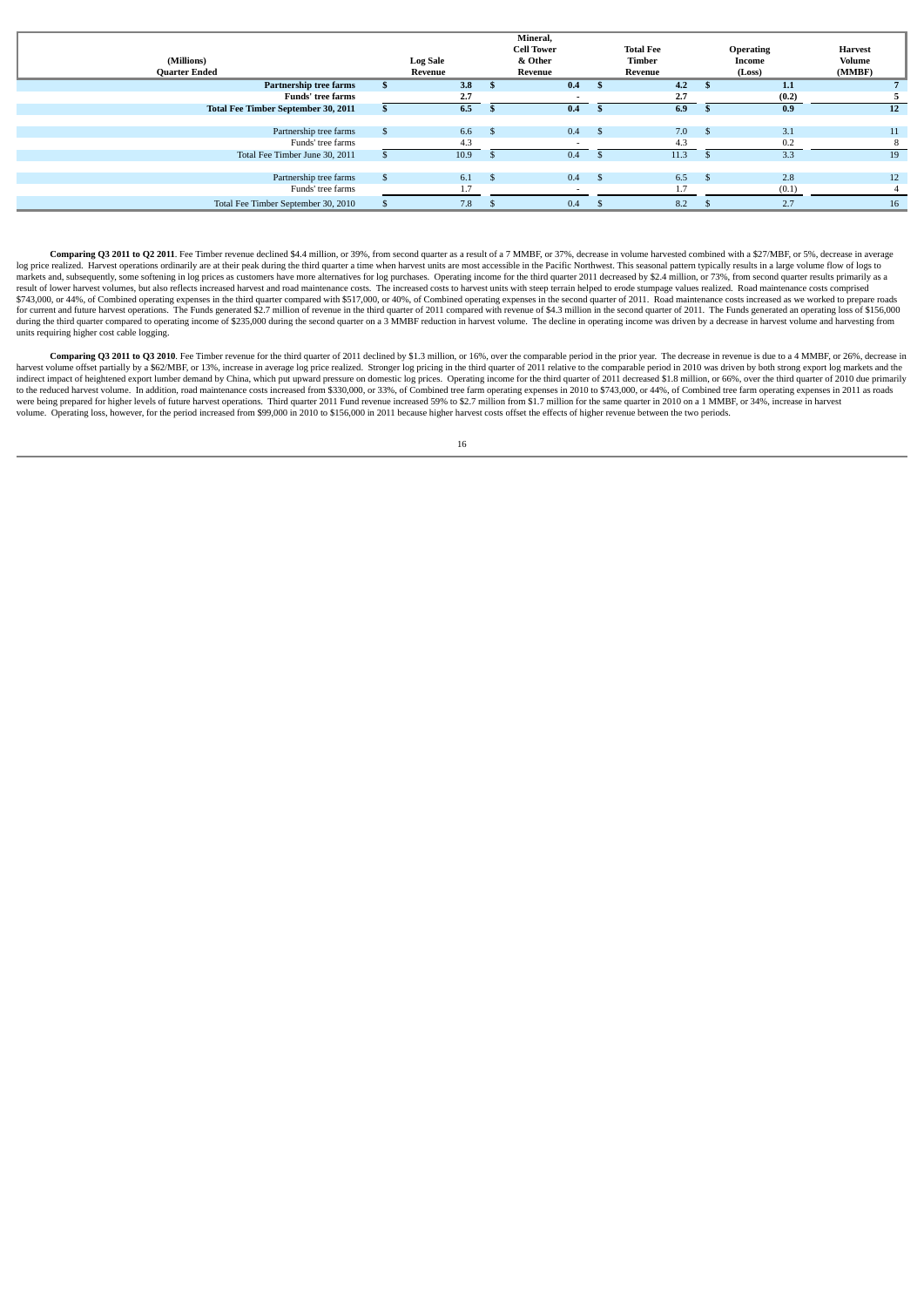| (Millions)<br><b>Quarter Ended</b>         |    | <b>Log Sale</b><br>Revenue |    | Mineral,<br><b>Cell Tower</b><br>& Other<br>Revenue |     | <b>Total Fee</b><br><b>Timber</b><br>Revenue |    | <b>Operating</b><br>Income<br>(Loss) | <b>Harvest</b><br>Volume<br>(MMBF) |
|--------------------------------------------|----|----------------------------|----|-----------------------------------------------------|-----|----------------------------------------------|----|--------------------------------------|------------------------------------|
| Partnership tree farms                     |    | 3.8                        |    | 0.4                                                 |     | 4.2                                          |    | 1.1                                  |                                    |
| <b>Funds' tree farms</b>                   |    | 2.7                        |    | $\overline{\phantom{a}}$                            |     | 2.7                                          |    | (0.2)                                | Ъ.                                 |
| <b>Total Fee Timber September 30, 2011</b> |    | 6.5                        |    | 0.4                                                 |     | 6.9                                          |    | 0.9                                  | 12                                 |
|                                            |    |                            |    |                                                     |     |                                              |    |                                      |                                    |
| Partnership tree farms                     | .S | 6.6                        | .x | 0.4                                                 | Э'n | 7.0                                          | £. | 3.1                                  | 11                                 |
| Funds' tree farms                          |    | 4.3                        |    | $\overline{\phantom{0}}$                            |     | 4.3                                          |    | 0.2                                  | 8                                  |
| Total Fee Timber June 30, 2011             |    | 10.9                       |    | 0.4                                                 |     | 11.3                                         |    | 3.3                                  | 19                                 |
|                                            |    |                            |    |                                                     |     |                                              |    |                                      |                                    |
| Partnership tree farms                     |    | 6.1                        |    | 0.4                                                 |     | 6.5                                          |    | 2.8                                  | 12                                 |
| Funds' tree farms                          |    | 1.7                        |    | $\sim$                                              |     | 1.7                                          |    | (0.1)                                |                                    |
| Total Fee Timber September 30, 2010        |    | 7.8                        |    | 0.4                                                 |     | 8.2                                          |    | 2.7                                  | 16                                 |

Comparing O3 2011 to O2 2011. Fee Timber revenue declined \$4.4 million, or 39%, from second quarter as a result of a 7 MMBE, or 37%, decrease in volume harvested combined with a \$27/MBE, or 5%, decrease in average log price realized. Harvest operations ordinarily are at their peak during the third quarter a time when harvest units are most accessible in the Pacific Northwest. This seasonal pattern typically results in a large volume markets and, subsequently, some softening in log prices as customers have more alternatives for log purchases. Operating income for the third quarter 2011 decreased by \$2.4 million, or 73%, from second quarter results prim \$743,000, or 44%, of Combined operating expenses in the third quarter compared with \$517,000, or 40%, of Combined operating expenses in the second quarter of 2011. Road maintenance costs increased as we worked to prepare r during the third quarter compared to operating income of \$235,000 during the second quarter on a 3 MMBF reduction in harvest volume. The decline in operating income was driven by a decrease in harvest volume and harvesting units requiring higher cost cable logging.

Comparing Q3 2011 to Q3 2010. Fee Timber revenue for the third quarter of 2011 declined by \$1.3 million, or 16%, over the comparable period in the prior year. The decrease in revenue is due to a 4 MMBF, or 26%, decrease in harvest volume offset partially by a \$62/MBF, or 13%, increase in average log price realized. Stronger log pricing in the third quarter of 2011 relative to the comparable period in 2010 was driven by both strong export lo to the reduced harvest volume. In addition, road maintenance costs increased from \$330,000, or 33%, of Combined tree farm operating expenses in 2010 to \$743,000, or 44%, of Combined tree farm operating expenses in 2011 as volume. Operating loss, however, for the period increased from \$99,000 in 2010 to \$156,000 in 2011 because higher harvest costs offset the effects of higher revenue between the two periods.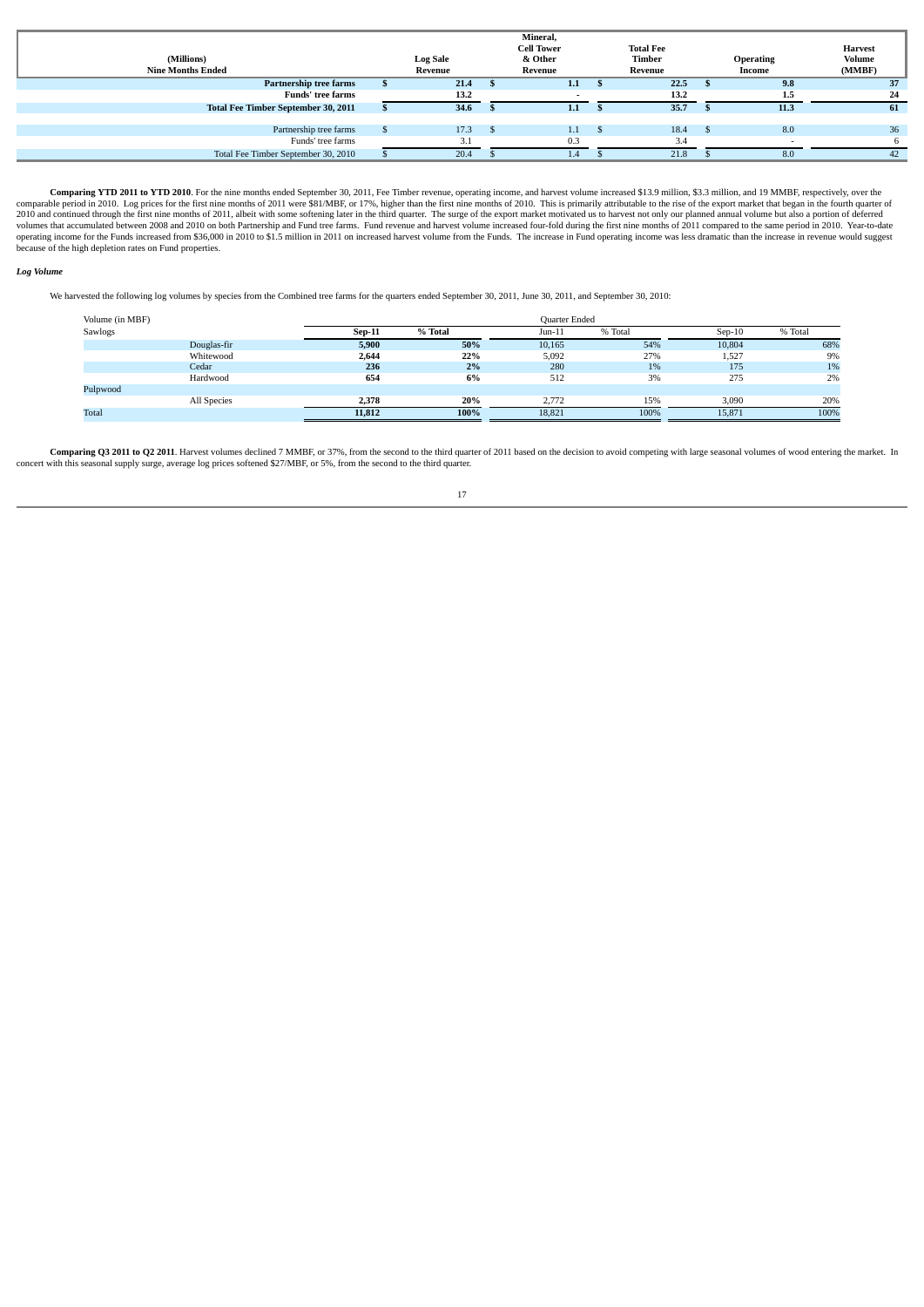|                                            |   |                 | Mineral,          |                  |                  |                |
|--------------------------------------------|---|-----------------|-------------------|------------------|------------------|----------------|
|                                            |   |                 | <b>Cell Tower</b> | <b>Total Fee</b> |                  | <b>Harvest</b> |
| (Millions)                                 |   | <b>Log Sale</b> | & Other           | Timber           | <b>Operating</b> | Volume         |
| <b>Nine Months Ended</b>                   |   | Revenue         | Revenue           | Revenue          | Income           | (MMBF)         |
| Partnership tree farms                     |   | 21.4            | 1.1               | 22.5             | 9.8              | 37             |
| <b>Funds' tree farms</b>                   |   | 13.2            |                   | 13.2             | 1.5              | 24             |
| <b>Total Fee Timber September 30, 2011</b> |   | 34.6            | $1.1\,$           | 35.7             | 11.3             | 61             |
|                                            |   |                 |                   |                  |                  |                |
| Partnership tree farms                     | æ | 17.3            | $1.1\,$           | 18.4             | 8.0              | 36             |
| Funds' tree farms                          |   | 3.1             | 0.3               | 3.4              | $\sim$           | 6              |
| Total Fee Timber September 30, 2010        |   | 20.4            | $\pm .4$          | 21.8             | 8.0              | 42             |

Comparing YTD 2011 to YTD 2010. For the nine months ended September 30, 2011, Fee Timber revenue, operating income, and harvest volume increased \$13.9 million, \$3.3 million, and 19 MMBF, respectively, over the comparable period in 2010. Log prices for the first nine months of 2011 were \$81/MBF, or 17%, higher than the first nine months of 2010. This is primarily attributable to the rise of the export market that began in the fou volumes that accumulated between 2008 and 2010 on both Partnership and Fund tree farms. Fund revenue and harvest volume increased four-fold during the first nine months of 2011 compared to the same period in 2010. Year-tobecause of the high depletion rates on Fund properties.

# *Log Volume*

We harvested the following log volumes by species from the Combined tree farms for the quarters ended September 30, 2011, June 30, 2011, and September 30, 2010:

| Volume (in MBF) |             | <b>Ouarter Ended</b>     |      |        |         |          |         |  |  |  |  |
|-----------------|-------------|--------------------------|------|--------|---------|----------|---------|--|--|--|--|
| Sawlogs         |             | % Total<br><b>Sep-11</b> |      | Jun-11 | % Total | $Sep-10$ | % Total |  |  |  |  |
|                 | Douglas-fir | 5,900                    | 50%  | 10,165 | 54%     | 10,804   | 68%     |  |  |  |  |
|                 | Whitewood   | 2,644                    | 22%  | 5,092  | 27%     | 1,527    | 9%      |  |  |  |  |
|                 | Cedar       | 236                      | 2%   | 280    | 1%      | 175      | 1%      |  |  |  |  |
|                 | Hardwood    | 654                      | 6%   | 512    | 3%      | 275      | 2%      |  |  |  |  |
| Pulpwood        |             |                          |      |        |         |          |         |  |  |  |  |
|                 | All Species | 2,378                    | 20%  | 2.772  | 15%     | 3.090    | 20%     |  |  |  |  |
| <b>Total</b>    |             | 11,812                   | 100% | 18,821 | 100%    | 15,871   | 100%    |  |  |  |  |

Comparing Q3 2011 to Q2 2011. Harvest volumes declined 7 MMBF, or 37%, from the second to the third quarter of 2011 based on the decision to avoid competing with large seasonal volumes of wood entering the market. In conce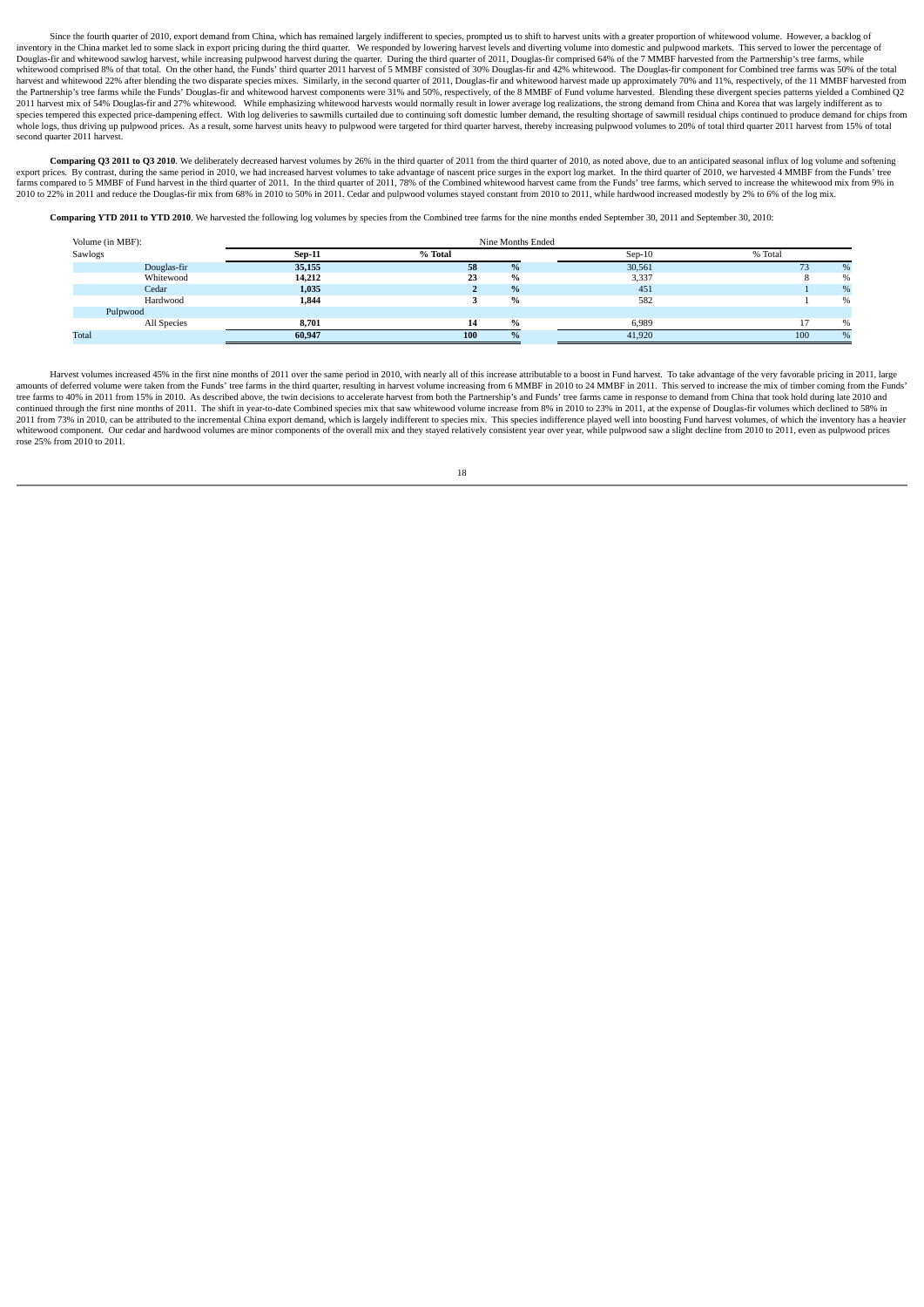Since the fourth quarter of 2010, export demand from China, which has remained largely indifferent to species, prompted us to shift to harvest units with a greater proportion of whitewood volume. However, a backlog of inventory in the China market led to some slack in export pricing during the third quarter. We responded by lowering harvest levels and diverting volume into domestic and pulpwood markets. This served to lower the percenta whitewood comprised 8% of that total. On the other hand, the Funds' third quarter 2011 harvest of 5 MMBF consisted of 30% Douglas-fir and 42% whitewood. The Douglas-fir component for Combined tree farms was 50% of the tota harvest and whitewood 22% after blending the two disparate species mixes. Similarly, in the second quarter of 2011, Douglas-fir and whitewood harvest enade up approximately 70% and 11%, respectively, of the 11 MMBF harvest 2011 harvest mix of 54% Douglas-fir and 27% whitewood. While emphasizing whitewood harvests would normally result in lower average log realizations, the strong demand from China and Korea that was largely indifferent as to whole logs, thus driving up pulpwood prices. As a result, some harvest units heavy to pulpwood were targeted for third quarter harvest, thereby increasing pulpwood volumes to 20% of total third quarter 2011 harvest from 15 second quarter 2011 harvest.

Comparing Q3 2011 to Q3 2010. We deliberately decreased harvest volumes by 26% in the third quarter of 2011 from the third quarter of 2010, as noted above, due to an anticipated seasonal influx of log volume and softening export prices. By contrast, during the same period in 2010, we had increased harvest volumes to take advantage of nascent price surges in the export log market. In the third quarter of 2010, we harvested 4 MMBF from the Fu 2010 to 22% in 2011 and reduce the Douglas-fir mix from 68% in 2010 to 50% in 2011. Cedar and pulpwood volumes stayed constant from 2010 to 2011, while hardwood increased modestly by 2% to 6% of the log mix.

**Comparing YTD 2011 to YTD 2010**. We harvested the following log volumes by species from the Combined tree farms for the nine months ended September 30, 2011 and September 30, 2010:

|         | Volume (in MBF): |          | Nine Months Ended |      |          |         |      |
|---------|------------------|----------|-------------------|------|----------|---------|------|
| Sawlogs |                  | $Sep-11$ | % Total           |      | $Sep-10$ | % Total |      |
|         | Douglas-fir      | 35,155   | 58                | %    | 30,561   | 73      | %    |
|         | Whitewood        | 14,212   | 23                | $\%$ | 3,337    | 8       | %    |
|         | Cedar            | 1,035    |                   | $\%$ | 451      |         | %    |
|         | Hardwood         | 1,844    |                   | $\%$ | 582      |         | %    |
|         | Pulpwood         |          |                   |      |          |         |      |
|         | All Species      | 8,701    | 14                | %    | 6,989    |         | %    |
| Total   |                  | 60,947   | 100               | %    | 41,920   | 100     | $\%$ |

Harvest volumes increased 45% in the first nine months of 2011 over the same period in 2010, with nearly all of this increase attributable to a boost in Fund harvest. To take advantage of the very favorable pricing in 2011 amounts of deferred volume were taken from the Funds' tree farms in the third quarter, resulting in harvest volume increasing from 6 MMBF in 2010 to 24 MMBF in 2011. This served to increase the mix of timber coming from th continued through the first nine months of 2011. The shift in year-to-date Combined species mix that saw whitewood volume increase from 8% in 2010 to 23% in 2011, at the expense of Douglas-fir volumes which declined to 58% whitewood component. Our cedar and hardwood volumes are minor components of the overall mix and they stayed relatively consistent year over year, while pulpwood saw a slight decline from 2010 to 2011, even as pulpwood pric rose 25% from 2010 to 2011.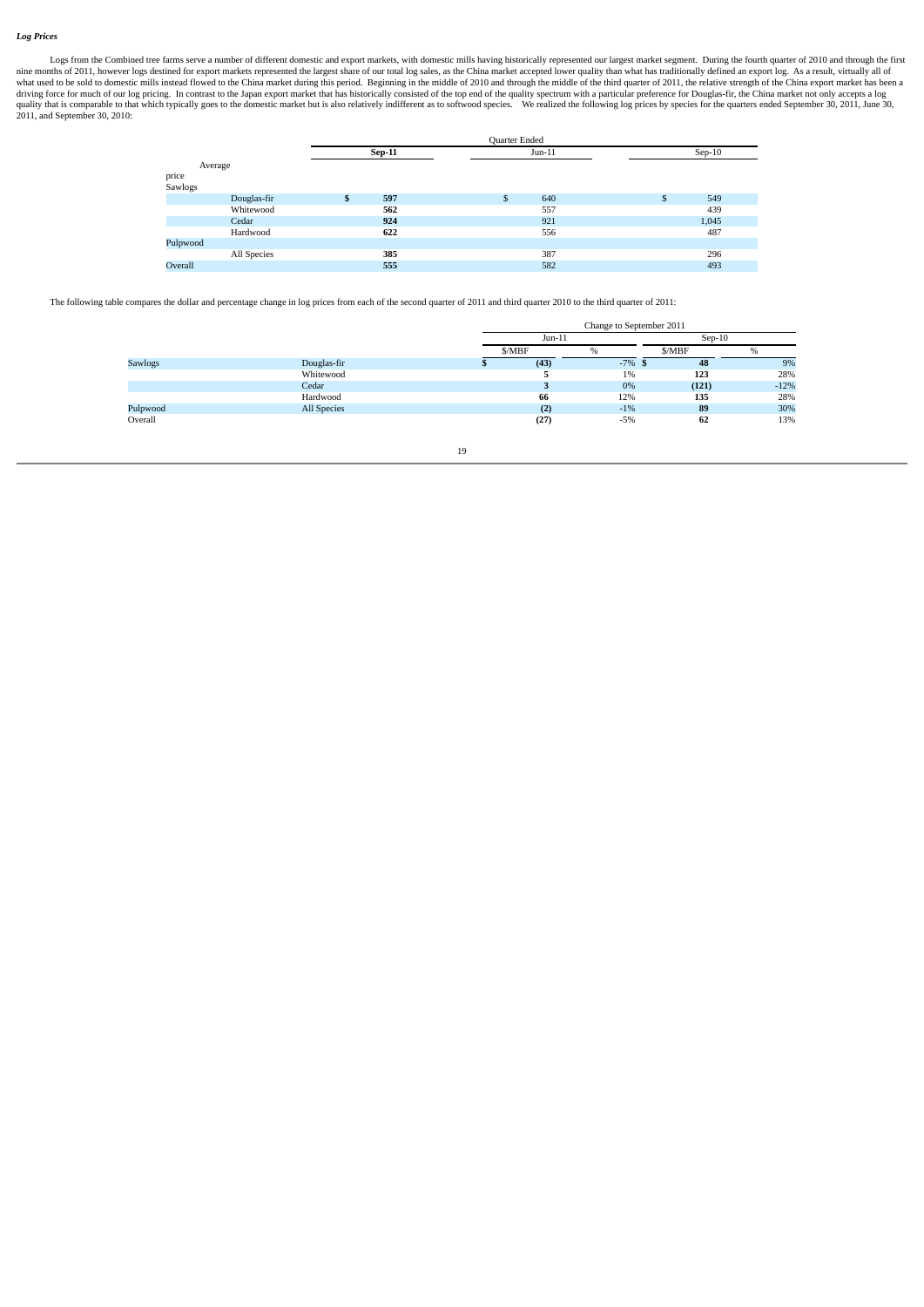# *Log Prices*

Logs from the Combined tree farms serve a number of different domestic and export markets, with domestic mills having historically represented our largest market segment. During the fourth quarter of 2010 and through the f

|          |             |               | Quarter Ended   |          |
|----------|-------------|---------------|-----------------|----------|
|          |             | <b>Sep-11</b> | $Jun-11$        | $Sep-10$ |
| Average  |             |               |                 |          |
| price    |             |               |                 |          |
| Sawlogs  |             |               |                 |          |
|          | Douglas-fir | \$<br>597     | 640<br>\$<br>\$ | 549      |
|          | Whitewood   | 562           | 557             | 439      |
|          | Cedar       | 924           | 921             | 1,045    |
|          | Hardwood    | 622           | 556             | 487      |
| Pulpwood |             |               |                 |          |
|          | All Species | 385           | 387             | 296      |
| Overall  |             | 555           | 582             | 493      |

The following table compares the dollar and percentage change in log prices from each of the second quarter of 2011 and third quarter 2010 to the third quarter of 2011:

|                |                                   | Change to September 2011 |           |          |        |  |  |  |  |
|----------------|-----------------------------------|--------------------------|-----------|----------|--------|--|--|--|--|
|                | Douglas-fir<br>Whitewood<br>Cedar | $Jun-11$                 |           | $Sep-10$ |        |  |  |  |  |
|                |                                   | \$/MBF                   | $\%$      | \$/MBF   | $\%$   |  |  |  |  |
| <b>Sawlogs</b> |                                   | (43)                     | $-7\%$ \$ | 48       | 9%     |  |  |  |  |
|                |                                   | ω                        | 1%        | 123      | 28%    |  |  |  |  |
|                |                                   | 3                        | 0%        | (121)    | $-12%$ |  |  |  |  |
|                | Hardwood                          | 66                       | 12%       | 135      | 28%    |  |  |  |  |
| Pulpwood       | <b>All Species</b>                | (2)                      | $-1\%$    | 89       | 30%    |  |  |  |  |
| Overall        |                                   | (27)                     | $-5%$     | 62       | 13%    |  |  |  |  |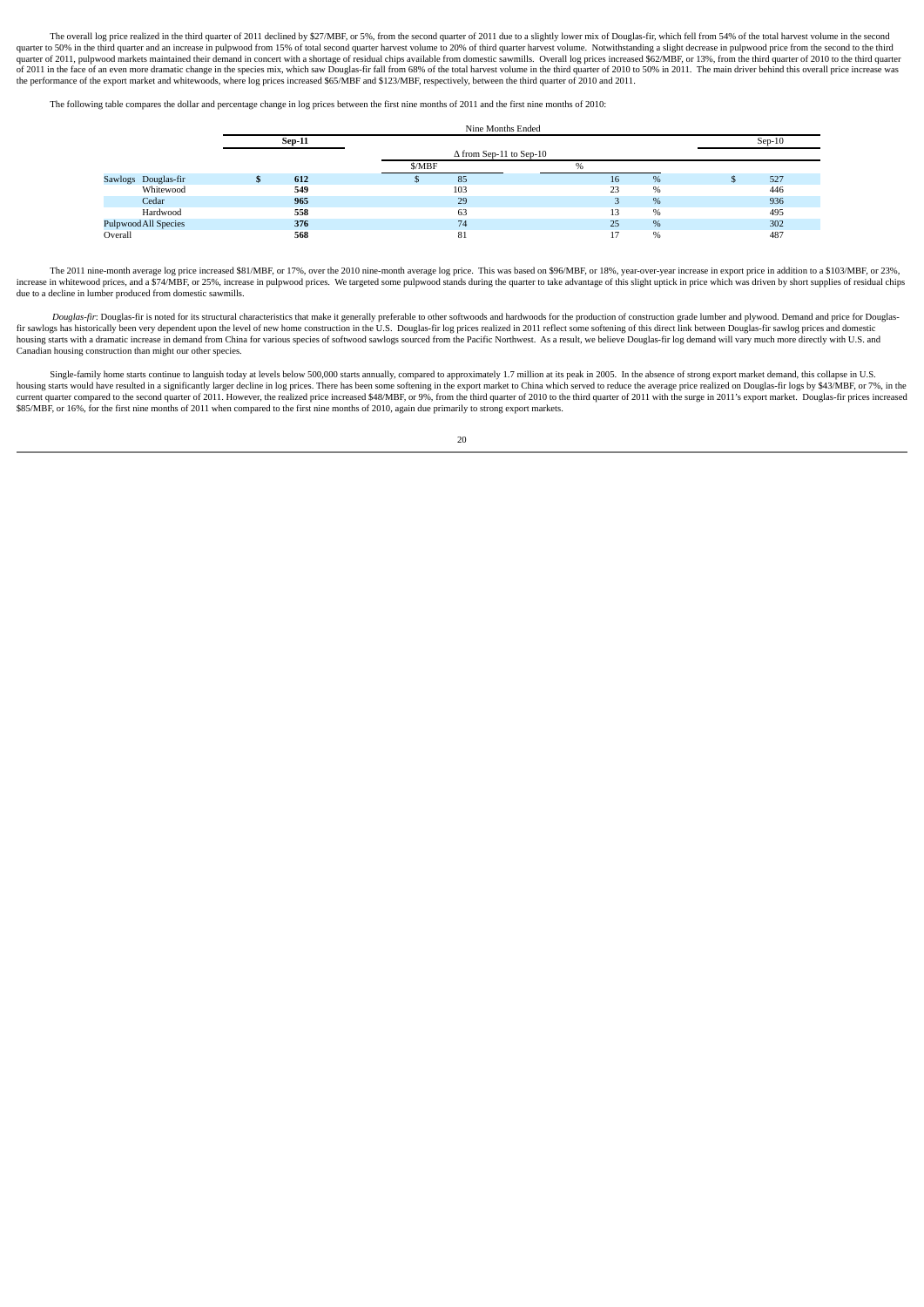The overall log price realized in the third quarter of 2011 declined by \$27/MBF, or 5%, from the second quarter of 2011 due to a slightly lower mix of Douglas-fir, which fell from 54% of the total harvest volume in the sec quarter to 50% in the third quarter and an increase in pulpwood from 15% of total second quarter harvest volume to 20% of third quarter harvest volume. Notwithstanding a slight decrease in pulpwood price from the second to of 2011 in the face of an even more dramatic change in the species mix, which saw Douglas-fir fall from 68% of the total harvest volume in the third quarter of 2010 to 50% in 2011. The main driver behind this overall price

The following table compares the dollar and percentage change in log prices between the first nine months of 2011 and the first nine months of 2010:

|                      |          |        | Nine Months Ended              |               |    |      |          |  |
|----------------------|----------|--------|--------------------------------|---------------|----|------|----------|--|
|                      | $Sep-11$ |        |                                |               |    |      | $Sep-10$ |  |
|                      |          |        | $\Delta$ from Sep-11 to Sep-10 |               |    |      |          |  |
|                      |          | \$/MBF |                                | $\frac{0}{0}$ |    |      |          |  |
| Sawlogs Douglas-fir  | 612      |        | 85                             |               | 16 | %    | 527      |  |
| Whitewood            | 549      |        | 103                            |               | 23 | %    | 446      |  |
| Cedar                | 965      |        | 29                             |               |    | $\%$ | 936      |  |
| Hardwood             | 558      |        | 63                             |               | 13 | %    | 495      |  |
| Pulpwood All Species | 376      |        | 74                             |               | 25 | $\%$ | 302      |  |
| Overall              | 568      |        | 81                             |               |    | %    | 487      |  |

Nine Months Ended

The 2011 nine-month average log price increased \$81/MBF, or 17%, over the 2010 nine-month average log price. This was based on \$96/MBF, or 18%, year-over-year increase in export price in addition to a \$103/MBF, or 23%, inc due to a decline in lumber produced from domestic sawmills.

Douglas-fir: Douglas-fir is noted for its structural characteristics that make it generally preferable to other softwoods and hardwoods for the production of construction grade lumber and plywood. Demand and price for Doug fir sawlogs has historically been very dependent upon the level of new home construction in the U.S. Douglas-fir log prices realized in 2011 reflect some softening of this direct link between Douglas-fir sawlog prices and Canadian housing construction than might our other species.

Single-family home starts continue to languish today at levels below 500,000 starts annually, compared to approximately 1.7 million at its peak in 2005. In the absence of strong export market demand, this collapse in U.S. housing starts would have resulted in a significantly larger decline in log prices. There has been some softening in the export market to China which served to reduce the average price realized on Douglas-fir logs by \$43/M \$85/MBF, or 16%, for the first nine months of 2011 when compared to the first nine months of 2010, again due primarily to strong export markets.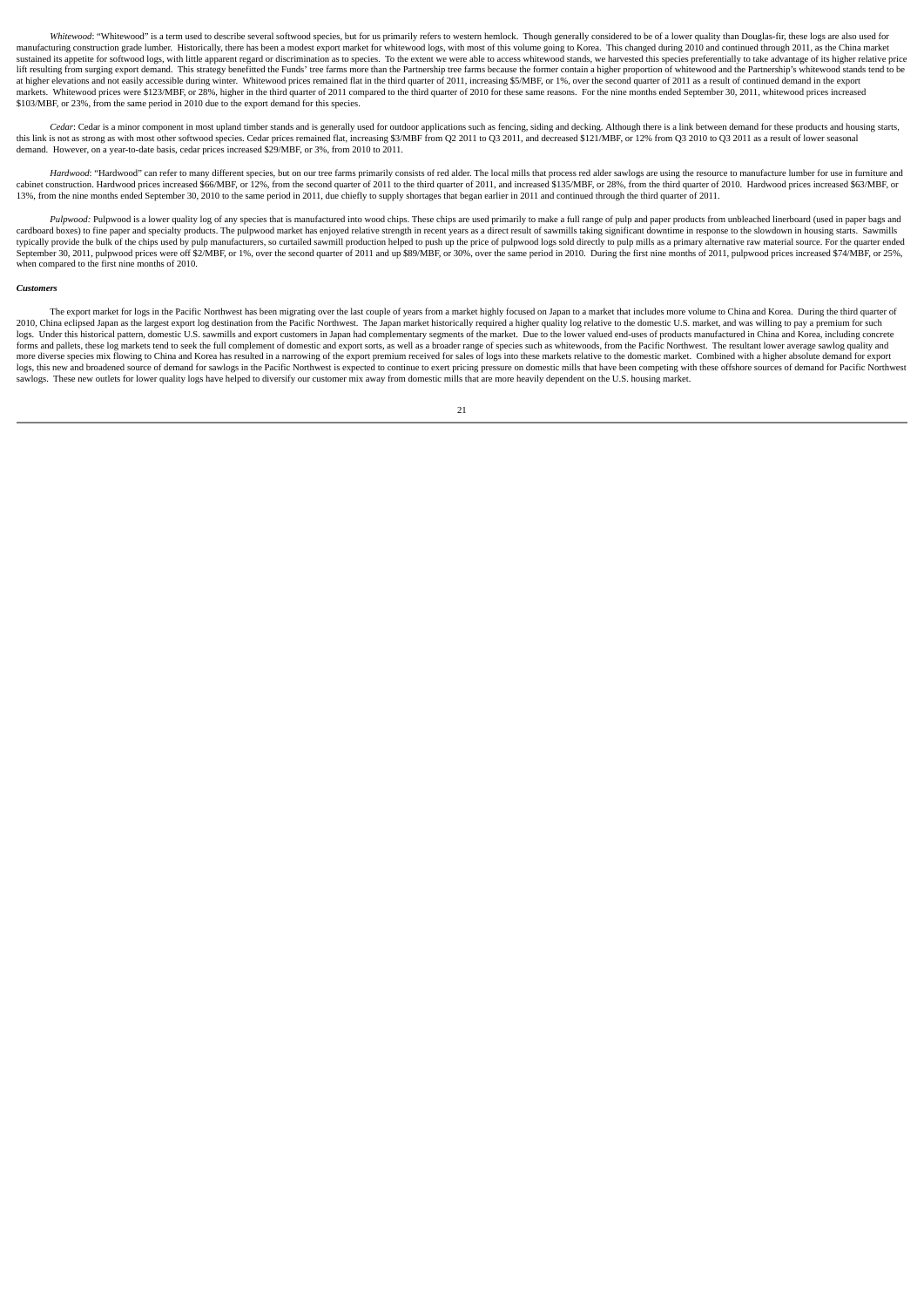Whitewood: "Whitewood" is a term used to describe several softwood species, but for us primarily refers to western hemlock. Though generally considered to be of a lower quality than Douglas-fir, these logs are also used fo manufacturing construction grade lumber. Historically, there has been a modest export market for whitewood logs, with most of this volume going to Korea. This changed during 2010 and continued through 2011, as the China ma lift resulting from surging export demand. This strategy benefitted the Funds' tree farms more than the Partnership tree farms because the former contain a higher proportion of whitewood and the Partnership's whitewood sta at higher elevations and not easily accessible during winter. Whitewood prices remained flat in the third quarter of 2011, increasing \$5/MBF, or 1%, over the second quarter of 2011 as a result of continued demand in the ex \$103/MBF, or 23%, from the same period in 2010 due to the export demand for this species.

Cedar: Cedar is a minor component in most upland timber stands and is generally used for outdoor applications such as fencing, siding and decking. Although there is a link between demand for these products and housing star this link is not as strong as with most other softwood species. Cedar prices remained flat, increasing \$3/MBF from Q2 2011 to Q3 2011, and decreased \$121/MBF, or 12% from Q3 2010 to Q3 2011 as a result of lower seasonal de

Hardwood' "Hardwood" can refer to many different species, but on our tree farms primarily consists of red alder. The local mills that process red alder sawlogs are using the resource to manufacture lumber for use in furnit 13%, from the nine months ended September 30, 2010 to the same period in 2011, due chiefly to supply shortages that began earlier in 2011 and continued through the third quarter of 2011.

Pulpwood: Pulpwood is a lower quality log of any species that is manufactured into wood chips. These chips are used primarily to make a full range of pulp and paper products from unbleached linerboard (used in paper bags a cardboard boxes) to fine paper and specialty products. The pulpwood market has enjoyed relative strength in recent years as a direct result of sawmills taking significant downtime in response to the slowdown in housing sta typically provide the bulk of the chips used by pulp manufacturers, so curtailed sawmill production helped to push up the price of pulpwood logs sold directly to pulp mills as a primary alternative raw material source. For when compared to the first nine months of 2010.

#### *Customers*

The export market for logs in the Pacific Northwest has been migrating over the last couple of years from a market highly focused on Japan to a market that includes more volume to China and Korea. During the third quarter logs. Under this historical pattern, domestic U.S. sawmills and export customers in Japan had complementary segments of the market. Due to the lower valued end-uses of products manufactured in China and Korea, including co more diverse species mix flowing to China and Korea has resulted in a narrowing of the export premium received for sales of logs into these markets relative to the domestic market. Combined with a higher absolute demand fo logs, this new and broadened source of demand for sawlogs in the Pacific Northwest is expected to continue to exert pricing pressure on domestic mills that have been competing with these offshore sources of demand for Paci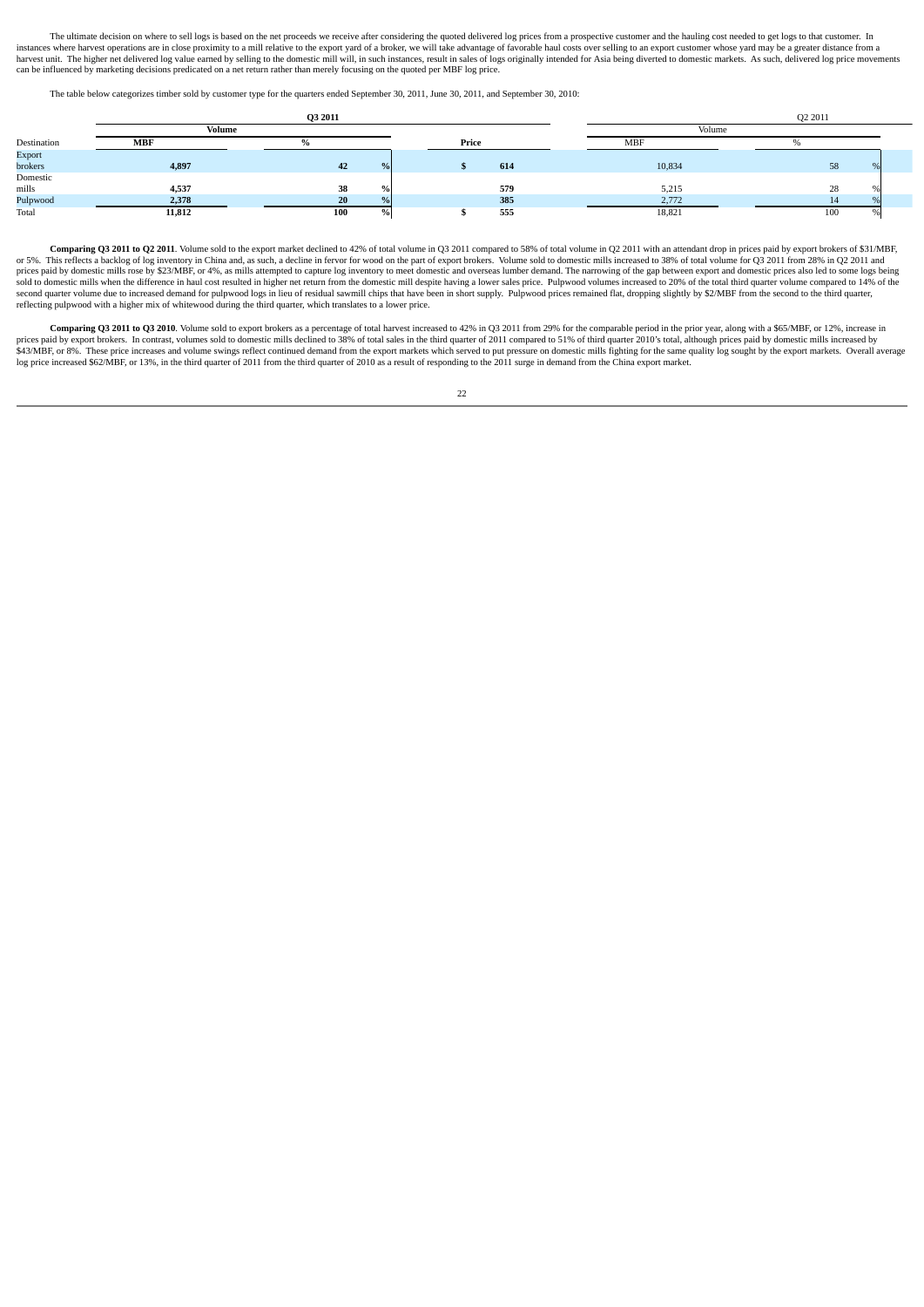The ultimate decision on where to sell logs is based on the net proceeds we receive after considering the quoted delivered log prices from a prospective customer and the hauling cost needed to get logs to that customer. In instances where harvest operations are in close proximity to a mill relative to the export yard of a broker, we will take advantage of favorable haul costs over selling to an export customer whose yard may be a greater dis can be influenced by marketing decisions predicated on a net return rather than merely focusing on the quoted per MBF log price.

The table below categorizes timber sold by customer type for the quarters ended September 30, 2011, June 30, 2011, and September 30, 2010:

|             |               | Q3 2011 | Q2 2011       |       |            |     |  |  |
|-------------|---------------|---------|---------------|-------|------------|-----|--|--|
|             | <b>Volume</b> |         |               |       | Volume     |     |  |  |
| Destination | <b>MBF</b>    |         |               | Price | <b>MBF</b> |     |  |  |
| Export      |               |         |               |       |            |     |  |  |
| brokers     | 4,897         | 42      | $\mathbf{0}$  | 614   | 10,834     | 58  |  |  |
| Domestic    |               |         |               |       |            |     |  |  |
| mills       | 4,537         | 38      | О.            | 579   | 5,215      | 28  |  |  |
| Pulpwood    | 2,378         | 20      | $\mathbf{O}/$ | 385   | 2,772      |     |  |  |
| Total       | 11,812        | 100     | 0/2           | 555   | 18,821     | 100 |  |  |

Comparing Q3 2011 to Q2 2011. Volume sold to the export market declined to 42% of total volume in Q3 2011 compared to 58% of total volume in Q2 2011 with an attendant drop in prices paid by export brokers of \$31/MBF, or 5%. This reflects a backlog of log inventory in China and, as such, a decline in fervor for wood on the part of export brokers. Volume sold to domestic mills increased to 38% of total volume for Q3 2011 from 28% in Q2 2 sold to domestic mills when the difference in haul cost resulted in higher net return from the domestic mill despite having a lower sales price. Pulpwood volumes increased to 20% of the total third quarter volume compared second quarter volume due to increased demand for pulpwood logs in lieu of residual sawmill chips that have been in short supply. Pulpwood prices remained flat, dropping slightly by \$2/MBF from the second to the third quar reflecting pulpwood with a higher mix of whitewood during the third quarter, which translates to a lower price.

**Comparing Q3 2011 to Q3 2010**. Volume sold to export brokers as a percentage of total harvest increased to 42% in Q3 2011 from 29% for the comparable period in the prior year, along with a \$65/MBF, or 12%, increase in per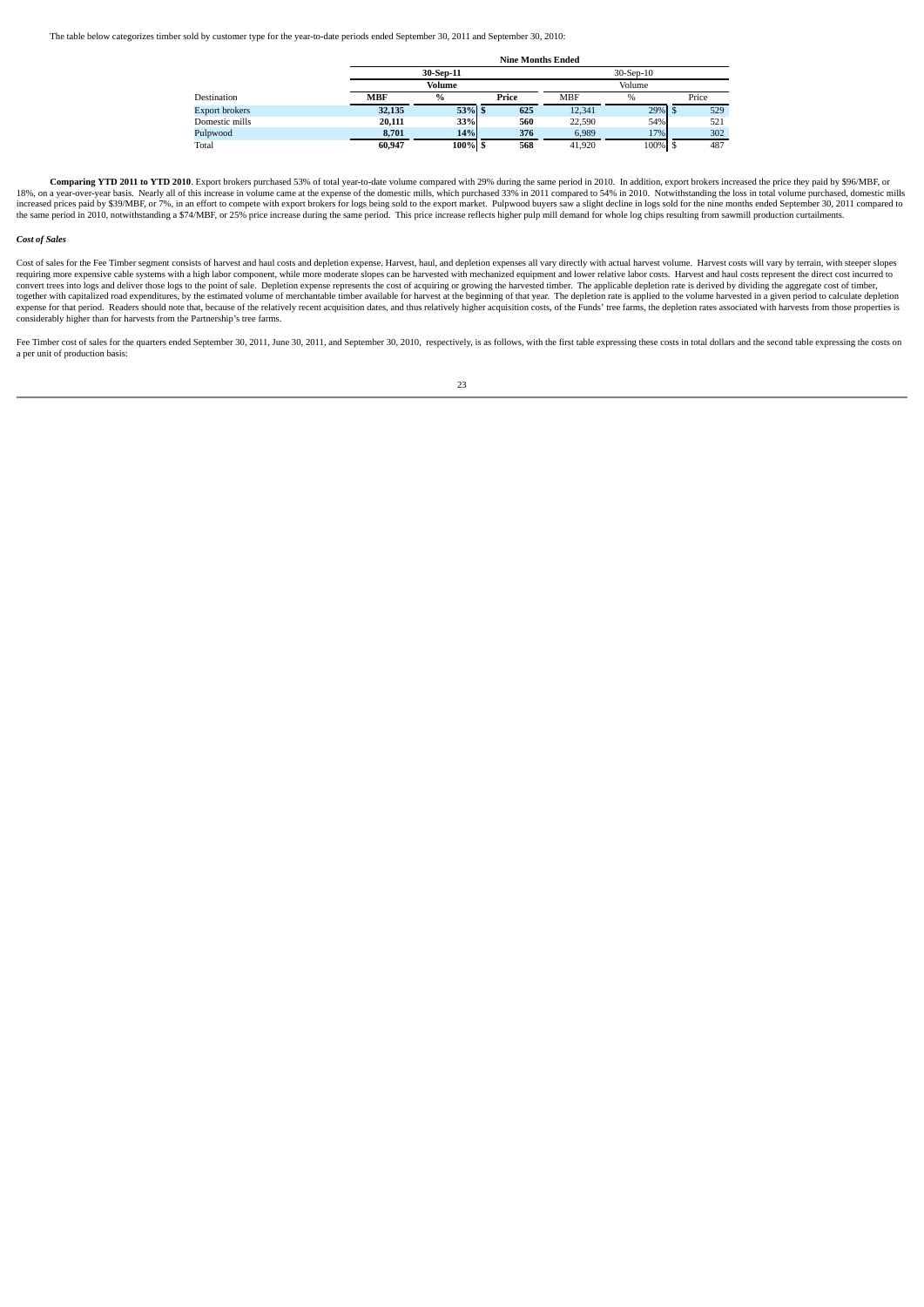The table below categorizes timber sold by customer type for the year-to-date periods ended September 30, 2011 and September 30, 2010:

|                       |                             | <b>Nine Months Ended</b> |     |            |      |       |  |  |  |  |  |
|-----------------------|-----------------------------|--------------------------|-----|------------|------|-------|--|--|--|--|--|
|                       |                             | 30-Sep-11                |     |            |      |       |  |  |  |  |  |
|                       |                             | Volume                   |     | Volume     |      |       |  |  |  |  |  |
| Destination           | $\frac{0}{0}$<br><b>MBF</b> |                          |     | <b>MBF</b> | $\%$ | Price |  |  |  |  |  |
| <b>Export brokers</b> | 32,135                      | $53%$ \$                 | 625 | 12,341     | 29%  | 529   |  |  |  |  |  |
| Domestic mills        | 20.111                      | 33%                      | 560 | 22.590     | 54%  | 521   |  |  |  |  |  |
| Pulpwood              | 8,701                       | 14%                      | 376 | 6,989      | 17%  | 302   |  |  |  |  |  |
| Total                 | 60,947                      | 100% \$                  | 568 | 41,920     | 100% | 487   |  |  |  |  |  |

Comparing YTD 2011 to YTD 2010. Export brokers purchased 53% of total year-to-date volume compared with 29% during the same period in 2010. In addition, export brokers increased the price they paid by \$96/MBF, or<br>18%, on a the same period in 2010, notwithstanding a \$74/MBF, or 25% price increase during the same period. This price increase reflects higher pulp mill demand for whole log chips resulting from sawmill production curtailments.

# *Cost of Sales*

Cost of sales for the Fee Timber segment consists of harvest and haul costs and depletion expense. Harvest, haul, and depletion expenses all vary directly with actual harvest volume. Harvest costs will vary by terrain, wit requiring more expensive cable systems with a high labor component, while more moderate slopes can be harvested with mechanized equipment and lower relative labor costs. Harvest and haul costs represent the direct cost inc convert trees into logs and deliver those logs to the point of sale. Depletion expense represents the cost of acquiring or growing the harvested timber. The applicable depletion rate is derived by dividing the aggregate co expense for that period. Readers should note that, because of the relatively recent acquisition dates, and thus relatively higher acquisition costs, of the Funds' tree farms, the depletion rates associated with harvests fr considerably higher than for harvests from the Partnership's tree farms.

Fee Timber cost of sales for the quarters ended September 30, 2011, June 30, 2011, and September 30, 2010, respectively, is as follows, with the first table expressing these costs in total dollars and the second table expr a per unit of production basis: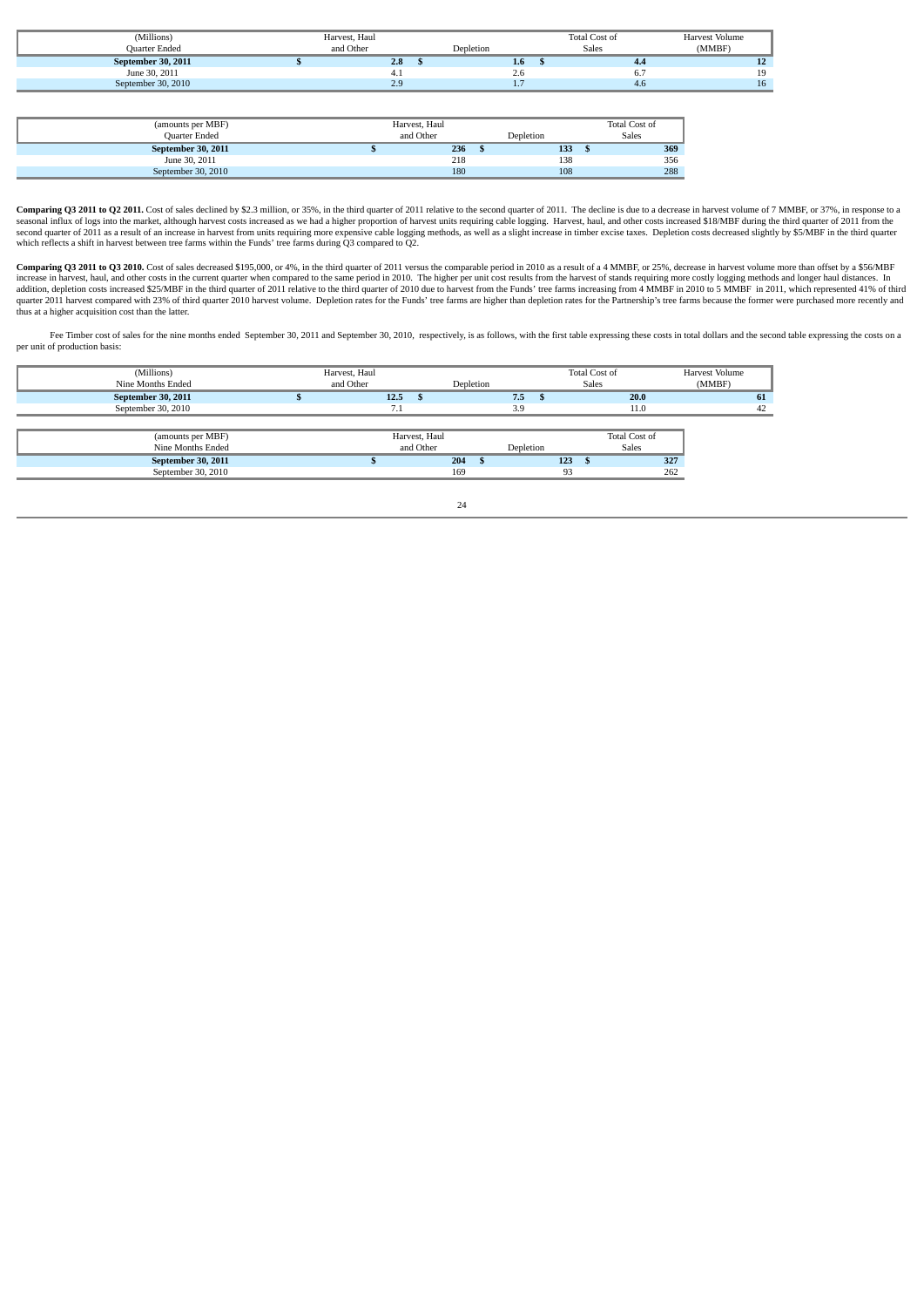| (Millions)<br><b>Ouarter Ended</b> | Harvest, Haul<br>and Other | Depletion | <b>Total Cost of</b><br><b>Sales</b> |     | Harvest Volume<br>(MMBF) |
|------------------------------------|----------------------------|-----------|--------------------------------------|-----|--------------------------|
| September 30, 2011                 | 2.8                        | 1.6       |                                      | 4.4 |                          |
| June 30, 2011                      | 4.1                        | 2.6       |                                      |     | 10 <sup>2</sup>          |
| September 30, 2010                 | 20<br>$-5.5$               |           |                                      | 4.6 | 16                       |

| (amounts per MBF)  | Harvest, Haul |     |  | <b>Total Cost of</b> |              |     |
|--------------------|---------------|-----|--|----------------------|--------------|-----|
| Ouarter Ended      | and Other     |     |  | Depletion            | <b>Sales</b> |     |
| September 30, 2011 |               | 236 |  | 133                  |              | 369 |
| June 30, 2011      |               | 218 |  | 138                  |              | 356 |
| September 30, 2010 |               | 180 |  | 108                  |              | 288 |

Comparing Q3 2011 to Q2 2011. Cost of sales declined by \$2.3 million, or 35%, in the third quarter of 2011 relative to the second quarter of 2011. The decline is due to a decrease in harvest volume of 7 MMBF, or 37%, in re seasonal influx of logs into the market, although harvest costs increased as we had a higher proportion of harvest units requiring cable logging. Harvest, haul, and other costs increased \$18/MBF during the third quarter of which reflects a shift in harvest between tree farms within the Funds' tree farms during Q3 compared to Q2.

Comparing Q3 2011 to Q3 2010. Cost of sales decreased \$195,000, or 4%, in the third quarter of 2011 versus the comparable period in 2010 as a result of a 4 MMBF, or 25%, decrease in harvest volume more than offset by a \$56 increase in harvest, haul, and other costs in the current quarter when compared to the same period in 2010. The higher per unit cost results from the harvest of stands requiring more costly logging methods and longer haul expansion to the control of the dual term of the control of the control of the Control of the Control of the Control of the Control of the Control of the Control of the Control of the Control of the Control of the Control thus at a higher acquisition cost than the latter.

Fee Timber cost of sales for the nine months ended September 30, 2011 and September 30, 2010, respectively, is as follows, with the first table expressing these costs in total dollars and the second table expressing the co per unit of production basis:

| (Millions)<br>Nine Months Ended | Harvest, Haul<br>and Other |               | Depletion |           |     | <b>Total Cost of</b><br><b>Sales</b> |                      | Harvest Volume<br>(MMBF) |
|---------------------------------|----------------------------|---------------|-----------|-----------|-----|--------------------------------------|----------------------|--------------------------|
| <b>September 30, 2011</b>       |                            | 12.5          |           | 7.5       |     |                                      | 20.0                 | 61                       |
| September 30, 2010              |                            | 7.1           |           | 3.9       |     |                                      | 11.0                 | 42                       |
| (amounts per MBF)               |                            | Harvest, Haul |           |           |     |                                      | <b>Total Cost of</b> |                          |
| Nine Months Ended               |                            | and Other     |           | Depletion |     |                                      | Sales                |                          |
| September 30, 2011              |                            |               | 204       |           | 123 |                                      | 327                  |                          |
| September 30, 2010              |                            |               | 169       |           | 93  |                                      | 262                  |                          |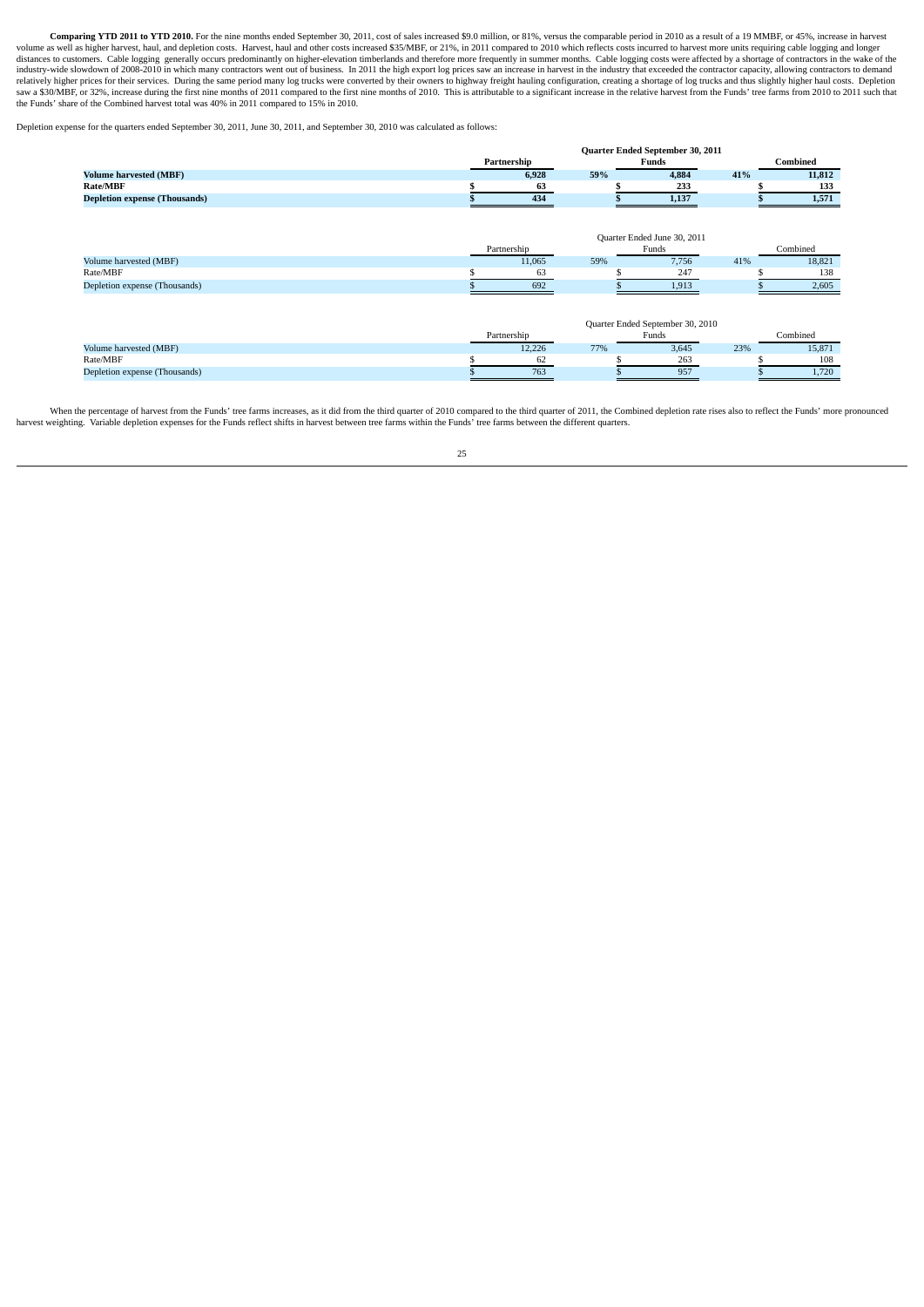Comparing YTD 2011 to YTD 2010. For the nine months ended September 30, 2011, cost of sales increased \$9.0 million, or 81%, versus the comparable period in 2010 as a result of a 19 MMBF, or 45%, increase in harvest volume as well as higher harvest, haul, and depletion costs. Harvest, haul and other costs increased \$35/MBF, or 21%, in 2011 compared to 2010 which reflects costs incurred to harvest more units requiring cable logging and relatively higher prices for their services. During the same period many log trucks were converted by their owners to highway freight hauling configuration, creating a shortage of log trucks and thus slightly higher haul c the Funds' share of the Combined harvest total was 40% in 2011 compared to 15% in 2010.

Depletion expense for the quarters ended September 30, 2011, June 30, 2011, and September 30, 2010 was calculated as follows:

|                                      |   |             |       | Quarter Ended September 30, 2011 |          |          |
|--------------------------------------|---|-------------|-------|----------------------------------|----------|----------|
|                                      |   | Partnership | Funds |                                  | Combined |          |
| <b>Volume harvested (MBF)</b>        |   | 6,928       | 59%   | 4,884                            | 41%      | 11,812   |
| <b>Rate/MBF</b>                      | ж | 63          |       | 233                              |          | 133      |
| <b>Depletion expense (Thousands)</b> |   | 434         |       | 1,137                            |          | 1,571    |
|                                      |   |             |       |                                  |          |          |
|                                      |   |             |       | Quarter Ended June 30, 2011      |          |          |
|                                      |   | Partnership |       | Funds                            |          | Combined |
| Volume harvested (MBF)               |   | 11,065      | 59%   | 7,756                            | 41%      | 18,821   |
| Rate/MBF                             |   | 63          |       | 247                              |          | 138      |
| Depletion expense (Thousands)        |   | 692         |       | 1,913                            |          | 2,605    |
|                                      |   |             |       |                                  |          |          |
|                                      |   |             |       | Quarter Ended September 30, 2010 |          |          |
|                                      |   | Partnership |       | Funds                            |          | Combined |
| Volume harvested (MBF)               |   | 12,226      | 77%   | 3,645                            | 23%      | 15,871   |
| Rate/MBF                             |   | 62          |       | 263                              |          | 108      |
| Depletion expense (Thousands)        |   | 763         |       | 957                              |          | 1,720    |

When the percentage of harvest from the Funds' tree farms increases, as it did from the third quarter of 2010 compared to the third quarter of 2011, the Combined depletion rate rises also to reflect the Funds' more pronoun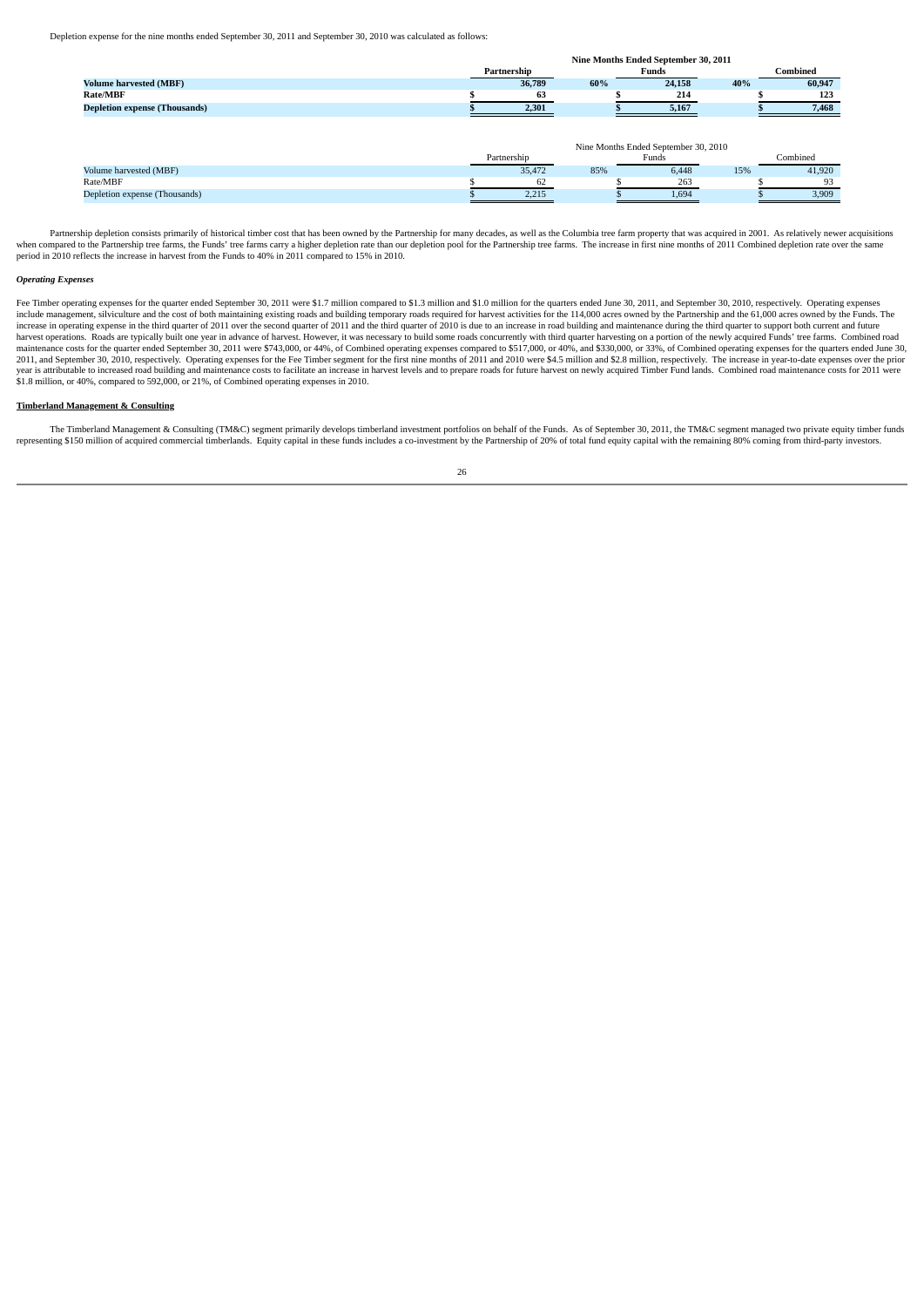Depletion expense for the nine months ended September 30, 2011 and September 30, 2010 was calculated as follows:

|                                      |             |        |     | Nine Months Ended September 30, 2011 |     |          |
|--------------------------------------|-------------|--------|-----|--------------------------------------|-----|----------|
|                                      | Partnership |        |     | <b>Funds</b>                         |     | `ombined |
| <b>Volume harvested (MBF)</b>        |             | 36,789 | 60% | 24,158                               | 40% | 60,947   |
| <b>Rate/MBF</b>                      |             |        |     | 214                                  |     | 123      |
| <b>Depletion expense (Thousands)</b> |             | 2,301  |     | 5,167                                |     | 7.468    |

|                               |             | Nine Months Ended September 30, 2010 |     |       |     |          |  |  |  |
|-------------------------------|-------------|--------------------------------------|-----|-------|-----|----------|--|--|--|
|                               | Partnership |                                      |     | Funds |     | Combined |  |  |  |
| Volume harvested (MBF)        |             | 35,472                               | 85% | 6,448 | 15% | 41.920   |  |  |  |
| Rate/MBF                      |             | 62                                   |     | 263   |     | 93       |  |  |  |
| Depletion expense (Thousands) |             | 2.215                                |     | 1.694 |     | 3,909    |  |  |  |

Partnership depletion consists primarily of historical timber cost that has been owned by the Partnership for many decades, as well as the Columbia tree farm property that was acquired in 2001. As relatively newer acquisti reason to the Partnership tree farms, the Funds' tree farms carry a higher depletion rate than our depletion rate than our depletion pool for the Partnership tree farms. The increase in first nine months of 2011 Combined d period in 2010 reflects the increase in harvest from the Funds to 40% in 2011 compared to 15% in 2010.

### *Operating Expenses*

Fee Timber operating expenses for the quarter ended September 30, 2011 were \$1.7 million compared to \$1.3 million and \$1.0 million for the quarters ended June 30, 2011, and September 30, 2010, respectively. Operating expen increase in operating expense in the third quarter of 2011 over the second quarter of 2011 and the third quarter of 2010 is due to an increase in road building and maintenance during the third quarter to support both curre maintenance costs for the quarter ended September 30, 2011 were \$743,000, or 44%, of Combined operating expenses compared to \$517,000, or 40%, and \$330,000, or 33%, of Combined operating expenses for the quarters ended Jun 2011, and September 30, 2010, respectively. Operating expenses for the Fee Timber segment for the first nine months of 2011 and 2010 were \$4.5 million and \$2.8 million, respectively. The increase in year-to-date expenses o \$1.8 million, or 40%, compared to 592,000, or 21%, of Combined operating expenses in 2010.

#### **Timberland Management & Consulting**

The Timberland Management & Consulting (TM&C) segment primarily develops timberland investment portfolios on behalf of the Funds. As of September 30, 2011, the TM&C segment managed two private equity timber funds includes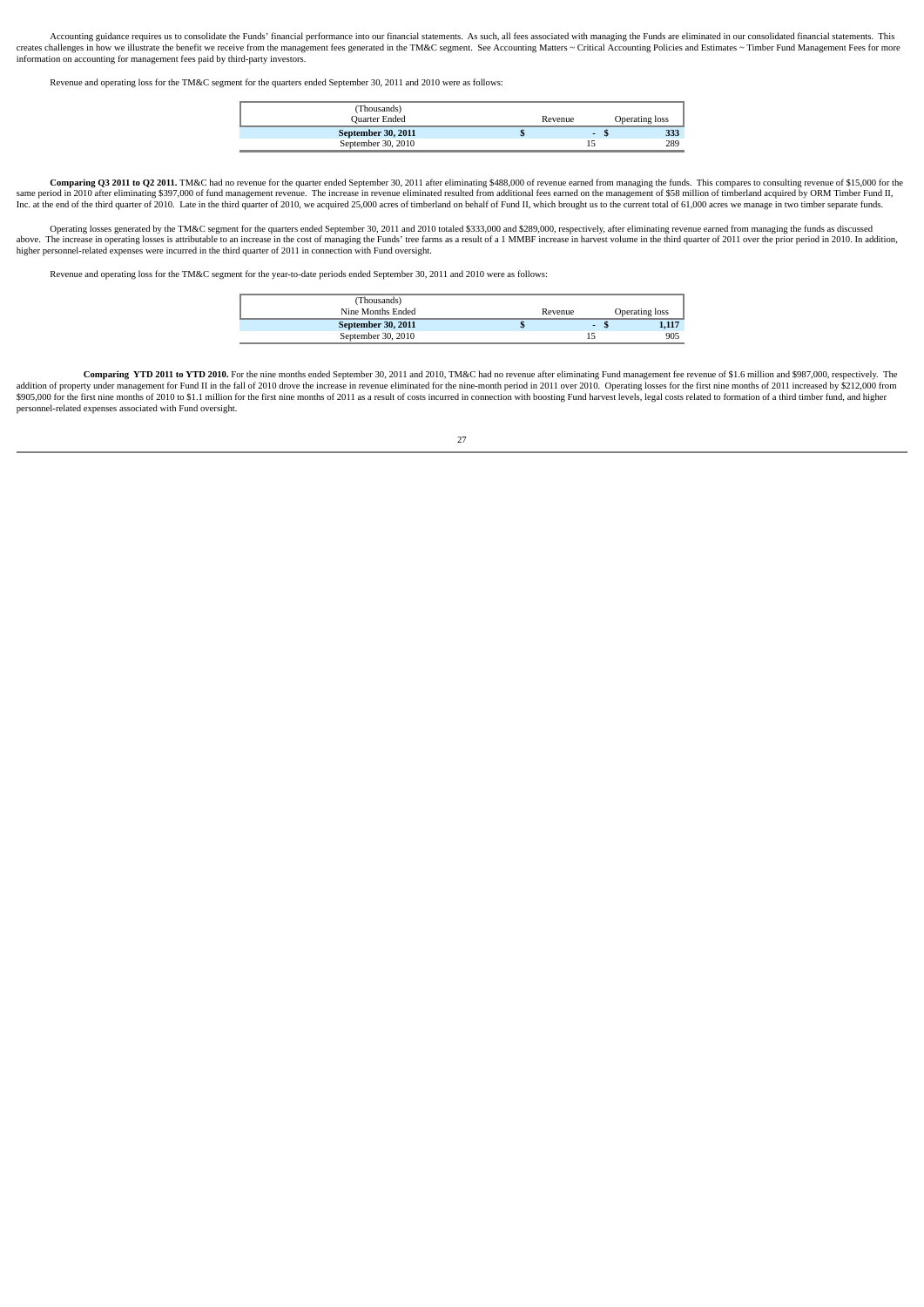Accounting guidance requires us to consolidate the Funds' financial performance into our financial statements. As such, all fees associated with managing the Funds are eliminated in our consolidated financial statements. T creates challenges in how we illustrate the benefit we receive from the management fees generated in the TM&C segment. See Accounting Matters ~ Critical Accounting Policies and Estimates ~ Timber Fund Management Fees for m information on accounting for management fees paid by third-party investors.

Revenue and operating loss for the TM&C segment for the quarters ended September 30, 2011 and 2010 were as follows:

| (Thousands)<br><b>Ouarter Ended</b> | Revenue |   | Operating loss |
|-------------------------------------|---------|---|----------------|
| September 30, 2011                  |         | - | 333            |
| September 30, 2010                  |         |   | 289            |

Comparing Q3 2011 to Q2 2011. TM&C had no revenue for the quarter ended September 30, 2011 after eliminating \$488,000 of revenue earned from managing the funds. This compares to consulting revenue of \$15,000 for the same period in 2010 after eliminating \$397,000 of fund management revenue. The increase in revenue eliminated resulted from additional fees earned on the management of \$58 million of timberland acquired by ORM Timber Fund

Operating losses generated by the TM&C segment for the quarters ended September 30, 2011 and 2010 totaled \$333,000 and \$289,000, respectively, after eliminating revenue earned from managing the funds as discussed above. The increase in operating losses is attributable to an increase in the cost of managing the Funds' tree farms as a result of a 1 MMBF increase in harvest volume in the third quarter of 2011 over the prior period in

Revenue and operating loss for the TM&C segment for the year-to-date periods ended September 30, 2011 and 2010 were as follows:

| (Thousands)        |         |                |
|--------------------|---------|----------------|
| Nine Months Ended  | Revenue | Operating loss |
| September 30, 2011 |         | 1,117          |
| September 30, 2010 |         | 905            |

Comparing YTD 2011 to YTD 2010. For the nine months ended September 30, 2011 and 2010, TM&C had no revenue after eliminating Fund management fee revenue of \$1.6 million and \$987,000, respectively. The addition of property under management for Fund II in the fall of 2010 drove the increase in revenue eliminated for the nine-month period in 2011 over 2010. Operating losses for the first nine months of 2011 increased by \$2 \$905,000 for the first nine months of 2010 to \$1.1 million for the first nine months of 2011 as a result of costs incurred in connection with boosting Fund harvest levels, legal costs related to formation of a third timber personnel-related expenses associated with Fund oversight.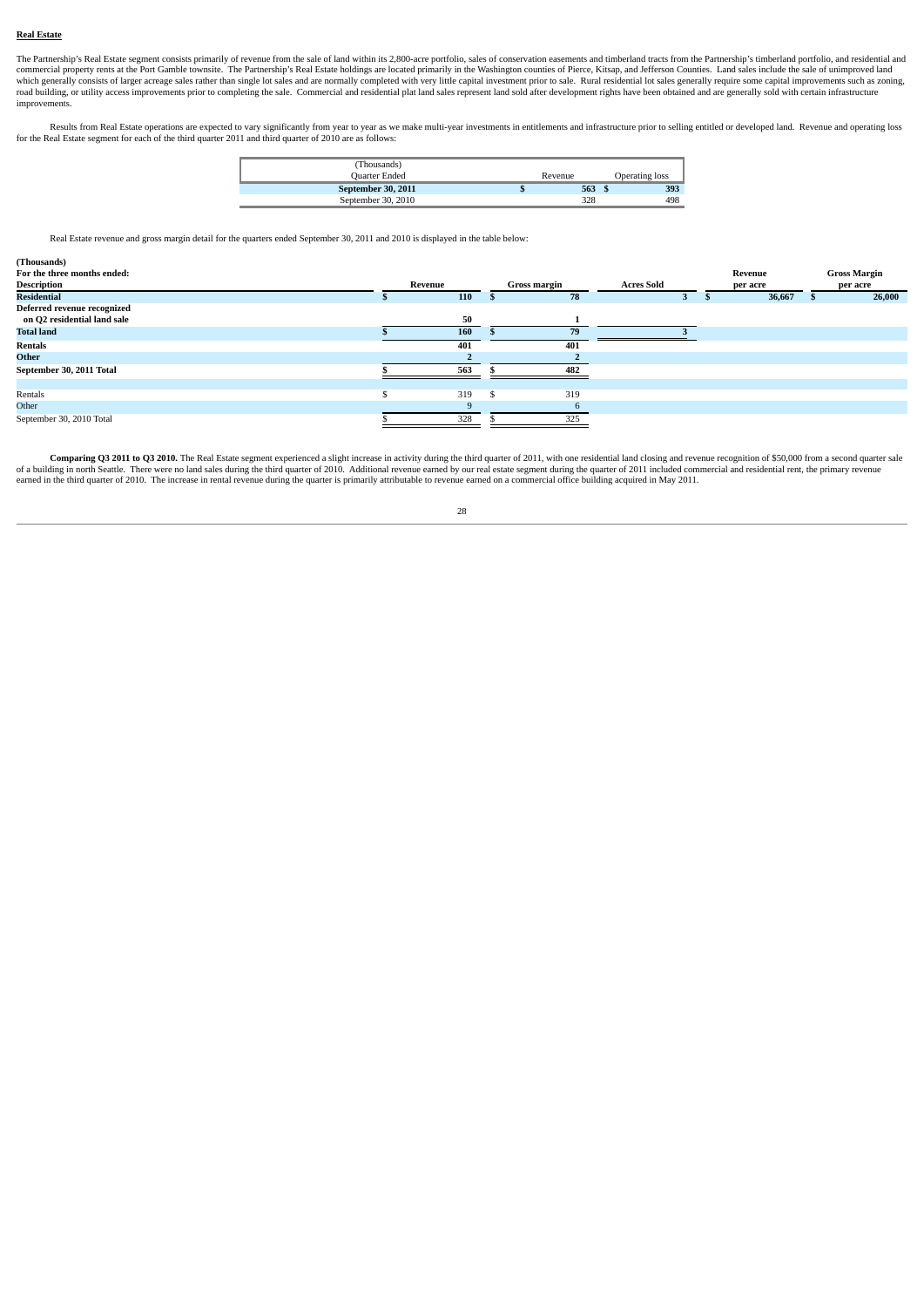#### **Real Estate**

The Partnership's Real Estate segment consists primarily of revenue from the sale of land within its 2,800-acre portfolio, sales of conservation easements and timberland tracts from the Partnership's timberland portfolio, improvements.

Results from Real Estate operations are expected to vary significantly from year to year as we make multi-year investments in entitlements and infrastructure prior to selling entitled or developed land. Revenue and operati for the Real Estate segment for each of the third quarter 2011 and third quarter of 2010 are as follows:

| (Thousands)<br><b>Ouarter Ended</b> | Revenue | Operating loss |
|-------------------------------------|---------|----------------|
| September 30, 2011                  | 563S    | 393            |
| September 30, 2010                  | 328     | 498            |

Real Estate revenue and gross margin detail for the quarters ended September 30, 2011 and 2010 is displayed in the table below:

| (Thousands)                                                |         |     |              |                   |          |         |  |                     |  |  |
|------------------------------------------------------------|---------|-----|--------------|-------------------|----------|---------|--|---------------------|--|--|
| For the three months ended:                                |         |     |              |                   |          | Revenue |  | <b>Gross Margin</b> |  |  |
| Description                                                | Revenue |     | Gross margin | <b>Acres Sold</b> | per acre |         |  | per acre            |  |  |
| <b>Residential</b>                                         |         | 110 | 78           |                   |          | 36,667  |  | 26,000              |  |  |
| Deferred revenue recognized<br>on Q2 residential land sale |         | 50  |              |                   |          |         |  |                     |  |  |
| <b>Total land</b>                                          |         | 160 | 79           |                   |          |         |  |                     |  |  |
| Rentals                                                    |         | 401 | 401          |                   |          |         |  |                     |  |  |
| Other                                                      |         |     |              |                   |          |         |  |                     |  |  |
| September 30, 2011 Total                                   |         | 563 | 482          |                   |          |         |  |                     |  |  |
|                                                            |         |     |              |                   |          |         |  |                     |  |  |
| Rentals                                                    |         | 319 | 319          |                   |          |         |  |                     |  |  |
| Other                                                      |         |     |              |                   |          |         |  |                     |  |  |
| September 30, 2010 Total                                   |         | 328 | 325          |                   |          |         |  |                     |  |  |

**Comparing Q3 2011 to Q3 2010.** The Real Estate segment experienced a slight increase in activity during the third quarter of 2011, with one residential land closing and revenue recognition of \$50,000 from a second quarter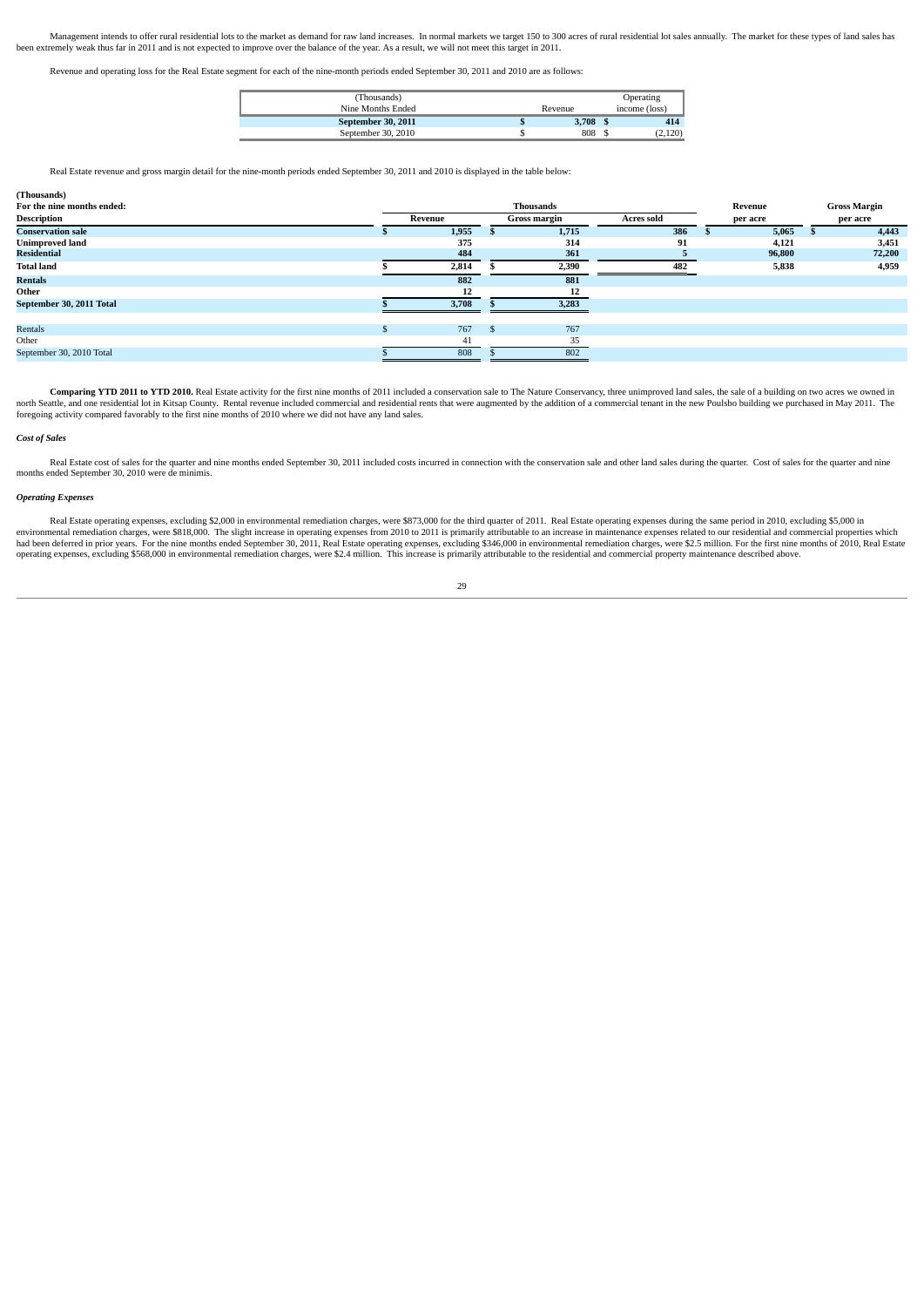Management intends to offer nural residential lots to the market as demand for raw land increases. In normal markets we target 150 to 300 acres of nural residential lot sales annually. The market for these types of land sa been extremely weak thus far in 2011 and is not expected to improve over the balance of the year. As a result, we will not meet this target in 2011.

Revenue and operating loss for the Real Estate segment for each of the nine-month periods ended September 30, 2011 and 2010 are as follows:

| (Thousands)        |         | Operating     |
|--------------------|---------|---------------|
| Nine Months Ended  | Revenue | income (loss) |
| September 30, 2011 | 3.708   | 414           |
| September 30, 2010 | 808     |               |

Real Estate revenue and gross margin detail for the nine-month periods ended September 30, 2011 and 2010 is displayed in the table below:

| (Thousands)                |  |         |               |                  |            |          |         |                     |        |  |
|----------------------------|--|---------|---------------|------------------|------------|----------|---------|---------------------|--------|--|
| For the nine months ended: |  |         |               | <b>Thousands</b> |            |          | Revenue | <b>Gross Margin</b> |        |  |
| <b>Description</b>         |  | Revenue |               | Gross margin     | Acres sold | per acre |         | per acre            |        |  |
| <b>Conservation sale</b>   |  | 1,955   |               | 1,715            | 386        |          | 5,065   |                     | 4,443  |  |
| <b>Unimproved land</b>     |  | 375     |               | 314              | 91         |          | 4,121   |                     | 3,451  |  |
| <b>Residential</b>         |  | 484     |               | 361              |            |          | 96,800  |                     | 72,200 |  |
| <b>Total land</b>          |  | 2,814   |               | 2,390            | 482        |          | 5,838   |                     | 4,959  |  |
| <b>Rentals</b>             |  | 882     |               | 881              |            |          |         |                     |        |  |
| Other                      |  | 12      |               | 12               |            |          |         |                     |        |  |
| September 30, 2011 Total   |  | 3,708   |               | 3,283            |            |          |         |                     |        |  |
|                            |  |         |               |                  |            |          |         |                     |        |  |
| Rentals                    |  | 767     | $\mathcal{L}$ | 767              |            |          |         |                     |        |  |
| Other                      |  | 41      |               | 35               |            |          |         |                     |        |  |
| September 30, 2010 Total   |  | 808     |               | 802              |            |          |         |                     |        |  |

Comparing YTD 2011 to YTD 2010. Real Estate activity for the first nine months of 2011 included a conservation sale to The Nature Conservancy, three unimproved land sales, the sale of a building on two acres we owned in north Seattle, and one residential lot in Kitsap County. Rental revenue included commercial and residential rents that were augmented by the addition of a commercial tenant in the new Poulsbo building we purchased in May 2

#### *Cost of Sales*

Real Estate cost of sales for the quarter and nine months ended September 30, 2011 included costs incurred in connection with the conservation sale and other land sales during the quarter. Cost of sales for the quarter and months ended September 30, 2010 were de minimis.

#### *Operating Expenses*

real Estate operating expenses, excluding \$2,000 in environmental remediation charges, were \$873,000 for the third quarter of 2011. Real Estate operating expenses during the same period in 2010, excluding \$5,000 in expense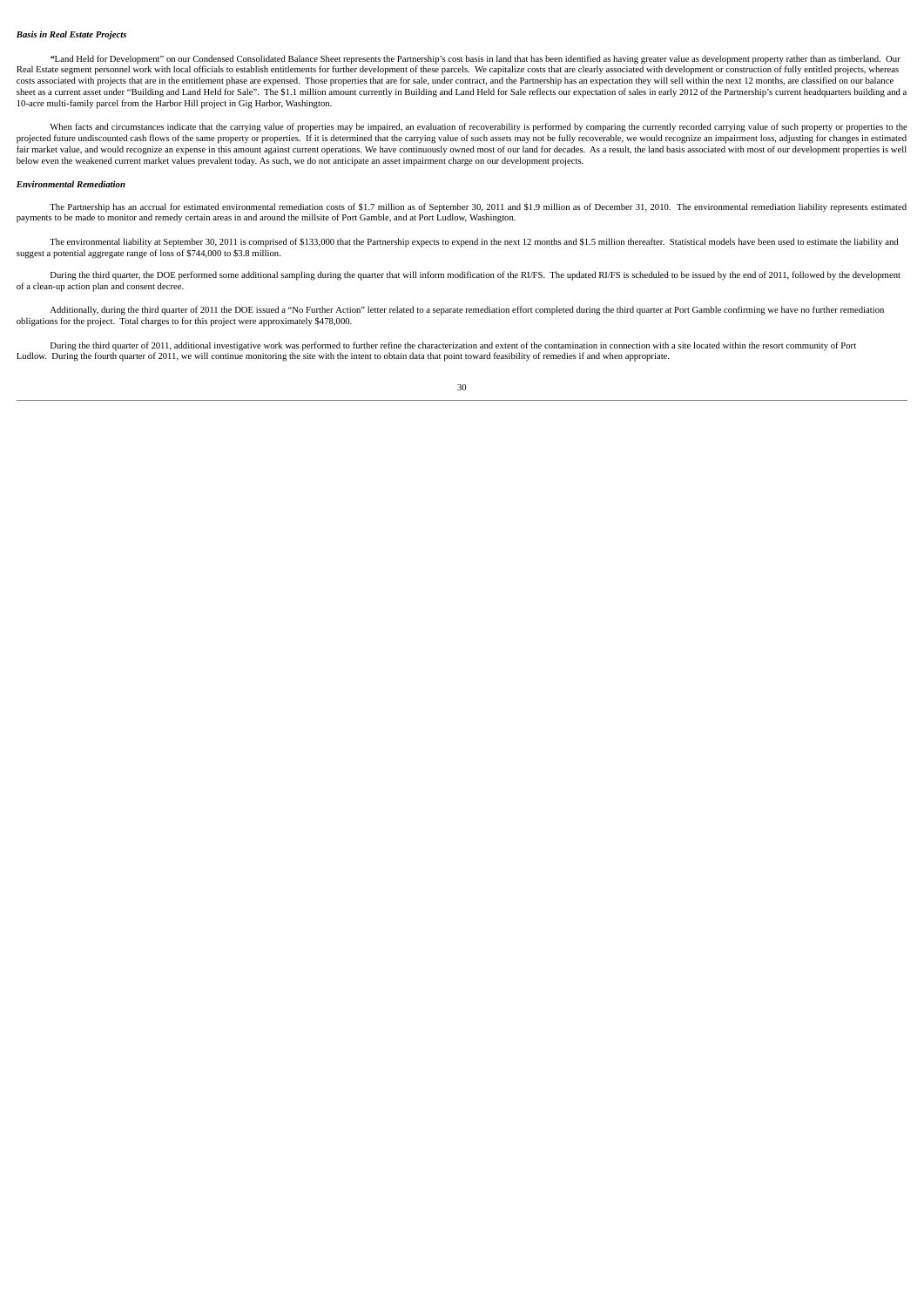#### *Basis in Real Estate Projects*

"Land Held for Development" on our Condensed Consolidated Balance Sheet represents the Partnership's cost basis in land that has been identified as having greater value as development property rather than as timberland. Ou Real Estate segment personnel work with local officials to establish entitlements for further development of these parcels. We capitalize costs that are clearly associated with development or construction of fully entitled costs associated with projects that are in the entitlement phase are expensed. Those properties that are for sale, under contract, and the Partnership has an expectation they will sell within the next 12 months, are classi 10-acre multi-family parcel from the Harbor Hill project in Gig Harbor, Washington.

When facts and circumstances indicate that the carrying value of properties may be impaired, an evaluation of recoverability is performed by comparing the currently recorded carrying value of such property or properties to projected future undiscounted cash flows of the same property or properties. If it is determined that the carrying value of such assets may not be fully recoverable, we would recognize an impairment loss, adjusting for cha below even the weakened current market values prevalent today. As such, we do not anticipate an asset impairment charge on our development projects.

#### *Environmental Remediation*

The Partnership has an accrual for estimated environmental remediation costs of \$1.7 million as of September 30, 2011 and \$1.9 million as of December 31, 2010. The environmental remediation liability represents estimated<br>p

The environmental liability at September 30, 2011 is comprised of \$133,000 that the Partnership expects to expend in the next 12 months and \$1.5 million thereafter. Statistical models have been used to estimate the liabili

During the third quarter, the DOE performed some additional sampling during the quarter that will inform modification of the RI/FS. The updated RI/FS is scheduled to be issued by the end of 2011, followed by the developmen of a clean-up action plan and consent decree.

Additionally, during the third quarter of 2011 the DOE issued a "No Further Action" letter related to a separate remediation effort completed during the third quarter at Port Gamble confirming we have no further remediatio obligations for the project. Total charges to for this project were approximately \$478,000.

During the third quarter of 2011, additional investigative work was performed to further refine the characterization and extent of the contamination in connection with a site located within the resort community of Port Ludlow. During the fourth quarter of 2011, we will continue monitoring the site with the intent to obtain data that point toward feasibility of remedies if and when appropriate.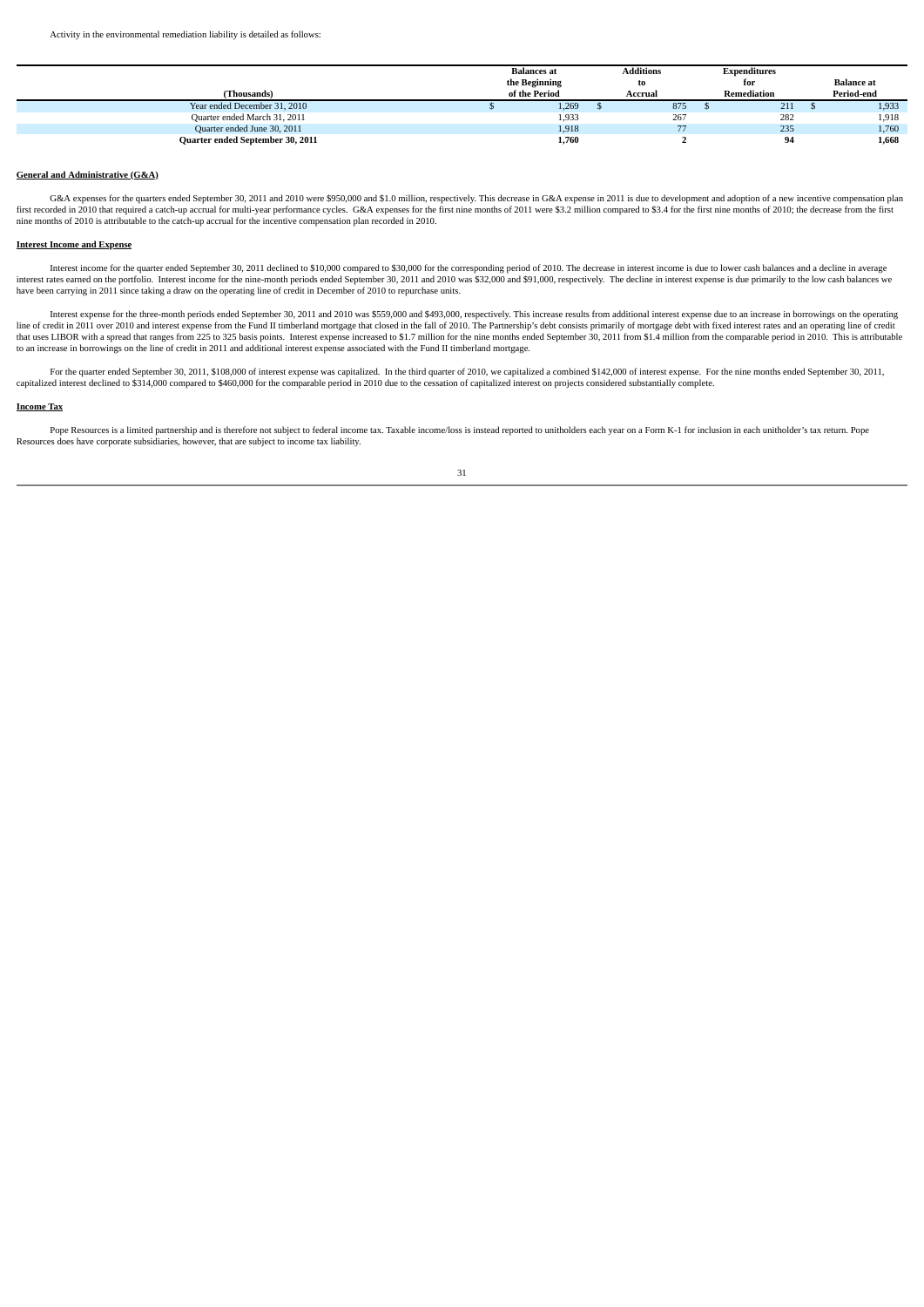| (Thousands)                      | <b>Balances at</b><br>the Beginning<br>of the Period | <b>Additions</b><br>to<br><b>Accrual</b> |     | <b>Expenditures</b><br>for<br>Remediation | <b>Balance</b> at<br>Period-end |
|----------------------------------|------------------------------------------------------|------------------------------------------|-----|-------------------------------------------|---------------------------------|
| Year ended December 31, 2010     | 1,269                                                |                                          | 875 | 211                                       | 1,933                           |
| Quarter ended March 31, 2011     | 1,933                                                |                                          | 267 | 282                                       | 1,918                           |
| Quarter ended June 30, 2011      | 1,918                                                |                                          | 77  | 235                                       | 1,760                           |
| Quarter ended September 30, 2011 | 1,760                                                |                                          |     | 94                                        | 1,668                           |

### **General and Administrative (G&A)**

G&A expenses for the quarters ended September 30, 2011 and 2010 were \$950,000 and \$1.0 million, respectively. This decrease in G&A expense in 2011 is due to development and adoption of a new incentive compensation plan first recorded in 2010 that required a catch-up accrual for multi-year performance cycles. G&A expenses for the first nine months of 2011 were \$3.2 million compared to \$3.4 for the first nine months of 2010; the decrease f nine months of 2010 is attributable to the catch-up accrual for the incentive compensation plan recorded in 2010.

#### **Interest Income and Expense**

Interest income for the quarter ended September 30, 2011 declined to \$10,000 compared to \$30,000 for the corresponding period of 2010. The decrease in interest income is due to lower cash balances and a decline in average have been carrying in 2011 since taking a draw on the operating line of credit in December of 2010 to repurchase units.

Interest expense for the three-month periods ended September 30, 2011 and 2010 was \$559,000 and \$493,000, respectively. This increase results from additional interest expense due to an increase in borrowings on the operating line of credit in 2011 over 2010 and interest expense from the Fund II timberland mortgage that closed in the fall of 2010. The Partnership's debt consists primarily of mortgage debt with fixed interest rates and an operat to an increase in borrowings on the line of credit in 2011 and additional interest expense associated with the Fund II timberland mortgage.

For the quarter ended September 30, 2011, \$108,000 of interest expense was capitalized. In the third quarter of 2010, we capitalized a combined \$142,000 of interest expense. For the nine months ended September 30, 2011, capitalized interest declined to \$314,000 compared to \$460,000 for the comparable period in 2010 due to the cessation of capitalized interest on projects considered substantially complete.

#### **Income Tax**

Pope Resources is a limited partnership and is therefore not subject to federal income tax. Taxable income/loss is instead reported to unitholders each year on a Form K-1 for inclusion in each unitholder's tax return. Pope Resources does have corporate subsidiaries, however, that are subject to income tax liability.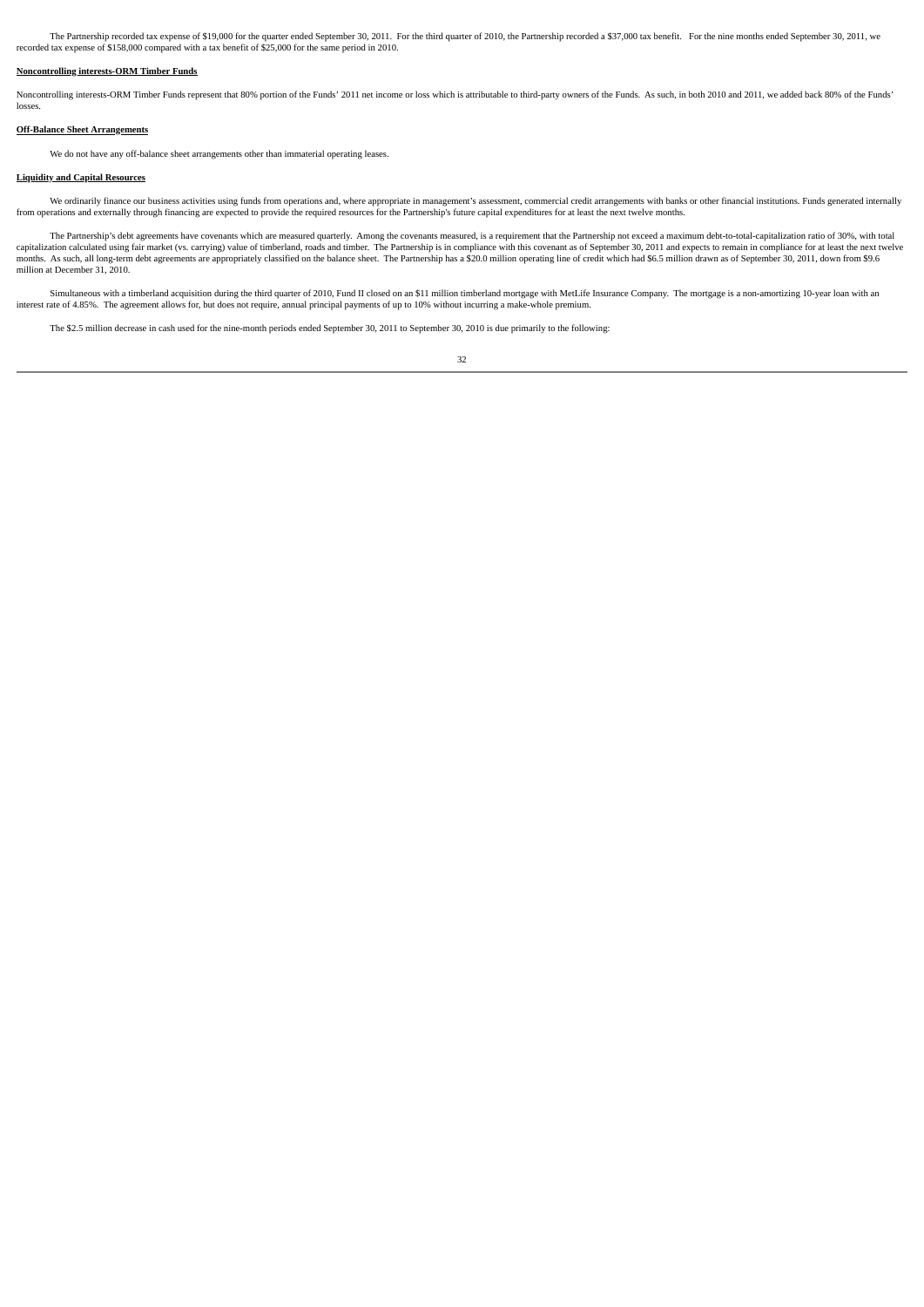The Partnership recorded tax expense of \$19,000 for the quarter ended September 30, 2011. For the third quarter of 2010, the Partnership recorded a \$37,000 tax benefit. For the nine months ended September 30, 2011, we recorded tax expense of \$158,000 compared with a tax benefit of \$25,000 for the same period in 2010.

#### **Noncontrolling interests-ORM Timber Funds**

Noncontrolling interests-ORM Timber Funds represent that 80% portion of the Funds' 2011 net income or loss which is attributable to third-party owners of the Funds. As such, in both 2010 and 2011, we added back 80% of the losses.

# **Off-Balance Sheet Arrangements**

We do not have any off-balance sheet arrangements other than immaterial operating leases.

# **Liquidity and Capital Resources**

We ordinarily finance our business activities using funds from operations and, where appropriate in management's assessment, commercial credit arrangements with banks or other financial institutions. Funds generated intern

The Partnership's debt agreements have covenants which are measured quarterly. Among the covenants measured, is a requirement that the Partnership not exceed a maximum debt-to-total-capitalization ratio of 30%, with total<br> million at December 31, 2010.

Simultaneous with a timberland acquisition during the third quarter of 2010, Fund II closed on an \$11 million timberland mortgage with MetLife Insurance Company. The mortgage is a non-amortizing 10-year loan with an intere

The \$2.5 million decrease in cash used for the nine-month periods ended September 30, 2011 to September 30, 2010 is due primarily to the following: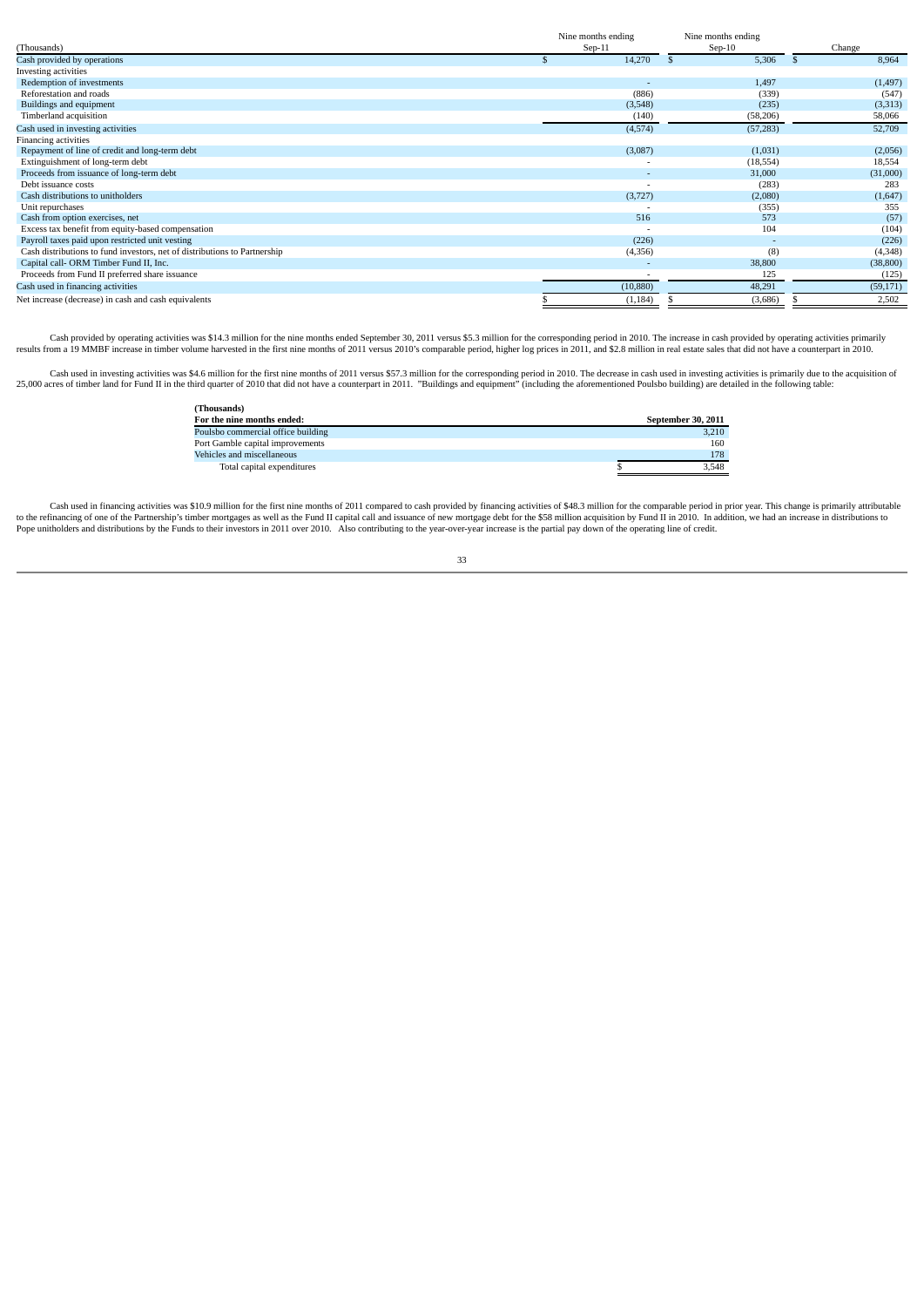| (Thousands)                                                               | Nine months ending<br>$Sep-11$ | Nine months ending<br>$Sep-10$ | Change    |
|---------------------------------------------------------------------------|--------------------------------|--------------------------------|-----------|
| Cash provided by operations                                               | 14,270                         | 5,306                          | 8,964     |
| Investing activities                                                      |                                |                                |           |
| Redemption of investments                                                 |                                | 1,497                          | (1, 497)  |
| Reforestation and roads                                                   | (886)                          | (339)                          | (547)     |
| Buildings and equipment                                                   | (3,548)                        | (235)                          | (3,313)   |
| Timberland acquisition                                                    | (140)                          | (58, 206)                      | 58,066    |
| Cash used in investing activities                                         | (4,574)                        | (57, 283)                      | 52,709    |
| Financing activities                                                      |                                |                                |           |
| Repayment of line of credit and long-term debt                            | (3,087)                        | (1,031)                        | (2,056)   |
| Extinguishment of long-term debt                                          |                                | (18, 554)                      | 18,554    |
| Proceeds from issuance of long-term debt                                  |                                | 31,000                         | (31,000)  |
| Debt issuance costs                                                       |                                | (283)                          | 283       |
| Cash distributions to unitholders                                         | (3,727)                        | (2,080)                        | (1,647)   |
| Unit repurchases                                                          |                                | (355)                          | 355       |
| Cash from option exercises, net                                           | 516                            | 573                            | (57)      |
| Excess tax benefit from equity-based compensation                         |                                | 104                            | (104)     |
| Payroll taxes paid upon restricted unit vesting                           | (226)                          |                                | (226)     |
| Cash distributions to fund investors, net of distributions to Partnership | (4,356)                        | (8)                            | (4,348)   |
| Capital call- ORM Timber Fund II, Inc.                                    |                                | 38,800                         | (38, 800) |
| Proceeds from Fund II preferred share issuance                            |                                | 125                            | (125)     |
| Cash used in financing activities                                         | (10, 880)                      | 48,291                         | (59, 171) |
| Net increase (decrease) in cash and cash equivalents                      | (1, 184)                       | (3,686)                        | 2,502     |

Cash provided by operating activities was \$14.3 million for the nine months ended September 30, 2011 versus \$5.3 million for the corresponding period in 2010. The increase in cash provided by operating activities primarily

Cash used in investing activities was \$4.6 million for the first nine months of 2011 versus \$57.3 million for the corresponding period in 2010. The decrease in cash used in investing activities is primarily due to the acqu

| (Thousands)                        |                    |
|------------------------------------|--------------------|
| For the nine months ended:         | September 30, 2011 |
| Poulsbo commercial office building | 3.210              |
| Port Gamble capital improvements   | 160                |
| Vehicles and miscellaneous         | 178                |
| Total capital expenditures         | 3.548              |

Cash used in financing activities was \$10.9 million for the first nine months of 2011 compared to cash provided by financing activities of \$48.3 million for the comparable period in prior year. This change is primarily att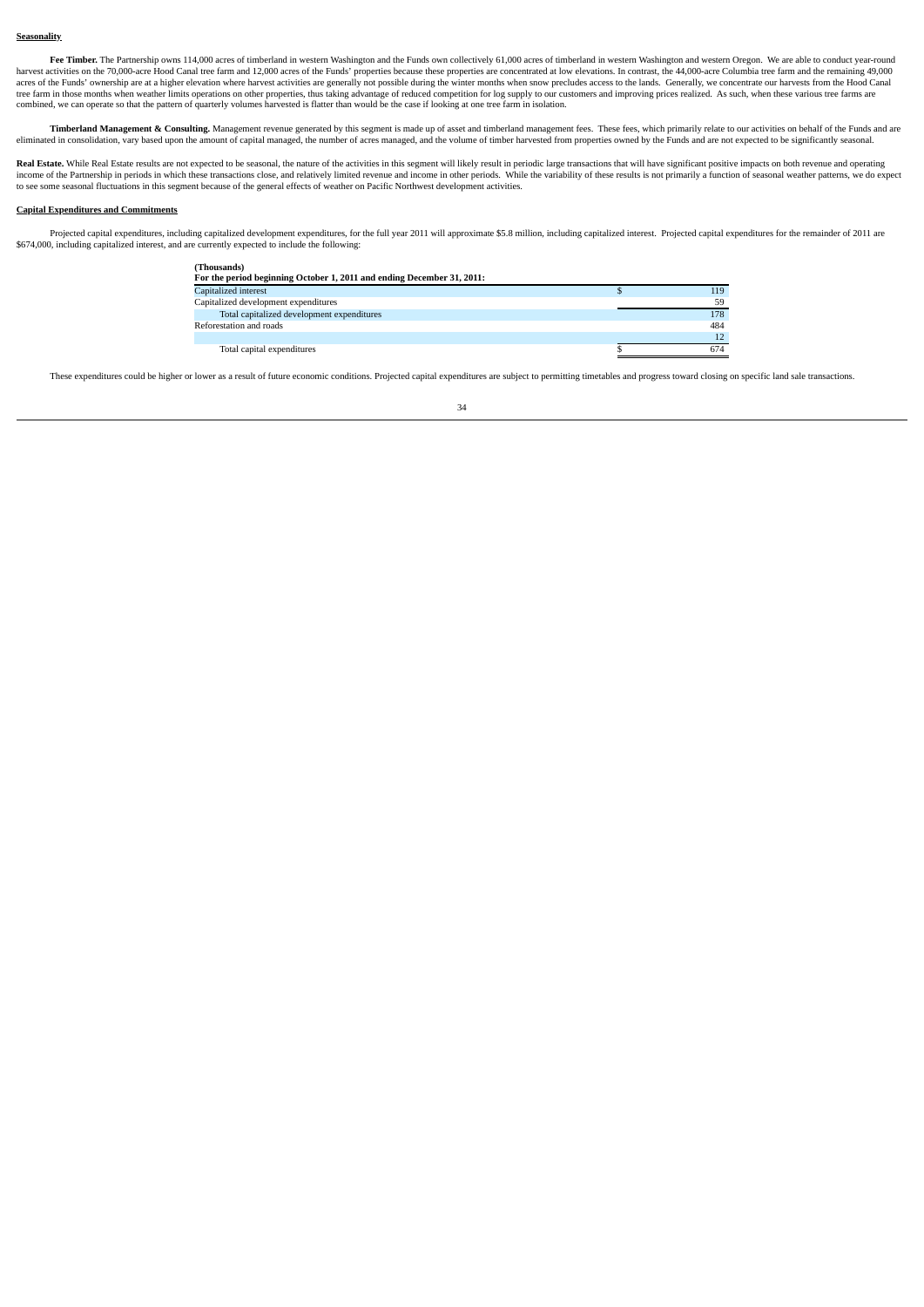#### **Seasonality**

Fee Timber. The Partnership owns 114,000 acres of timberland in western Washington and the Funds own collectively 61,000 acres of timberland in western Washington and western Oregon. We are able to conduct year-round harvest activities on the 70,000-acre Hood Canal tree farm and 12,000 acres of the Funds' properties because these properties are concentrated at low elevations. In contrast, the 44,000-acre Columbia tree farm and the rema tree farm in those months when weather limits operations on other properties, thus taking advantage of reduced competition for log supply to our customers and improving prices realized. As such, when these various tree far

Timberland Management & Consulting. Management revenue generated by this segment is made up of asset and timberland management fees. These fees, which primarily relate to our activities on behalf of the Funds and are and e

Real Estate. While Real Estate results are not expected to be seasonal, the nature of the activities in this segment will likely result in periodic large transactions that will have significant positive impacts on both rev to see some seasonal fluctuations in this segment because of the general effects of weather on Pacific Northwest development activities.

#### **Capital Expenditures and Commitments**

Projected capital expenditures, including capitalized development expenditures, for the full year 2011 will approximate \$5.8 million, including capitalized interest. Projected capital expenditures for the remainder of 2011 \$674,000, including capitalized interest, and are currently expected to include the following:

| (Thousands)                                                            |     |
|------------------------------------------------------------------------|-----|
| For the period beginning October 1, 2011 and ending December 31, 2011: |     |
| Capitalized interest                                                   | 119 |
| Capitalized development expenditures                                   | 59  |
| Total capitalized development expenditures                             | 178 |
| Reforestation and roads                                                | 484 |
|                                                                        |     |
| Total capital expenditures                                             | 674 |

These expenditures could be higher or lower as a result of future economic conditions. Projected capital expenditures are subject to permitting timetables and progress toward closing on specific land sale transactions.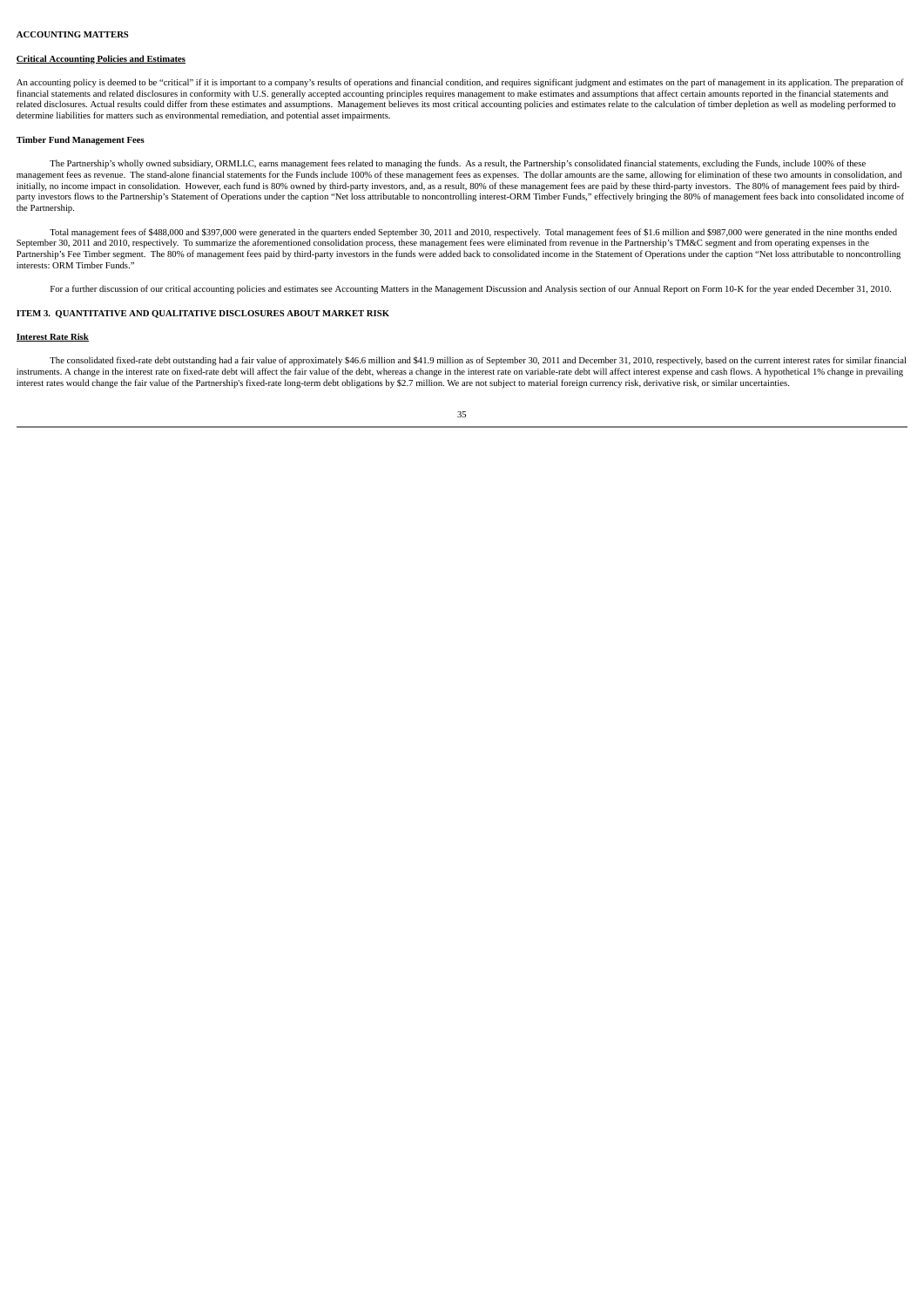#### **ACCOUNTING MATTERS**

#### **Critical Accounting Policies and Estimates**

An accounting policy is deemed to be "critical" if it is important to a company's results of operations and financial condition, and requires significant judgment and estimates on the part of management in its application. financial statements and related disclosures in conformity with U.S. generally accepted accounting principles requires management to make estimates and assumptions that affect certain amounts reported in the financial stat determine liabilities for matters such as environmental remediation, and potential asset impairments.

#### **Timber Fund Management Fees**

The Partnership's wholly owned subsidiary, ORMLLC, earns management fees related to managing the funds. As a result, the Partnership's consolidated financial statements, excluding the Funds, include 100% of these management fees as revenue. The stand-alone financial statements for the Funds include 100% of these management fees as expenses. The dollar amounts are the same, allowing for elimination of these two amounts in consolidat initially, no income impact in consolidation. However, each fund is 80% owned by third-party investors, and, as a result, 80% of these management fees are paid by these third-party investors. The 80% of management fees pai the Partnership.

Total management fees of \$488,000 and \$397,000 were generated in the quarters ended September 30, 2011 and 2010, respectively. Total management fees of \$1.6 million and \$987,000 were generated in the nine months ended September 30, 2011 and 2010, respectively. To summarize the aforementioned consolidation process, these management fees were eliminated from revenue in the Partnership's TM&C segment and from operating expenses in the the interests: ORM Timber Funds."

For a further discussion of our critical accounting policies and estimates see Accounting Matters in the Management Discussion and Analysis section of our Annual Report on Form 10-K for the year ended December 31, 2010.

# <span id="page-34-0"></span>**ITEM 3.QUANTITATIVE AND QUALITATIVE DISCLOSURES ABOUT MARKET RISK**

#### **Interest Rate Risk**

The consolidated fixed-rate debt outstanding had a fair value of approximately \$46.6 million and \$41.9 million as of September 30, 2011 and December 31, 2010, respectively, based on the current interest rates for similar f interest rates would change the fair value of the Partnership's fixed-rate long-term debt obligations by \$2.7 million. We are not subject to material foreign currency risk, derivative risk, or similar uncertainties.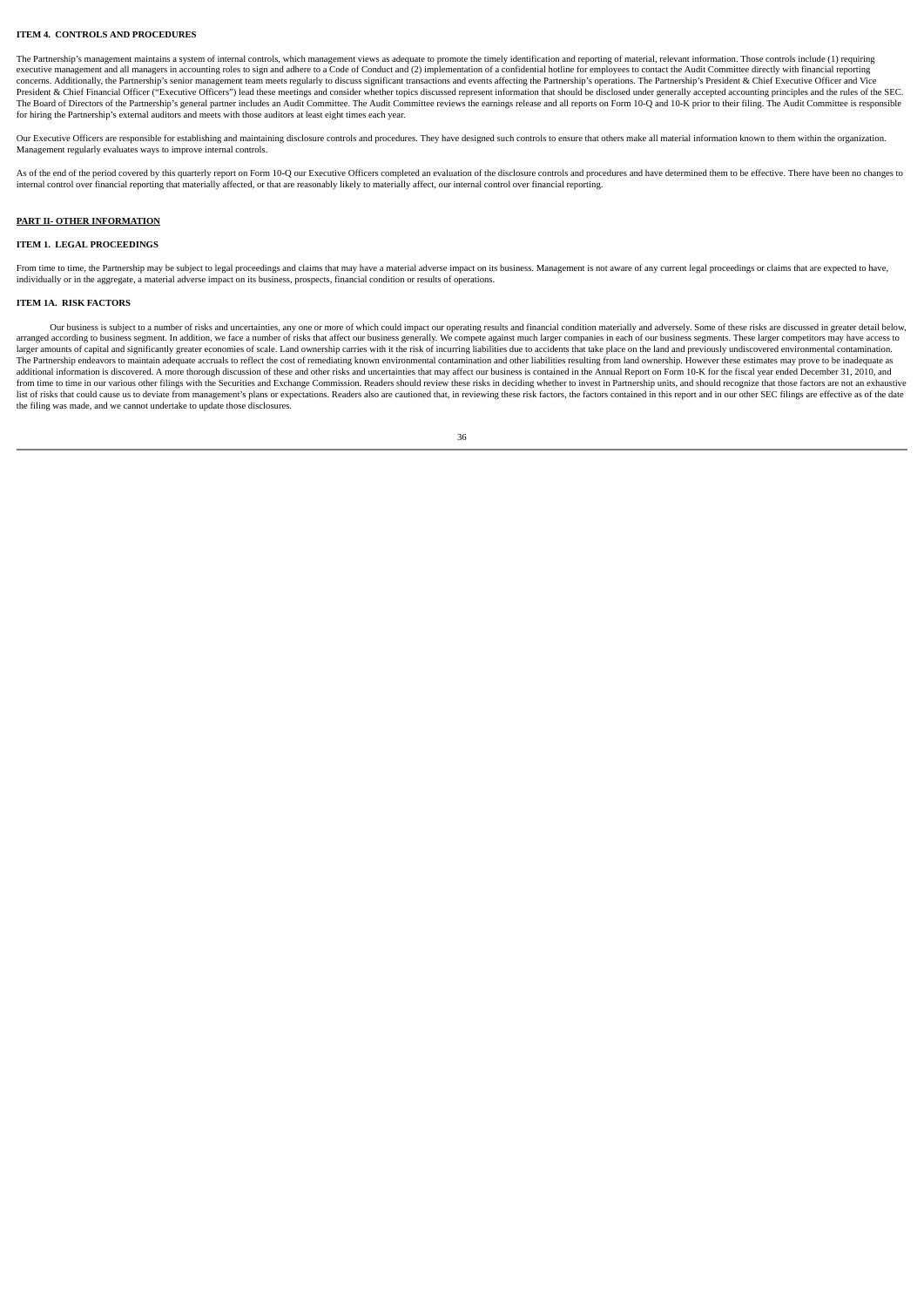#### <span id="page-35-0"></span>**ITEM 4.CONTROLS AND PROCEDURES**

The Partnership's management maintains a system of internal controls, which management views as adequate to promote the timely identification and reporting of material, relevant information. Those controls include (1) requ executive management and all managers in accounting roles to sign and adhere to a Code of Conduct and (2) implementation of a confidential hotline for employees to contact the Audit Committee directly with financial report concerns. Additionally, the Partnership's senior management team meets regularly to discuss significant transactions and events affecting the Partnership's operations. The Partnership's President & Chief Executive Officer The Board of Directors of the Partnership's general partner includes an Audit Committee. The Audit Committee reviews the earnings release and all reports on Form 10-Q and 10-K prior to their filing. The Audit Committee is

Our Executive Officers are responsible for establishing and maintaining disclosure controls and procedures. They have designed such controls to ensure that others make all material information known to them within the orga Management regularly evaluates ways to improve internal controls.

As of the end of the period covered by this quarterly report on Form 10-Q our Executive Officers completed an evaluation of the disclosure controls and procedures and have determined them to be effective. There have been n internal control over financial reporting that materially affected, or that are reasonably likely to materially affect, our internal control over financial reporting.

# **PART II- OTHER INFORMATION**

# <span id="page-35-1"></span>**ITEM 1.LEGAL PROCEEDINGS**

From time to time, the Partnership may be subject to legal proceedings and claims that may have a material adverse impact on its business. Management is not aware of any current legal proceedings or claims that are expecte individually or in the aggregate, a material adverse impact on its business, prospects, financial condition or results of operations.

#### <span id="page-35-2"></span>**ITEM 1A. RISK FACTORS**

Our business is subject to a number of risks and uncertainties, any one or more of which could impact our operating results and financial condition materially and adversely. Some of these risks are discussed in greater det arranged according to business segment. In addition, we face a number of risks that affect our business generally. We compete against much larger companies in each of our business segments. These larger competitors may hav The Partnership endeavors to maintain adequate accruals to reflect the cost of remediating known environmental contamination and other liabilities resulting from land ownership. However these estimates may prove to be inad securities and Exchange Commission. Readers should review these risks in deciding whether to invest in Partnership units, and should recognize that those factors are not an exhaustive from time to three. In the incommence list of risks that could cause us to deviate from management's plans or expectations. Readers also are cautioned that, in reviewing these risk factors, the factors contained in this report and in our other SEC filings are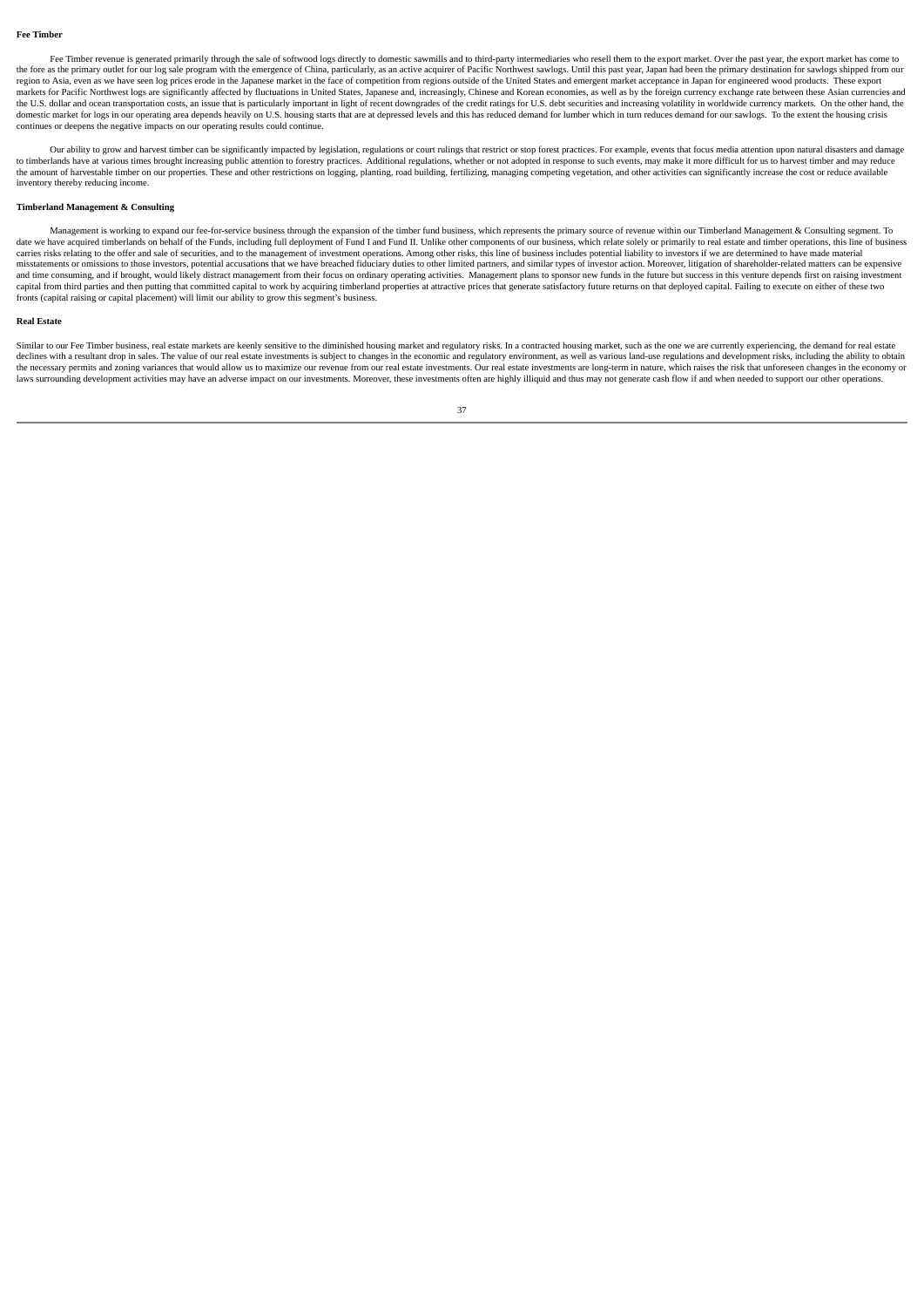#### **Fee Timber**

Fee Timber revenue is generated primarily through the sale of softwood logs directly to domestic sawmills and to third-party intermediaries who resell them to the export market. Over the past year, the export market has co the fore as the primary outlet for our log sale program with the emergence of China, particularly, as an active acquirer of Pacific Northwest sawlogs. Until this past year, Japan had been the primary destination for sawlog region to Asia, even as we have seen log prices erode in the Japanese market in the face of competition from regions outside of the United States and emergent market acceptance in Japan for engineered wood products. These the U.S. dollar and ocean transportation costs, an issue that is particularly important in light of recent downgrades of the credit ratings for U.S. debt securities and increasing volatility in worldwide currency markets. continues or deepens the negative impacts on our operating results could continue.

Our ability to grow and harvest timber can be significantly impacted by legislation, regulations or court rulings that restrict or stop forest practices. For example, events that focus media attention upon natural disaster to timberlands have at various times brought increasing public attention to forestry practices. Additional regulations, whether or not adopted in response to such events, may make it more difficult for us to harvest timber the amount of harvestable timber on our properties. These and other restrictions on logging, planting, road building, fertilizing, managing competing vegetation, and other activities can significantly increase the cost or inventory thereby reducing income.

#### **Timberland Management & Consulting**

Management is working to expand our fee-for-service business through the expansion of the timber fund business, which represents the primary source of revenue within our Timberland Management & Consulting segment. To date we have acquired timberlands on behalf of the Funds, including full deployment of Fund I and Fund II. Unlike other components of our business, which relate solely or primarily to real estate and timber operations, thi misstatements or omissions to those investors, potential accusations that we have breached fiduciary duties to other limited partners, and similar types of investor action. Moreover, litigation of shareholder-related matte capital from third parties and then putting that committed capital to work by acquiring timberland properties at attractive prices that generate satisfactory future returns on that deployed capital. Failing to execute on e fronts (capital raising or capital placement) will limit our ability to grow this segment's business.

#### **Real Estate**

Similar to our Fee Timber business, real estate markets are keenly sensitive to the diminished housing market and regulatory risks. In a contracted housing market, such as the one we are currently experiencing, the demand declines with a resultant drop in sales. The value of our real estate investments is subject to changes in the economic and regulatory environment, as well as various land-use regulations and development risks, including t the necessary permits and zoning variances that would allow us to maximize our revenue from our real estate investments. Our real estate investments are long-term in nature, which raises the risk that unforeseen changes in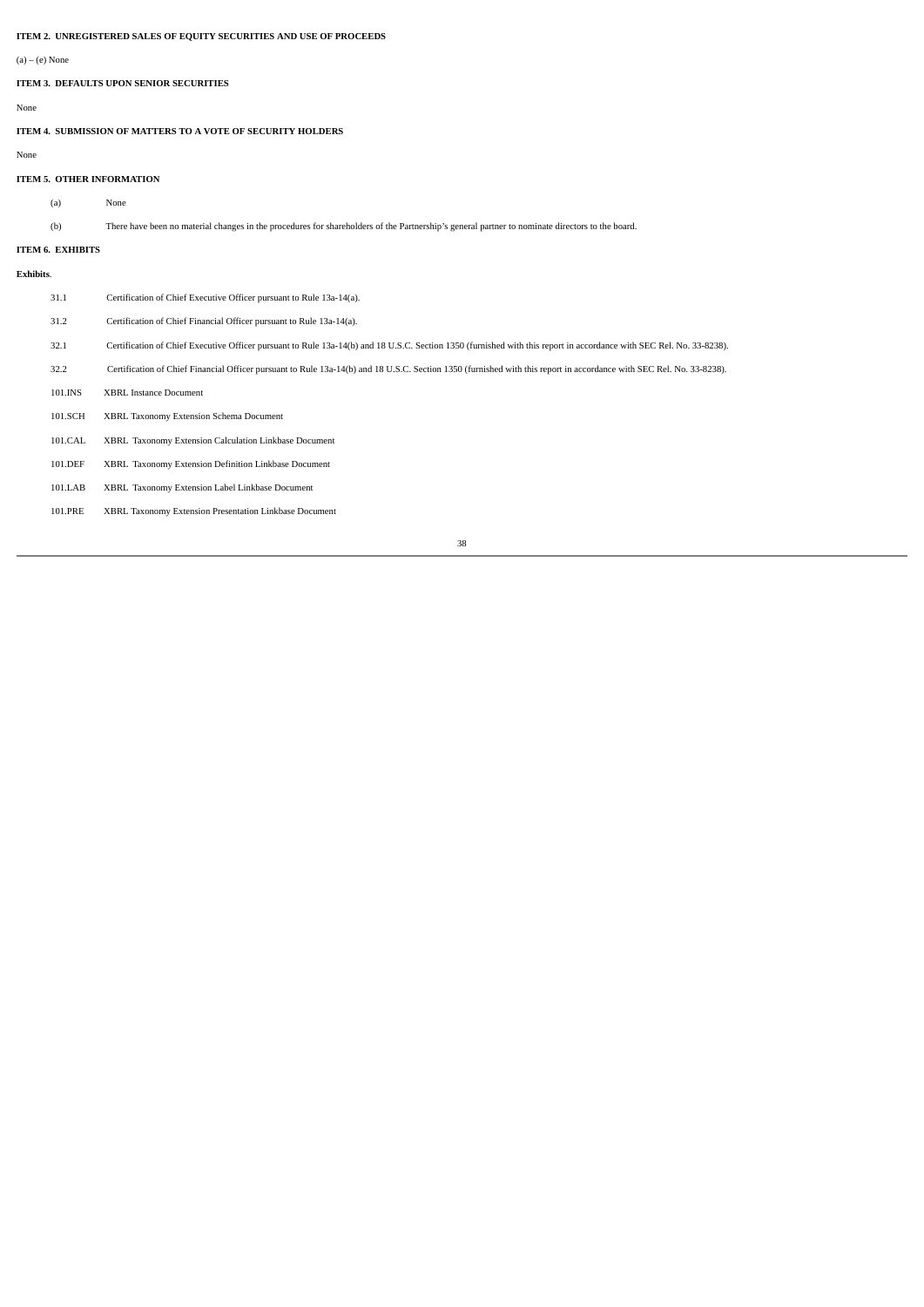# <span id="page-37-0"></span>**ITEM 2.UNREGISTERED SALES OF EQUITY SECURITIES AND USE OF PROCEEDS**

# $(a) - (e)$  None

# <span id="page-37-1"></span>**ITEM 3.DEFAULTS UPON SENIOR SECURITIES**

None

<span id="page-37-2"></span>**ITEM 4.SUBMISSION OF MATTERS TO A VOTE OF SECURITY HOLDERS**

# None

# <span id="page-37-3"></span>**ITEM 5.OTHER INFORMATION**

(a) None

(b) There have been no material changes in the procedures for shareholders of the Partnership's general partner to nominate directors to the board.

# <span id="page-37-4"></span>**ITEM 6.EXHIBITS**

# **Exhibits**.

| 31.1    | Certification of Chief Executive Officer pursuant to Rule 13a-14(a).                                                                                                 |
|---------|----------------------------------------------------------------------------------------------------------------------------------------------------------------------|
| 31.2    | Certification of Chief Financial Officer pursuant to Rule 13a-14(a).                                                                                                 |
| 32.1    | Certification of Chief Executive Officer pursuant to Rule 13a-14(b) and 18 U.S.C. Section 1350 (furnished with this report in accordance with SEC Rel. No. 33-8238). |
| 32.2    | Certification of Chief Financial Officer pursuant to Rule 13a-14(b) and 18 U.S.C. Section 1350 (furnished with this report in accordance with SEC Rel. No. 33-8238). |
| 101.INS | <b>XBRL Instance Document</b>                                                                                                                                        |
| 101.SCH | XBRL Taxonomy Extension Schema Document                                                                                                                              |
| 101.CAL | XBRL Taxonomy Extension Calculation Linkbase Document                                                                                                                |
| 101.DEF | XBRL Taxonomy Extension Definition Linkbase Document                                                                                                                 |
| 101.LAB | XBRL Taxonomy Extension Label Linkbase Document                                                                                                                      |
| 101.PRE | XBRL Taxonomy Extension Presentation Linkbase Document                                                                                                               |
|         |                                                                                                                                                                      |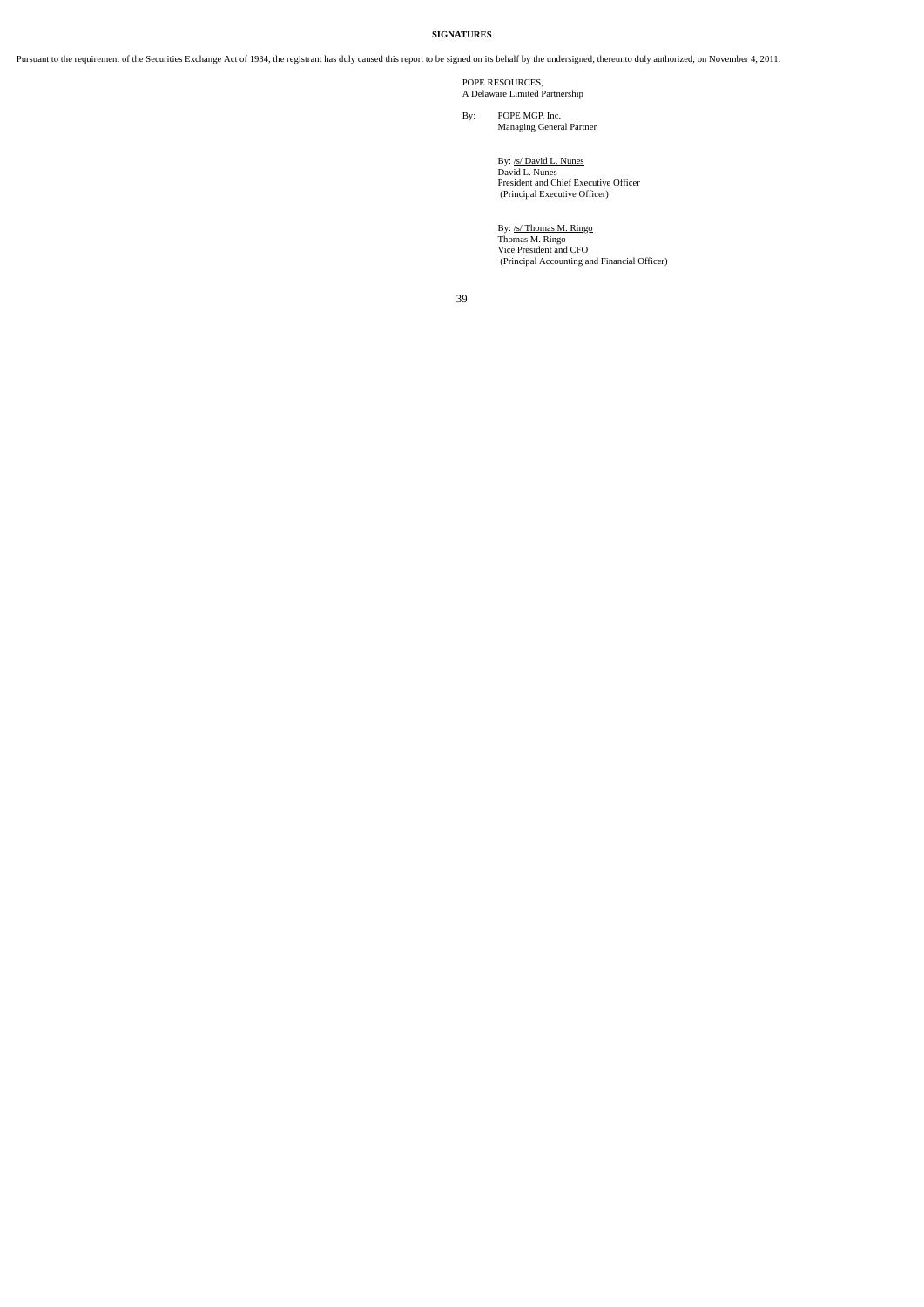# <span id="page-38-0"></span>**SIGNATURES**

Pursuant to the requirement of the Securities Exchange Act of 1934, the registrant has duly caused this report to be signed on its behalf by the undersigned, thereunto duly authorized, on November 4, 2011.

POPE RESOURCES,<br>A Delaware Limited Partnership

By: POPE MGP, Inc. Managing General Partner

By: <u>/s/ David L. Nunes</u><br>David L. Nunes<br>President and Chief Executive Officer<br>(Principal Executive Officer)

By: <u>/s/ Thomas M. Ringo</u><br>Thomas M. Ringo<br>Vice President and CFO<br>(Principal Accounting and Financial Officer)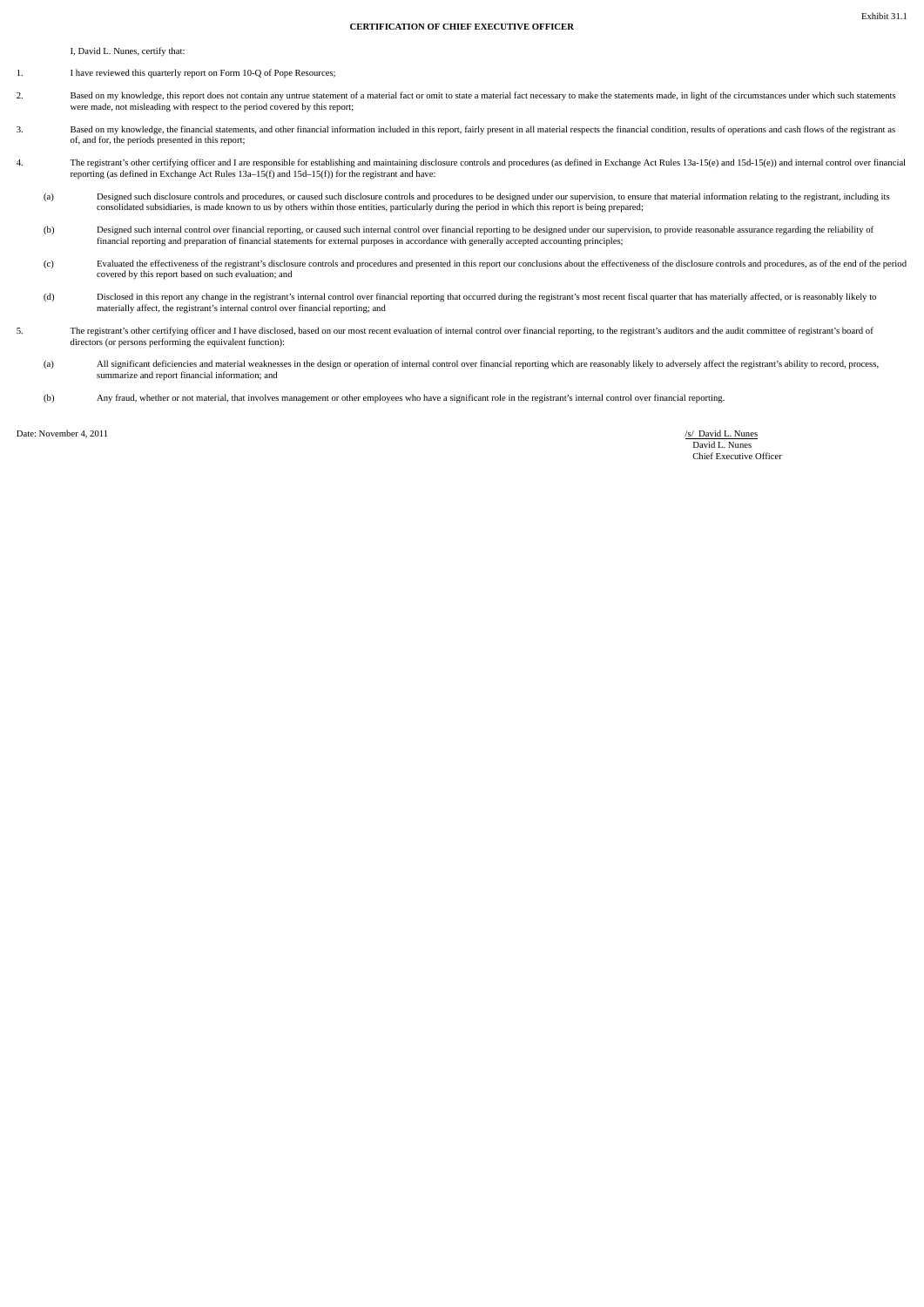I, David L. Nunes, certify that:

- 1. I have reviewed this quarterly report on Form 10-Q of Pope Resources;
- 2. Based on my knowledge, this report does not contain any untrue statement of a material fact or omit to state a material fact necessary to make the statements made, in light of the circumstances under which such statements were made, not misleading with respect to the period covered by this report;
- 3. Based on my knowledge, the financial statements, and other financial information included in this report, fairly present in all material respects the financial condition, results of operations and cash flows of the regi
- 4. The registrant's other certifying officer and I are responsible for establishing and maintaining disclosure controls and procedures (as defined in Exchange Act Rules 13a-15(e) and 15d-15(e)) and internal control over fi
	- (a) Designed such disclosure controls and procedures, or caused such disclosure controls and procedures to be designed under our supervision, to ensure that material information relating to the registrant, including its<br>co
	- (b) Designed such internal control over financial reporting, or caused such internal control over financial reporting to be designed under our supervision, to provide reasonable assurance regarding the reliability of<br>finan
	- (c) Evaluated the effectiveness of the registrant's disclosure controls and procedures and presented in this report our conclusions about the effectiveness of the disclosure controls and procedures, as of the end of the pe covered by this report based on such evaluation; and
	- (d) Disclosed in this report any change in the registrant's internal control over financial reporting that occurred during the registrant's most recent fiscal quarter that has materially affected, or is reasonably likely to materially affect, the registrant's internal control over financial reporting; and
- 5. The registrant's other certifying officer and I have disclosed, based on our most recent evaluation of internal control over financial reporting, to the registrant's auditors and the audit committee of registrant's boar directors (or persons performing the equivalent function):
	- (a) All significant deficiencies and material weaknesses in the design or operation of internal control over financial reporting which are reasonably likely to adversely affect the registrant's ability to record, process,<br>
	- (b) Any fraud, whether or not material, that involves management or other employees who have a significant role in the registrant's internal control over financial reporting.

Date: November 4, 2011 *(s)* David L. Nunes Date: November 4, 2011 *(s)* David L. Nunes David L. Nunes David L. Nunes David L. Nunes Chief Executive Officer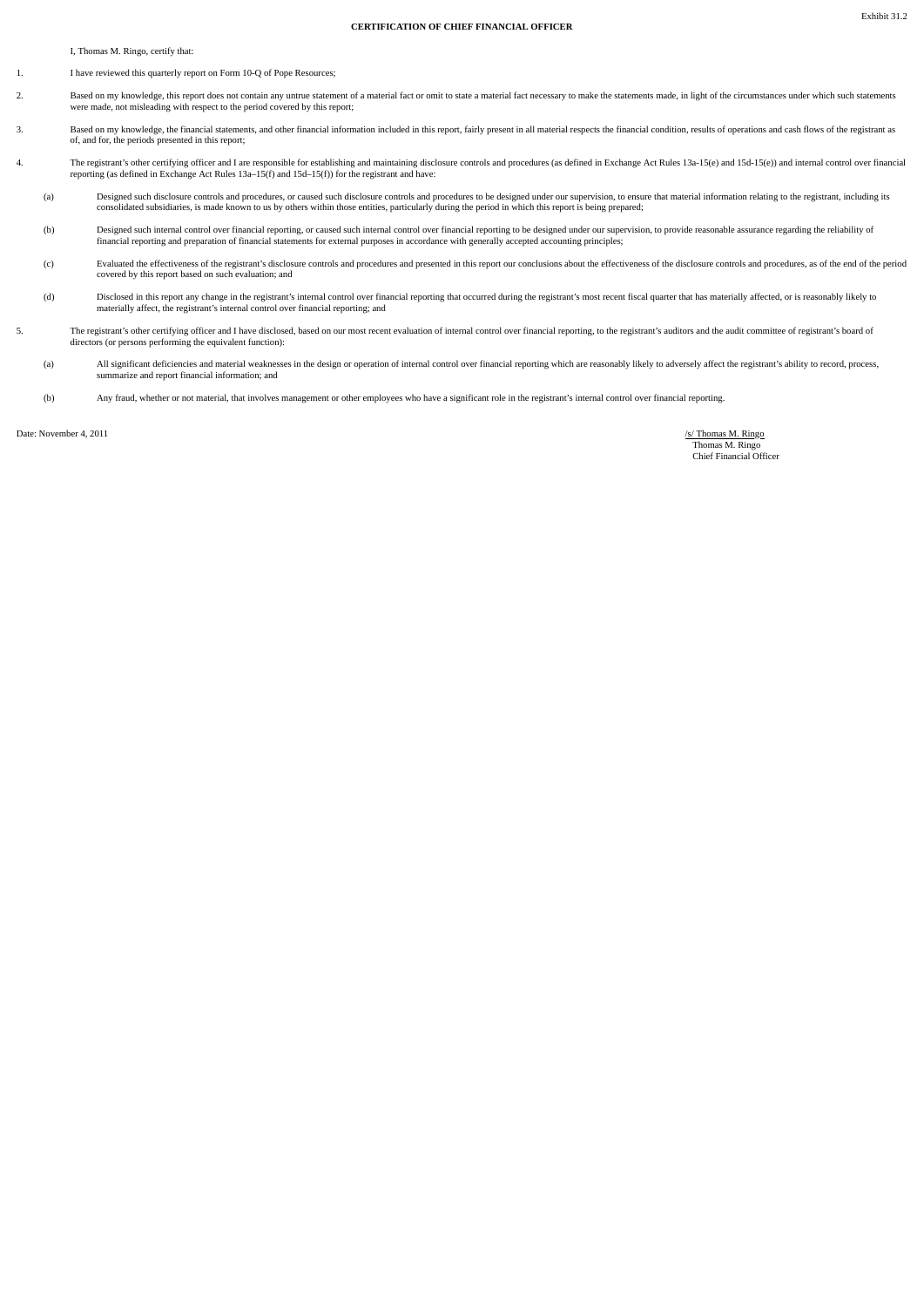I, Thomas M. Ringo, certify that:

1. I have reviewed this quarterly report on Form 10-Q of Pope Resources;

Exhibit 31.2

2. Based on my knowledge, this report does not contain any untrue statement of a material fact or omit to state a material fact necessary to make the statements made, in light of the circumstances under which such statements were made, not misleading with respect to the period covered by this report;

- 3. Based on my knowledge, the financial statements, and other financial information included in this report, fairly present in all material respects the financial condition, results of operations and cash flows of the regi
- 4. The registrant's other certifying officer and I are responsible for establishing and maintaining disclosure controls and procedures (as defined in Exchange Act Rules 13a-15(e) and 15d-15(e)) and internal control over fi
	- (a) Designed such disclosure controls and procedures, or caused such disclosure controls and procedures to be designed under our supervision, to ensure that material information relating to the registrant, including its<br>co
	- (b) Designed such internal control over financial reporting, or caused such internal control over financial reporting to be designed under our supervision, to provide reasonable assurance regarding the reliability of<br>finan
	- (c) Evaluated the effectiveness of the registrant's disclosure controls and procedures and presented in this report our conclusions about the effectiveness of the disclosure controls and procedures, as of the end of the pe covered by this report based on such evaluation; and
	- (d) Disclosed in this report any change in the registrant's internal control over financial reporting that occurred during the registrant's most recent fiscal quarter that has materially affected, or is reasonably likely to materially affect, the registrant's internal control over financial reporting; and
- 5. The registrant's other certifying officer and I have disclosed, based on our most recent evaluation of internal control over financial reporting, to the registrant's auditors and the audit committee of registrant's boar directors (or persons performing the equivalent function):
	- (a) All significant deficiencies and material weaknesses in the design or operation of internal control over financial reporting which are reasonably likely to adversely affect the registrant's ability to record, process,<br>
	- (b) Any fraud, whether or not material, that involves management or other employees who have a significant role in the registrant's internal control over financial reporting.

Date: November 4, 2011 *(s/ Thomas M. Ringo Js/ Thomas M. Ringo Js/ Thomas M. Ringo (s/ Thomas M. Ringo Thomas M. Ringo* Chief Financial Officer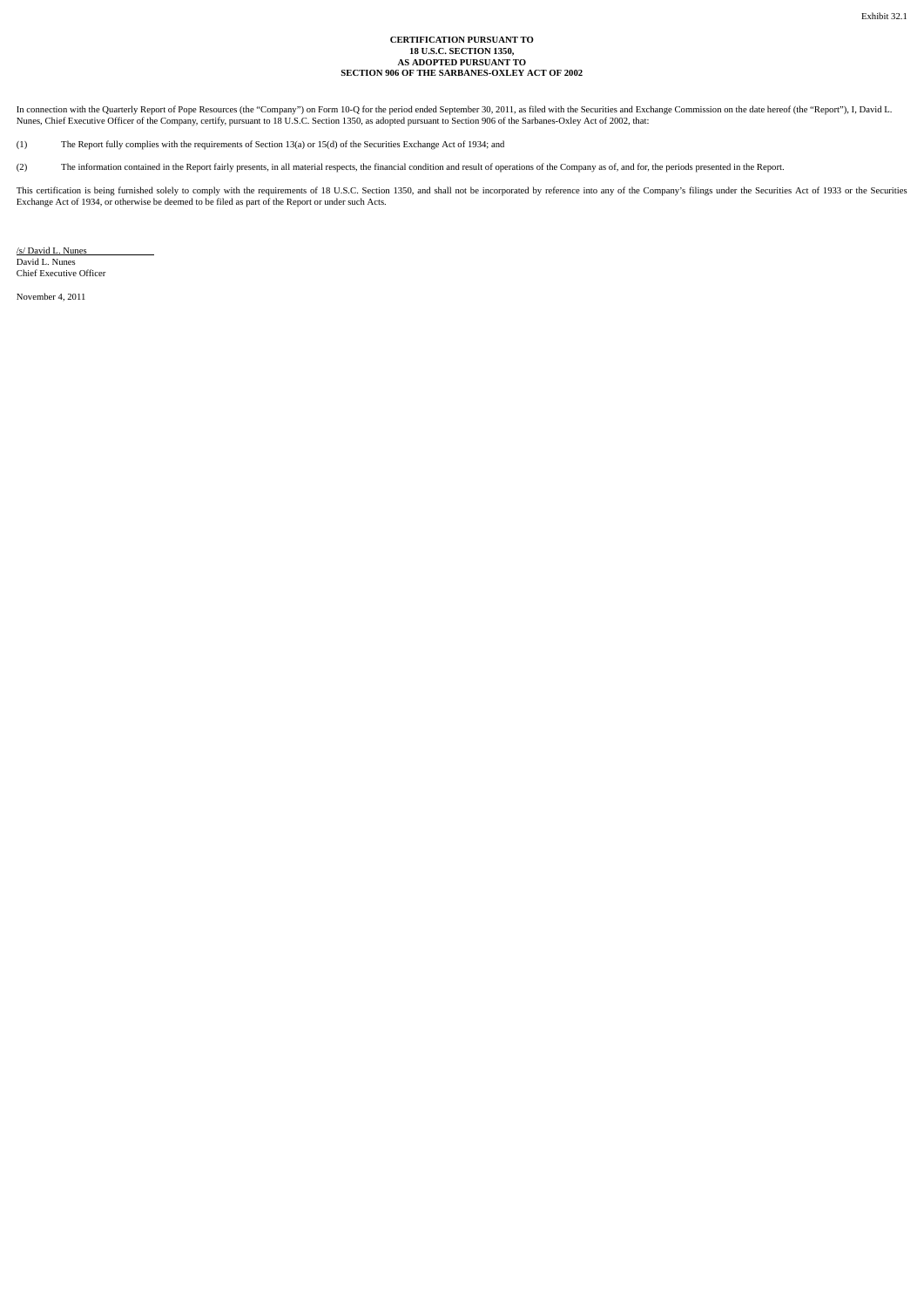# **CERTIFICATION PURSUANT TO 18 U.S.C. SECTION 1350, AS ADOPTED PURSUANT TO SECTION 906 OF THE SARBANES-OXLEY ACT OF 2002**

In connection with the Quarterly Report of Pope Resources (the "Company") on Form 10-Q for the period ended September 30, 2011, as filed with the Securities and Exchange Commission on the date hereof (the "Report"), I, Dav

(1) The Report fully complies with the requirements of Section 13(a) or 15(d) of the Securities Exchange Act of 1934; and

(2) The information contained in the Report fairly presents, in all material respects, the financial condition and result of operations of the Company as of, and for, the periods presented in the Report.

This certification is being furnished solely to comply with the requirements of 18 U.S.C. Section 1350, and shall not be incorporated by reference into any of the Company's filings under the Securities Act of 1933 or the S

/s/ David L. Nunes<br>David L. Nunes Chief Executive Officer

November 4, 2011